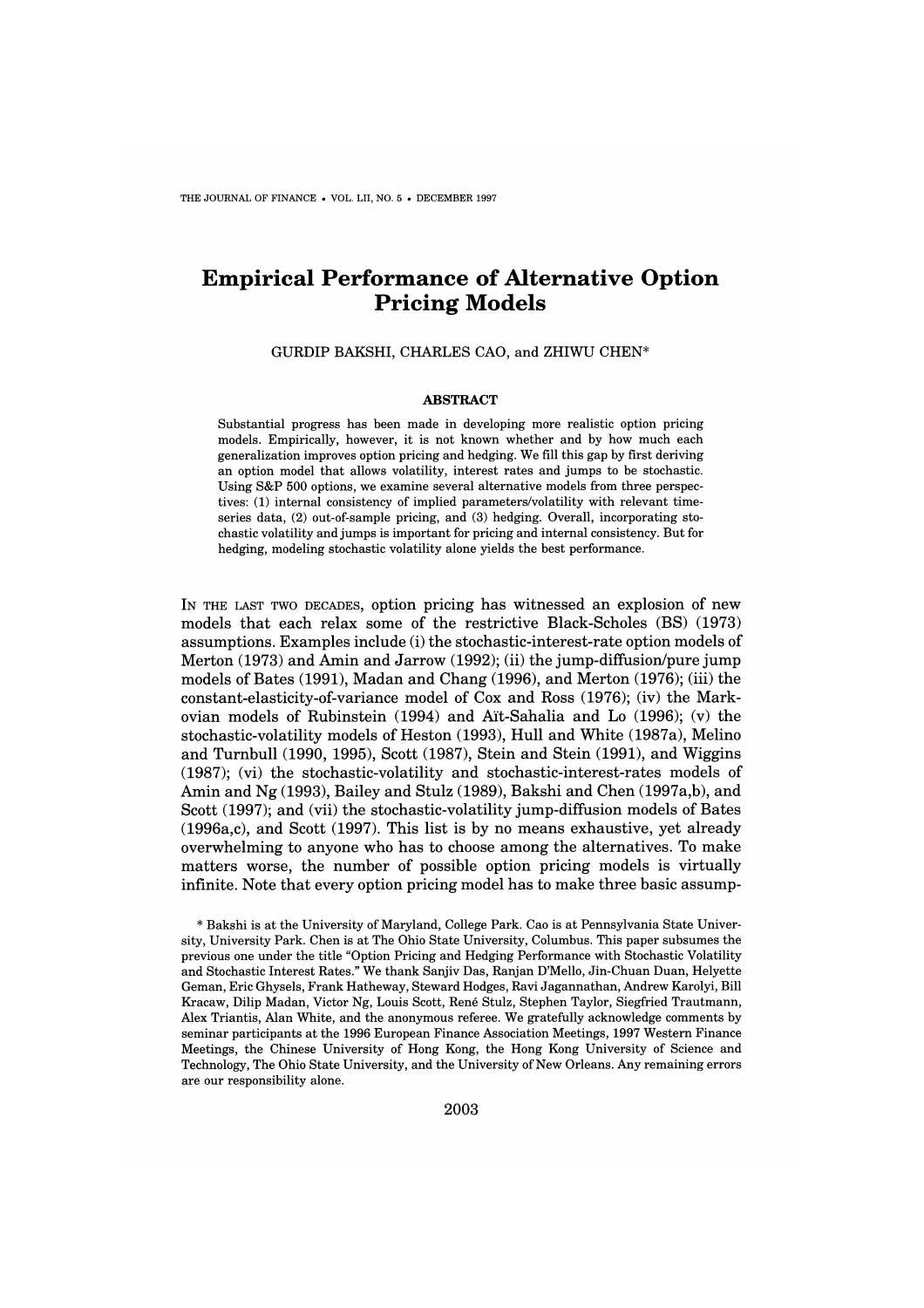# **Empirical Performance of Alternative Option Pricing Models**

**GURDIP BAKSHI, CHARLES CAO, and ZHIWU CHEN\*** 

### **ABSTRACT**

**Substantial progress has been made in developing more realistic option pricing models. Empirically, however, it is not known whether and by how much each generalization improves option pricing and hedging. We fill this gap by first deriving an option model that allows volatility, interest rates and jumps to be stochastic. Using S&P 500 options, we examine several alternative models from three perspectives: (1) internal consistency of implied parameters/volatility with relevant timeseries data, (2) out-of-sample pricing, and (3) hedging. Overall, incorporating stochastic volatility and jumps is important for pricing and internal consistency. But for hedging, modeling stochastic volatility alone yields the best performance.** 

**IN THE LAST TWO DECADES, option pricing has witnessed an explosion of new models that each relax some of the restrictive Black-Scholes (BS) (1973) assumptions. Examples include (i) the stochastic-interest-rate option models of Merton (1973) and Amin and Jarrow (1992); (ii) the jump-diffusion/pure jump models of Bates (1991), Madan and Chang (1996), and Merton (1976); (iii) the constant-elasticity-of-variance model of Cox and Ross (1976); (iv) the Markovian models of Rubinstein (1994) and Alt-Sahalia and Lo (1996); (v) the stochastic-volatility models of Heston (1993), Hull and White (1987a), Melino and Turnbull (1990, 1995), Scott (1987), Stein and Stein (1991), and Wiggins (1987); (vi) the stochastic-volatility and stochastic-interest-rates models of Amin and Ng (1993), Bailey and Stulz (1989), Bakshi and Chen (1997a,b), and Scott (1997); and (vii) the stochastic-volatility jump-diffusion models of Bates (1996a,c), and Scott (1997). This list is by no means exhaustive, yet already overwhelming to anyone who has to choose among the alternatives. To make matters worse, the number of possible option pricing models is virtually infinite. Note that every option pricing model has to make three basic assump-** 

**<sup>\*</sup> Bakshi is at the University of Maryland, College Park. Cao is at Pennsylvania State University, University Park. Chen is at The Ohio State University, Columbus. This paper subsumes the previous one under the title "Option Pricing and Hedging Performance with Stochastic Volatility and Stochastic Interest Rates." We thank Sanjiv Das, Ranjan D'Mello, Jin-Chuan Duan, Helyette Geman, Eric Ghysels, Frank Hatheway, Steward Hodges, Ravi Jagannathan, Andrew Karolyi, Bill Kracaw, Dilip Madan, Victor Ng, Louis Scott, Ren6 Stulz, Stephen Taylor, Siegfried Trautmann, Alex Triantis, Alan White, and the anonymous referee. We gratefully acknowledge comments by seminar participants at the 1996 European Finance Association Meetings, 1997 Western Finance Meetings, the Chinese University of Hong Kong, the Hong Kong University of Science and Technology, The Ohio State University, and the University of New Orleans. Any remaining errors are our responsibility alone.**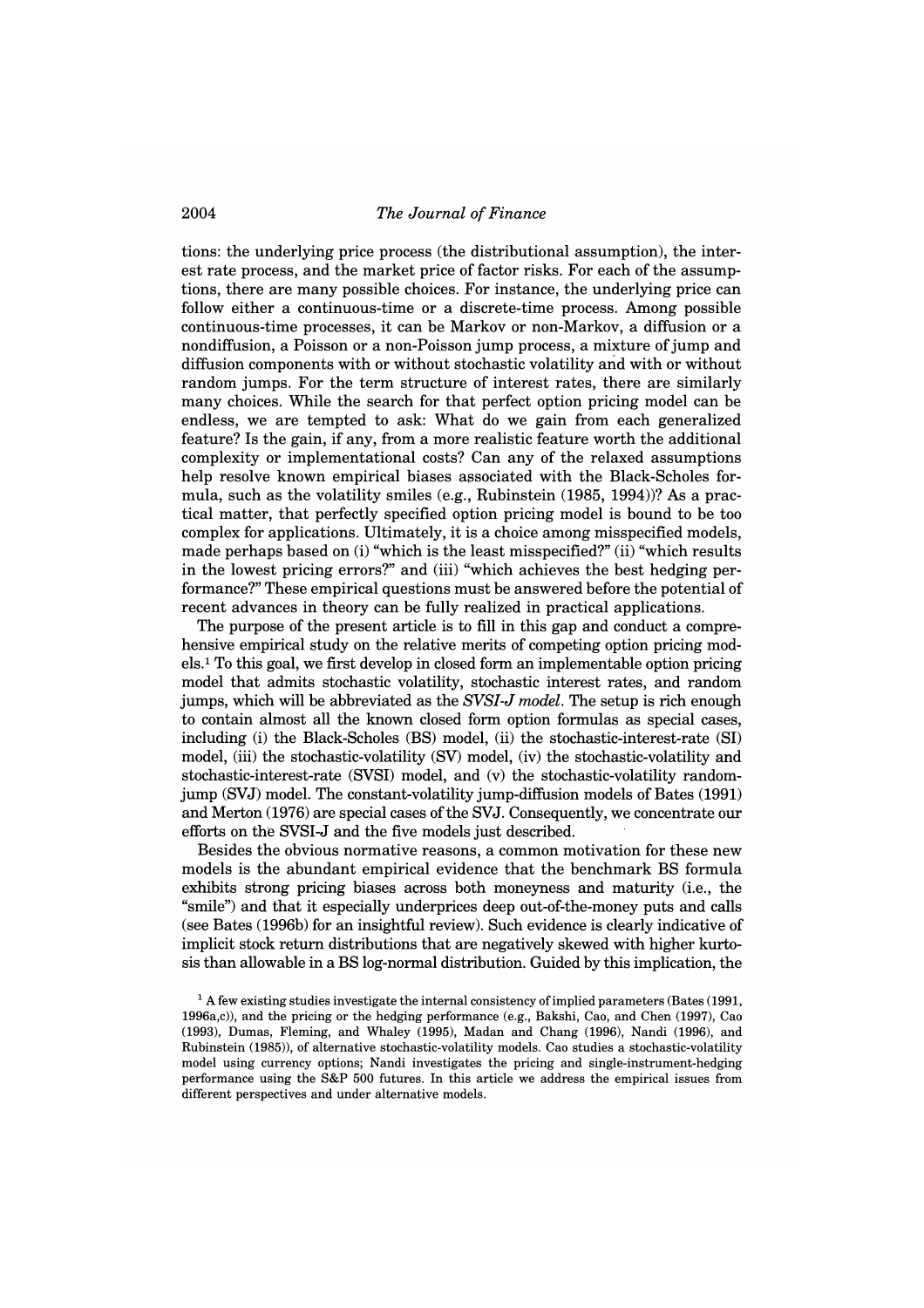**tions: the underlying price process (the distributional assumption), the interest rate process, and the market price of factor risks. For each of the assumptions, there are many possible choices. For instance, the underlying price can follow either a continuous-time or a discrete-time process. Among possible continuous-time processes, it can be Markov or non-Markov, a diffusion or a nondiffusion, a Poisson or a non-Poisson jump process, a mixture of jump and diffusion components with or without stochastic volatility and with or without random jumps. For the term structure of interest rates, there are similarly many choices. While the search for that perfect option pricing model can be endless, we are tempted to ask: What do we gain from each generalized feature? Is the gain, if any, from a more realistic feature worth the additional complexity or implementational costs? Can any of the relaxed assumptions help resolve known empirical biases associated with the Black-Scholes formula, such as the volatility smiles (e.g., Rubinstein (1985, 1994))? As a practical matter, that perfectly specified option pricing model is bound to be too complex for applications. Ultimately, it is a choice among misspecified models, made perhaps based on (i) "which is the least misspecified?" (ii) "which results in the lowest pricing errors?" and (iii) "which achieves the best hedging performance?" These empirical questions must be answered before the potential of recent advances in theory can be fully realized in practical applications.** 

**The purpose of the present article is to fill in this gap and conduct a comprehensive empirical study on the relative merits of competing option pricing models.1 To this goal, we first develop in closed form an implementable option pricing model that admits stochastic volatility, stochastic interest rates, and random jumps, which will be abbreviated as the SVSI-J model. The setup is rich enough to contain almost all the known closed form option formulas as special cases, including (i) the Black-Scholes (BS) model, (ii) the stochastic-interest-rate (SI) model, (iii) the stochastic-volatility (SV) model, (iv) the stochastic-volatility and stochastic-interest-rate (SVSI) model, and (v) the stochastic-volatility randomjump (SVJ) model. The constant-volatility jump-diffusion models of Bates (1991) and Merton (1976) are special cases of the SVJ. Consequently, we concentrate our efforts on the SVSI-J and the five models just described.** 

**Besides the obvious normative reasons, a common motivation for these new models is the abundant empirical evidence that the benchmark BS formula exhibits strong pricing biases across both moneyness and maturity (i.e., the "smile") and that it especially underprices deep out-of-the-money puts and calls (see Bates (1996b) for an insightful review). Such evidence is clearly indicative of implicit stock return distributions that are negatively skewed with higher kurtosis than allowable in a BS log-normal distribution. Guided by this implication, the** 

**1 A few existing studies investigate the internal consistency of implied parameters (Bates (1991, 1996a,c)), and the pricing or the hedging performance (e.g., Bakshi, Cao, and Chen (1997), Cao (1993), Dumas, Fleming, and Whaley (1995), Madan and Chang (1996), Nandi (1996), and Rubinstein (1985)), of alternative stochastic-volatility models. Cao studies a stochastic-volatility model using currency options; Nandi investigates the pricing and single-instrument-hedging performance using the S&P 500 futures. In this article we address the empirical issues from different perspectives and under alternative models.**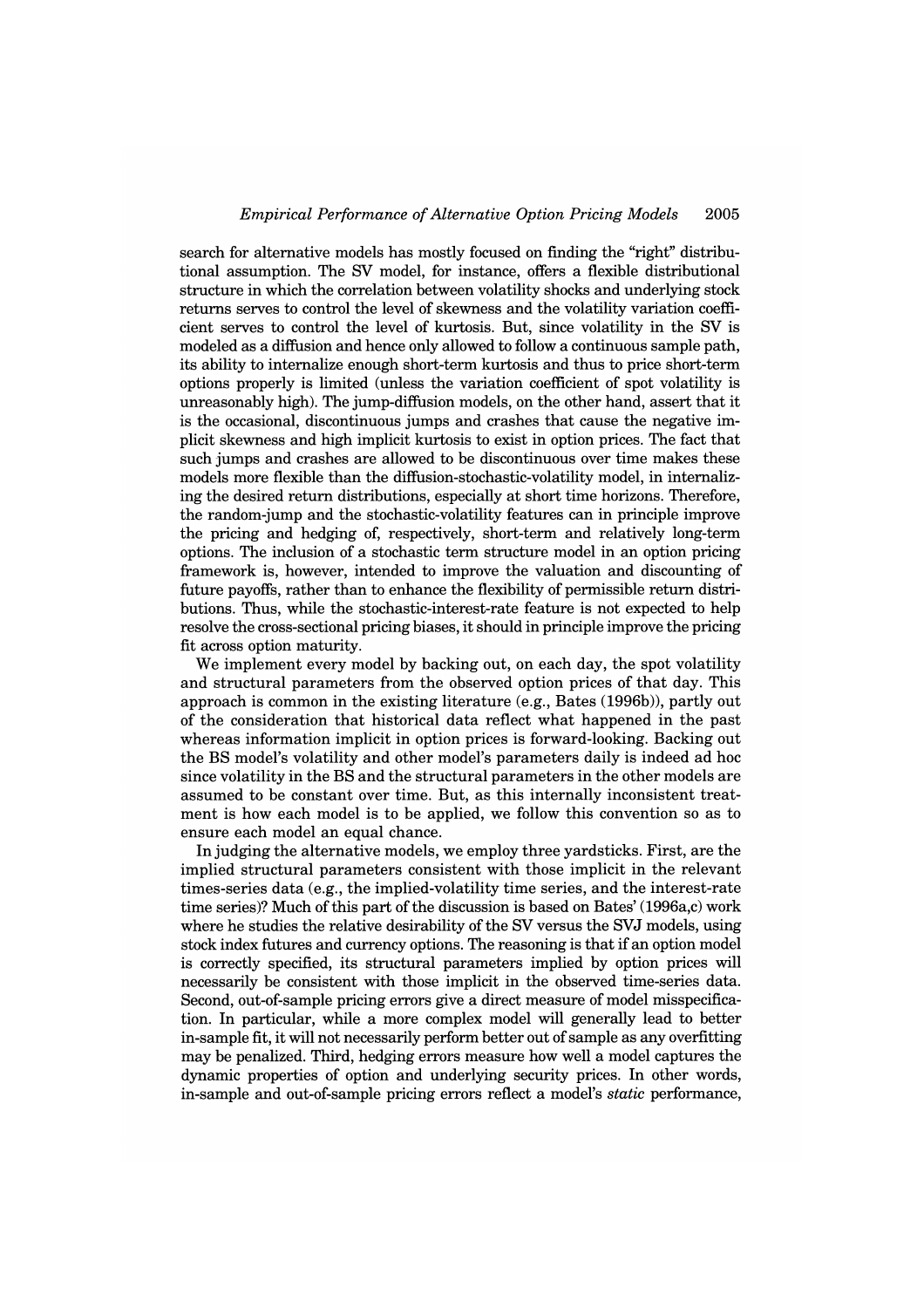**search for alternative models has mostly focused on finding the "right" distributional assumption. The SV model, for instance, offers a flexible distributional structure in which the correlation between volatility shocks and underlying stock returns serves to control the level of skewness and the volatility variation coefficient serves to control the level of kurtosis. But, since volatility in the SV is modeled as a diffusion and hence only allowed to follow a continuous sample path, its ability to internalize enough short-term kurtosis and thus to price short-term options properly is limited (unless the variation coefficient of spot volatility is unreasonably high). The jump-diffusion models, on the other hand, assert that it is the occasional, discontinuous jumps and crashes that cause the negative implicit skewness and high implicit kurtosis to exist in option prices. The fact that such jumps and crashes are allowed to be discontinuous over time makes these models more flexible than the diffusion-stochastic-volatility model, in internalizing the desired return distributions, especially at short time horizons. Therefore, the random-jump and the stochastic-volatility features can in principle improve the pricing and hedging of, respectively, short-term and relatively long-term options. The inclusion of a stochastic term structure model in an option pricing framework is, however, intended to improve the valuation and discounting of future payoffs, rather than to enhance the flexibility of permissible return distributions. Thus, while the stochastic-interest-rate feature is not expected to help resolve the cross-sectional pricing biases, it should in principle improve the pricing fit across option maturity.** 

**We implement every model by backing out, on each day, the spot volatility and structural parameters from the observed option prices of that day. This approach is common in the existing literature (e.g., Bates (1996b)), partly out of the consideration that historical data reflect what happened in the past whereas information implicit in option prices is forward-looking. Backing out the BS model's volatility and other model's parameters daily is indeed ad hoc since volatility in the BS and the structural parameters in the other models are assumed to be constant over time. But, as this internally inconsistent treatment is how each model is to be applied, we follow this convention so as to ensure each model an equal chance.** 

**In judging the alternative models, we employ three yardsticks. First, are the implied structural parameters consistent with those implicit in the relevant times-series data (e.g., the implied-volatility time series, and the interest-rate time series)? Much of this part of the discussion is based on Bates' (1996a,c) work where he studies the relative desirability of the SV versus the SVJ models, using stock index futures and currency options. The reasoning is that if an option model is correctly specified, its structural parameters implied by option prices will necessarily be consistent with those implicit in the observed time-series data. Second, out-of-sample pricing errors give a direct measure of model misspecification. In particular, while a more complex model will generally lead to better in-sample fit, it will not necessarily perform better out of sample as any overfitting may be penalized. Third, hedging errors measure how well a model captures the dynamic properties of option and underlying security prices. In other words, in-sample and out-of-sample pricing errors reflect a model's static performance,**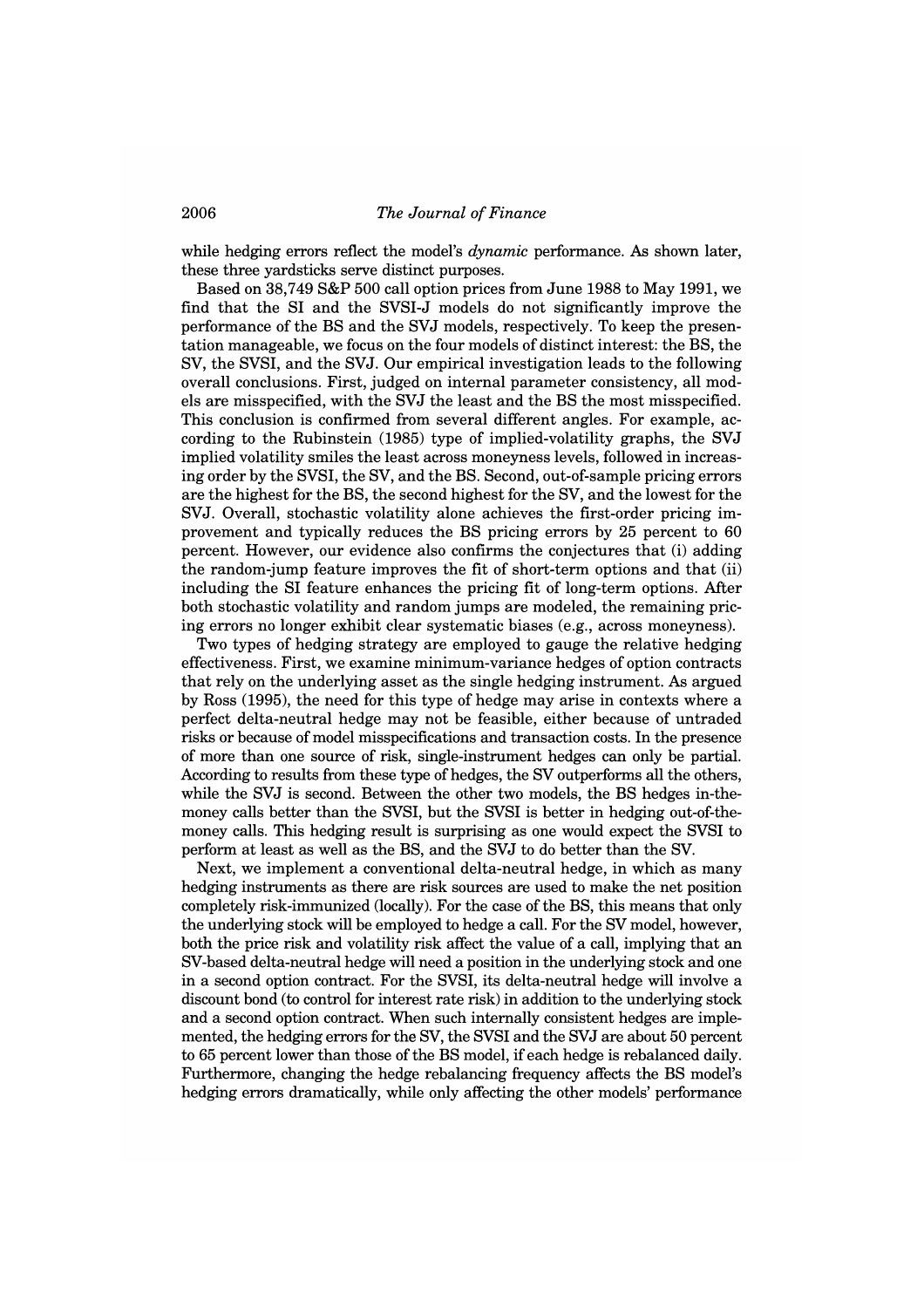**while hedging errors reflect the model's dynamic performance. As shown later, these three yardsticks serve distinct purposes.** 

**Based on 38,749 S&P 500 call option prices from June 1988 to May 1991, we find that the SI and the SVSI-J models do not significantly improve the performance of the BS and the SVJ models, respectively. To keep the presentation manageable, we focus on the four models of distinct interest: the BS, the SV, the SVSI, and the SVJ. Our empirical investigation leads to the following overall conclusions. First, judged on internal parameter consistency, all models are misspecified, with the SVJ the least and the BS the most misspecified. This conclusion is confirmed from several different angles. For example, according to the Rubinstein (1985) type of implied-volatility graphs, the SVJ implied volatility smiles the least across moneyness levels, followed in increasing order by the SVSI, the SV, and the BS. Second, out-of-sample pricing errors are the highest for the BS, the second highest for the SV, and the lowest for the SVJ. Overall, stochastic volatility alone achieves the first-order pricing improvement and typically reduces the BS pricing errors by 25 percent to 60 percent. However, our evidence also confirms the conjectures that (i) adding the random-jump feature improves the fit of short-term options and that (ii) including the SI feature enhances the pricing fit of long-term options. After both stochastic volatility and random jumps are modeled, the remaining pricing errors no longer exhibit clear systematic biases (e.g., across moneyness).** 

**Two types of hedging strategy are employed to gauge the relative hedging effectiveness. First, we examine minimum-variance hedges of option contracts that rely on the underlying asset as the single hedging instrument. As argued by Ross (1995), the need for this type of hedge may arise in contexts where a perfect delta-neutral hedge may not be feasible, either because of untraded risks or because of model misspecifications and transaction costs. In the presence of more than one source of risk, single-instrument hedges can only be partial. According to results from these type of hedges, the SV outperforms all the others, while the SVJ is second. Between the other two models, the BS hedges in-themoney calls better than the SVSI, but the SVSI is better in hedging out-of-themoney calls. This hedging result is surprising as one would expect the SVSI to perform at least as well as the BS, and the SVJ to do better than the SV.** 

**Next, we implement a conventional delta-neutral hedge, in which as many hedging instruments as there are risk sources are used to make the net position completely risk-immunized (locally). For the case of the BS, this means that only the underlying stock will be employed to hedge a call. For the SV model, however, both the price risk and volatility risk affect the value of a call, implying that an SV-based delta-neutral hedge will need a position in the underlying stock and one in a second option contract. For the SVSI, its delta-neutral hedge will involve a discount bond (to control for interest rate risk) in addition to the underlying stock and a second option contract. When such internally consistent hedges are implemented, the hedging errors for the SV, the SVSI and the SVJ are about 50 percent to 65 percent lower than those of the BS model, if each hedge is rebalanced daily. Furthermore, changing the hedge rebalancing frequency affects the BS model's hedging errors dramatically, while only affecting the other models' performance**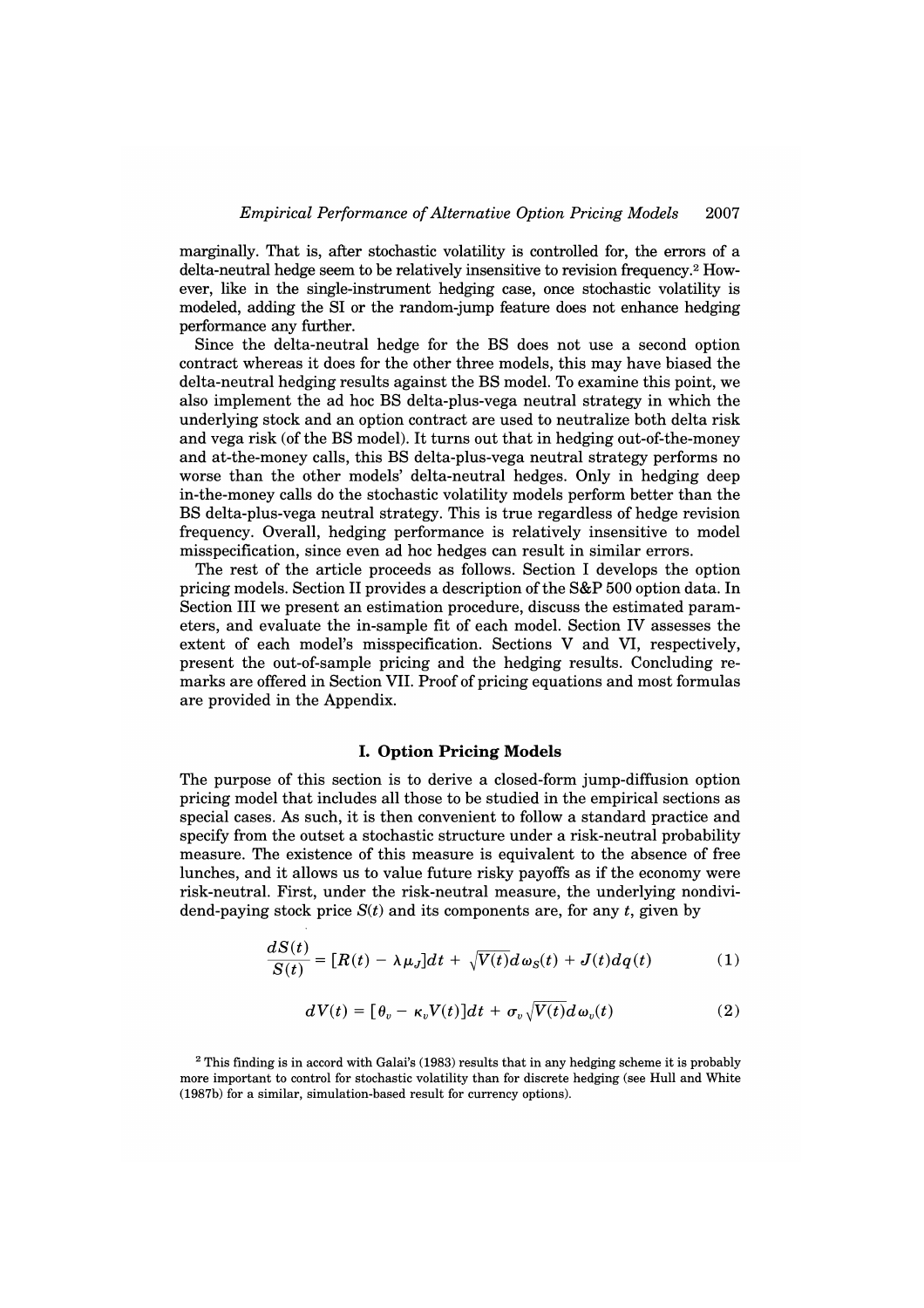**marginally. That is, after stochastic volatility is controlled for, the errors of a delta-neutral hedge seem to be relatively insensitive to revision frequency.2 However, like in the single-instrument hedging case, once stochastic volatility is modeled, adding the SI or the random-jump feature does not enhance hedging performance any further.** 

**Since the delta-neutral hedge for the BS does not use a second option contract whereas it does for the other three models, this may have biased the delta-neutral hedging results against the BS model. To examine this point, we also implement the ad hoc BS delta-plus-vega neutral strategy in which the underlying stock and an option contract are used to neutralize both delta risk and vega risk (of the BS model). It turns out that in hedging out-of-the-money and at-the-money calls, this BS delta-plus-vega neutral strategy performs no worse than the other models' delta-neutral hedges. Only in hedging deep in-the-money calls do the stochastic volatility models perform better than the BS delta-plus-vega neutral strategy. This is true regardless of hedge revision frequency. Overall, hedging performance is relatively insensitive to model misspecification, since even ad hoc hedges can result in similar errors.** 

**The rest of the article proceeds as follows. Section I develops the option pricing models. Section II provides a description of the S&P 500 option data. In Section III we present an estimation procedure, discuss the estimated parameters, and evaluate the in-sample fit of each model. Section IV assesses the extent of each model's misspecification. Sections V and VI, respectively, present the out-of-sample pricing and the hedging results. Concluding remarks are offered in Section VII. Proof of pricing equations and most formulas are provided in the Appendix.** 

# **I. Option Pricing Models**

**The purpose of this section is to derive a closed-form jump-diffusion option pricing model that includes all those to be studied in the empirical sections as special cases. As such, it is then convenient to follow a standard practice and specify from the outset a stochastic structure under a risk-neutral probability measure. The existence of this measure is equivalent to the absence of free lunches, and it allows us to value future risky payoffs as if the economy were risk-neutral. First, under the risk-neutral measure, the underlying nondivi**dend-paying stock price  $S(t)$  and its components are, for any  $t$ , given by

$$
\frac{dS(t)}{S(t)} = [R(t) - \lambda \mu_J]dt + \sqrt{V(t)}d\omega_S(t) + J(t)dq(t)
$$
\n(1)

$$
dV(t) = \left[\theta_v - \kappa_v V(t)\right]dt + \sigma_v \sqrt{V(t)}d\omega_v(t) \tag{2}
$$

**2 This finding is in accord with Galai's (1983) results that in any hedging scheme it is probably more important to control for stochastic volatility than for discrete hedging (see Hull and White (1987b) for a similar, simulation-based result for currency options).**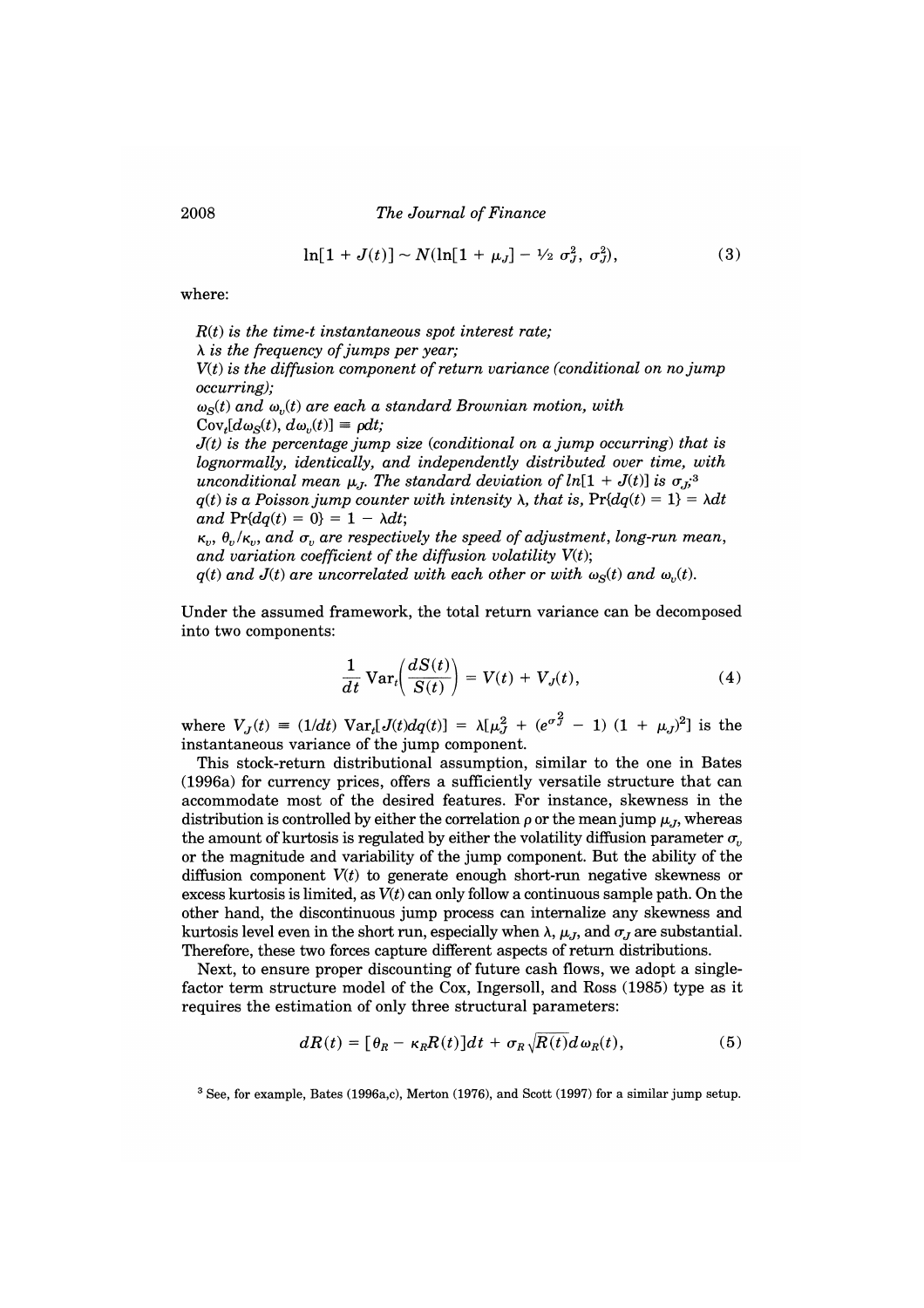$$
\ln[1+J(t)] \sim N(\ln[1+\mu_J] - \frac{1}{2} \sigma_J^2, \sigma_J^2), \qquad (3)
$$

**where:** 

**R(t) is the time-t instantaneous spot interest rate; A is the frequency of jumps per year; V(t) is the diffusion component of return variance (conditional on no jump occurring);**   $\omega_S(t)$  and  $\omega_v(t)$  are each a standard Brownian motion, with  $Cov_t[d\omega_S(t), d\omega_v(t)] \equiv \rho dt;$ **J(t) is the percentage jump size (conditional on a jump occurring) that is lognormally, identically, and independently distributed over time, with unconditional mean**  $\mu_{J}$ **. The standard deviation of**  $ln[1 + J(t)]$  **is**  $\sigma_{J}$ **;<sup>3</sup>**  $q(t)$  is a Poisson jump counter with intensity  $\lambda$ , that is,  $Pr{dq(t) = 1} = \lambda dt$  $and \ Pr{dq(t) = 0} = 1 - \lambda dt;$  $\kappa_v$ ,  $\theta_v/\kappa_v$ , and  $\sigma_v$  are respectively the speed of adjustment, long-run mean, **and variation coefficient of the diffusion volatility V(t);** 

 $q(t)$  and  $J(t)$  are uncorrelated with each other or with  $\omega_{\rm S}(t)$  and  $\omega_{\rm v}(t)$ .

**Under the assumed framework, the total return variance can be decomposed into two components:** 

$$
\frac{1}{dt} \operatorname{Var}_t \left( \frac{dS(t)}{S(t)} \right) = V(t) + V_J(t), \tag{4}
$$

where  $V_J(t) = (1/dt) \text{Var}_t[J(t)dq(t)] = \lambda[\mu_J^2 + (e^{\sigma_J^2} - 1)(1 + \mu_J)^2]$  is the **instantaneous variance of the jump component.** 

**This stock-return distributional assumption, similar to the one in Bates (1996a) for currency prices, offers a sufficiently versatile structure that can accommodate most of the desired features. For instance, skewness in the distribution is controlled by either the correlation**  $\rho$  **or the mean jump**  $\mu$ **<sub>***I***</sub>, whereas** the amount of kurtosis is regulated by either the volatility diffusion parameter  $\sigma_{\nu}$ **or the magnitude and variability of the jump component. But the ability of the diffusion component V(t) to generate enough short-run negative skewness or**  excess kurtosis is limited, as  $V(t)$  can only follow a continuous sample path. On the **other hand, the discontinuous jump process can internalize any skewness and kurtosis level even in the short run, especially when**  $\lambda$ **,**  $\mu$ **<sub>J</sub>, and**  $\sigma$ **<sub>J</sub> are substantial. Therefore, these two forces capture different aspects of return distributions.** 

**Next, to ensure proper discounting of future cash flows, we adopt a singlefactor term structure model of the Cox, Ingersoll, and Ross (1985) type as it requires the estimation of only three structural parameters:** 

$$
dR(t) = [\theta_R - \kappa_R R(t)]dt + \sigma_R \sqrt{R(t)}d\omega_R(t), \qquad (5)
$$

**<sup>3</sup> See, for example, Bates (1996a,c), Merton (1976), and Scott (1997) for a similar jump setup.**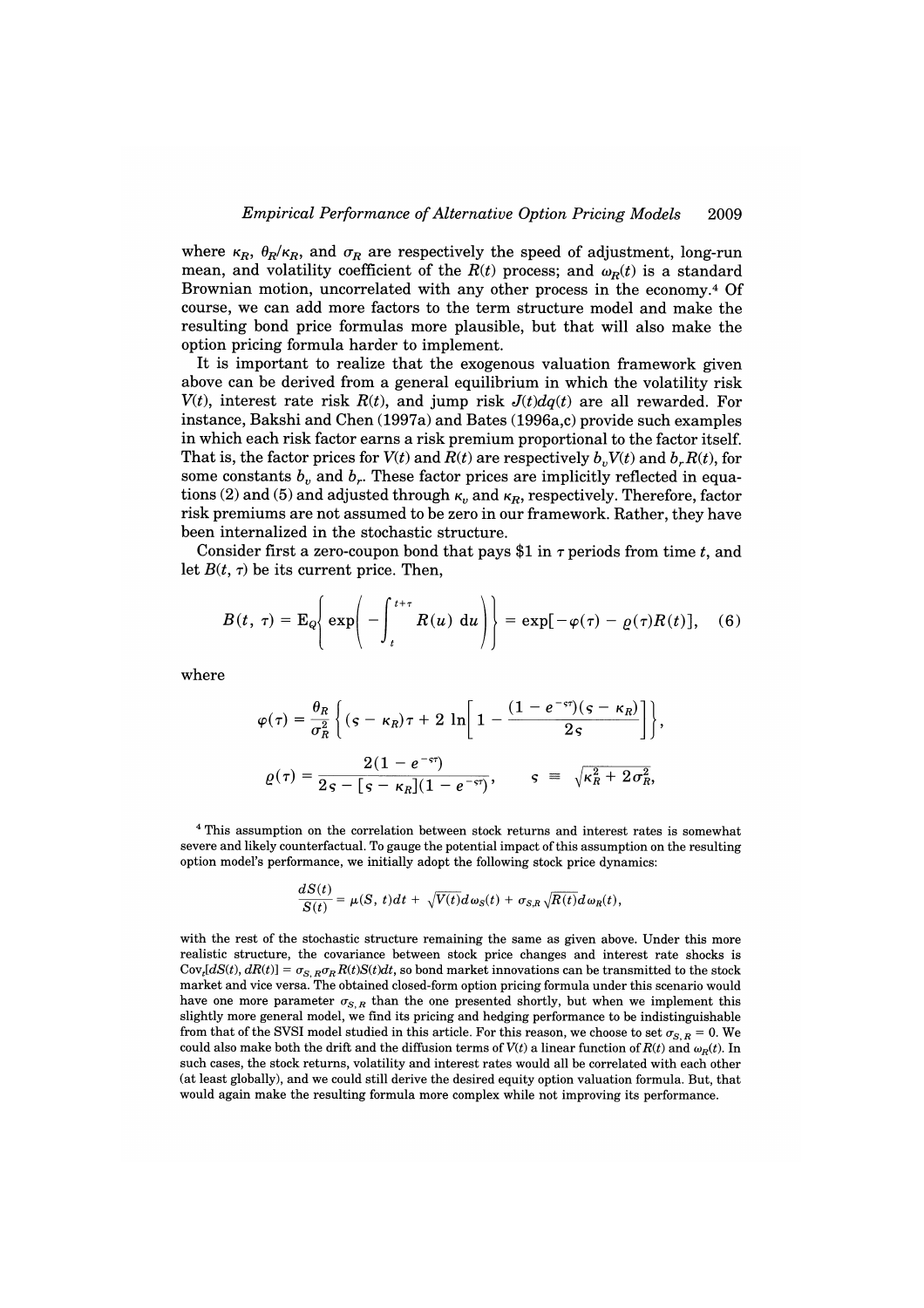where  $\kappa_R$ ,  $\theta_R/\kappa_R$ , and  $\sigma_R$  are respectively the speed of adjustment, long-run mean, and volatility coefficient of the  $R(t)$  process; and  $\omega_R(t)$  is a standard **Brownian motion, uncorrelated with any other process in the economy.4 Of course, we can add more factors to the term structure model and make the resulting bond price formulas more plausible, but that will also make the option pricing formula harder to implement.** 

**It is important to realize that the exogenous valuation framework given above can be derived from a general equilibrium in which the volatility risk**   $V(t)$ , interest rate risk  $R(t)$ , and jump risk  $J(t)dq(t)$  are all rewarded. For **instance, Bakshi and Chen (1997a) and Bates (1996a,c) provide such examples in which each risk factor earns a risk premium proportional to the factor itself.**  That is, the factor prices for  $V(t)$  and  $R(t)$  are respectively  $b_v V(t)$  and  $b_r R(t)$ , for some constants  $b_v$  and  $b_r$ . These factor prices are implicitly reflected in equations (2) and (5) and adjusted through  $\kappa$  and  $\kappa$ <sub>R</sub>, respectively. Therefore, factor **risk premiums are not assumed to be zero in our framework. Rather, they have been internalized in the stochastic structure.** 

Consider first a zero-coupon bond that pays \$1 in  $\tau$  periods from time t, and let  $B(t, \tau)$  be its current price. Then,

$$
B(t, \tau) = \mathbf{E}_{Q}\left\{\exp\left(-\int_{t}^{t+\tau} R(u) \, \mathrm{d}u\right)\right\} = \exp[-\varphi(\tau) - \varrho(\tau)R(t)], \quad (6)
$$

**where** 

$$
\varphi(\tau) = \frac{\theta_R}{\sigma_R^2} \left\{ (s - \kappa_R) \tau + 2 \ln \left[ 1 - \frac{(1 - e^{-s\tau})(s - \kappa_R)}{2s} \right] \right\},\
$$
  

$$
\varrho(\tau) = \frac{2(1 - e^{-s\tau})}{2s - [s - \kappa_R](1 - e^{-s\tau})}, \qquad s = \sqrt{\kappa_R^2 + 2\sigma_R^2},
$$

**4 This assumption on the correlation between stock returns and interest rates is somewhat severe and likely counterfactual. To gauge the potential impact of this assumption on the resulting option model's performance, we initially adopt the following stock price dynamics:** 

$$
\frac{dS(t)}{S(t)} = \mu(S, t)dt + \sqrt{V(t)}d\omega_S(t) + \sigma_{S,R}\sqrt{R(t)}d\omega_R(t),
$$

 $\sim$ 

with the rest of the stochastic structure remaining the same as given above. Under this more **realistic structure, the covariance between stock price changes and interest rate shocks is**   $Cov_t[dS(t), dR(t)] = \sigma_{S, R}\sigma_R R(t)S(t)dt$ , so bond market innovations can be transmitted to the stock **market and vice versa. The obtained closed-form option pricing formula under this scenario would**  have one more parameter  $\sigma_{S,R}$  than the one presented shortly, but when we implement this **slightly more general model, we find its pricing and hedging performance to be indistinguishable**  from that of the SVSI model studied in this article. For this reason, we choose to set  $\sigma_{S,R} = 0$ . We could also make both the drift and the diffusion terms of  $V(t)$  a linear function of  $R(t)$  and  $\omega_R(t)$ . In **such cases, the stock returns, volatility and interest rates would all be correlated with each other (at least globally), and we could still derive the desired equity option valuation formula. But, that would again make the resulting formula more complex while not improving its performance.**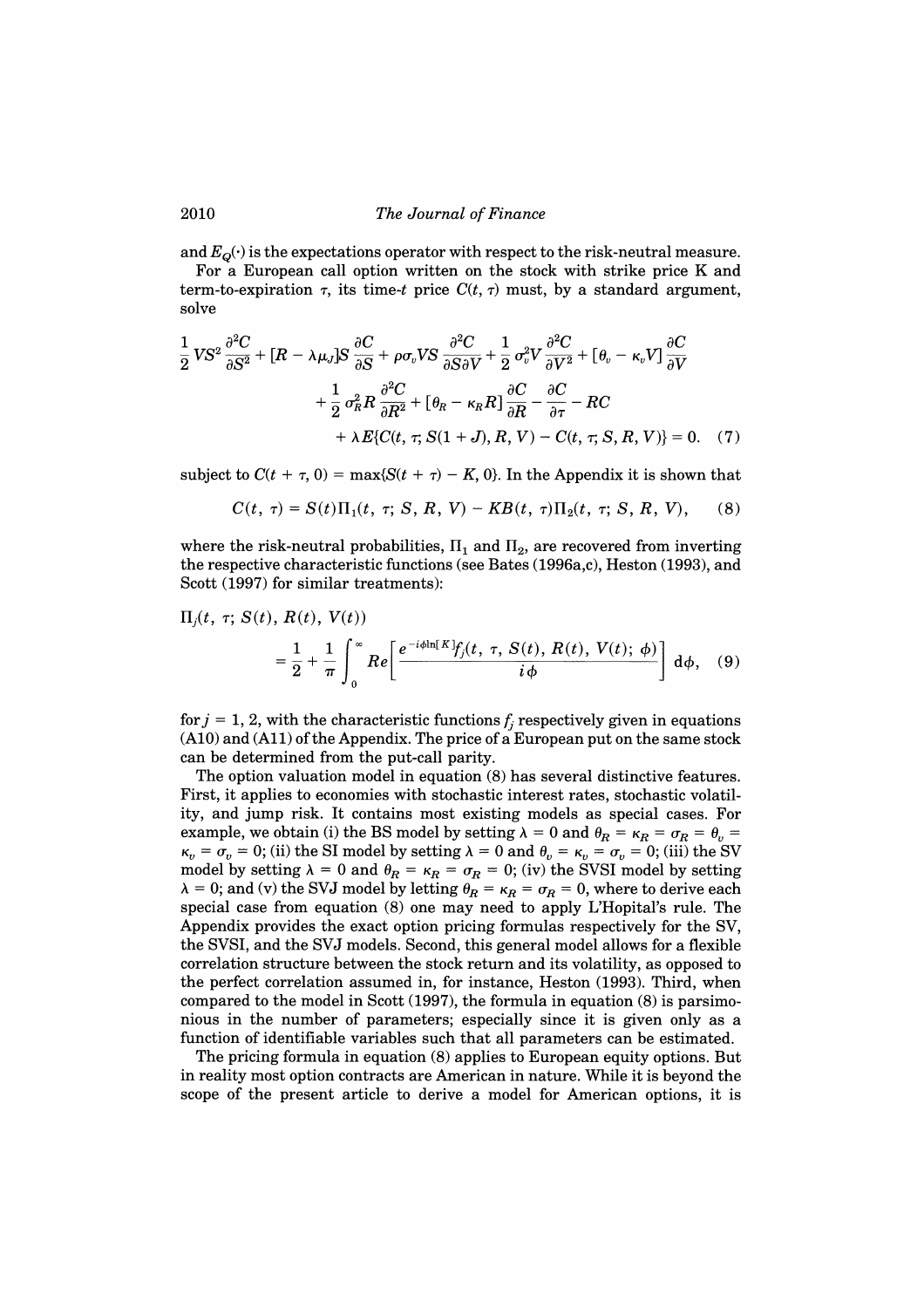and  $E_Q(\cdot)$  is the expectations operator with respect to the risk-neutral measure.

**For a European call option written on the stock with strike price K and term-to-expiration**  $\tau$ **, its time-t price**  $C(t, \tau)$  **must, by a standard argument, solve** 

$$
\frac{1}{2}VS^{2}\frac{\partial^{2}C}{\partial S^{2}} + [R - \lambda\mu_{J}]S\frac{\partial C}{\partial S} + \rho\sigma_{v}VS\frac{\partial^{2}C}{\partial S\partial V} + \frac{1}{2}\sigma_{v}^{2}V\frac{\partial^{2}C}{\partial V^{2}} + [\theta_{v} - \kappa_{v}V]\frac{\partial C}{\partial V} \n+ \frac{1}{2}\sigma_{R}^{2}R\frac{\partial^{2}C}{\partial R^{2}} + [\theta_{R} - \kappa_{R}R]\frac{\partial C}{\partial R} - \frac{\partial C}{\partial \tau} - RC \n+ \lambda E\{C(t, \tau, S(1+J), R, V) - C(t, \tau, S, R, V)\} = 0.
$$
 (7)

subject to  $C(t + \tau, 0) = \max\{S(t + \tau) - K, 0\}$ . In the Appendix it is shown that

$$
C(t, \tau) = S(t) \Pi_1(t, \tau; S, R, V) - KB(t, \tau) \Pi_2(t, \tau; S, R, V), \quad (8)
$$

where the risk-neutral probabilities,  $\Pi_1$  and  $\Pi_2$ , are recovered from inverting **the respective characteristic functions (see Bates (1996a,c), Heston (1993), and Scott (1997) for similar treatments):** 

$$
\Pi_j(t, \tau; S(t), R(t), V(t))
$$
\n
$$
= \frac{1}{2} + \frac{1}{\pi} \int_0^\infty Re \left[ \frac{e^{-i\phi \ln[K]} f_j(t, \tau, S(t), R(t), V(t); \phi)}{i\phi} \right] d\phi, \quad (9)
$$

for  $j = 1, 2$ , with the characteristic functions  $f_i$  respectively given in equations **(Al0) and (All) of the Appendix. The price of a European put on the same stock can be determined from the put-call parity.** 

**The option valuation model in equation (8) has several distinctive features. First, it applies to economies with stochastic interest rates, stochastic volatility, and jump risk. It contains most existing models as special cases. For example, we obtain** (i) the BS model by setting  $\lambda = 0$  and  $\theta_R = \kappa_R = \sigma_R = \theta_v =$  $\kappa_v = \sigma_v = 0$ ; (ii) the SI model by setting  $\lambda = 0$  and  $\theta_v = \kappa_v = \sigma_v = 0$ ; (iii) the SV model by setting  $\lambda = 0$  and  $\theta_R = \kappa_R = \sigma_R = 0$ ; (iv) the SVSI model by setting  $\lambda = 0$ ; and (v) the SVJ model by letting  $\theta_R = \kappa_R = \sigma_R = 0$ , where to derive each **special case from equation (8) one may need to apply L'Hopital's rule. The Appendix provides the exact option pricing formulas respectively for the SV, the SVSI, and the SVJ models. Second, this general model allows for a flexible correlation structure between the stock return and its volatility, as opposed to the perfect correlation assumed in, for instance, Heston (1993). Third, when compared to the model in Scott (1997), the formula in equation (8) is parsimonious in the number of parameters; especially since it is given only as a function of identifiable variables such that all parameters can be estimated.** 

**The pricing formula in equation (8) applies to European equity options. But in reality most option contracts are American in nature. While it is beyond the scope of the present article to derive a model for American options, it is**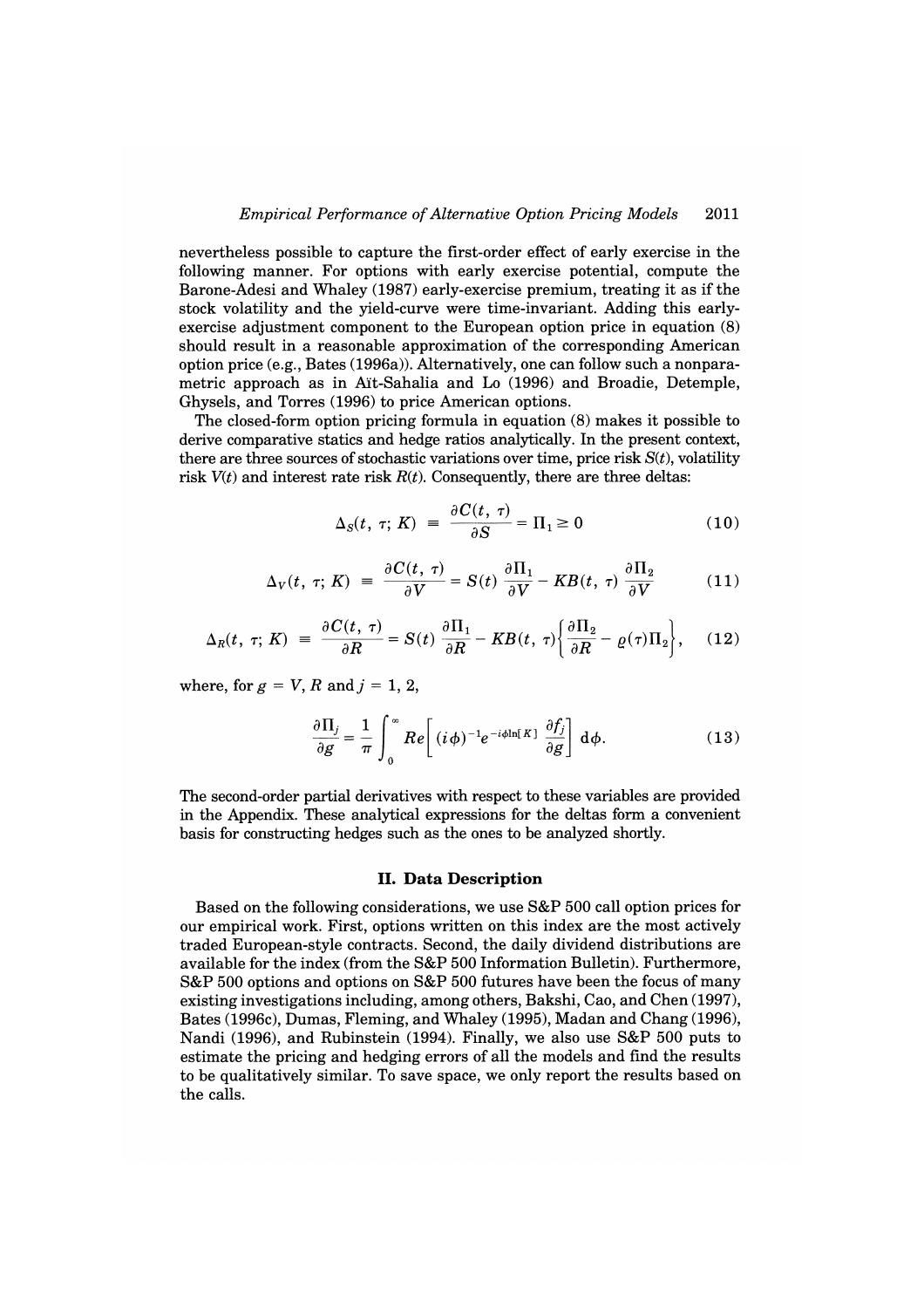**nevertheless possible to capture the first-order effect of early exercise in the following manner. For options with early exercise potential, compute the Barone-Adesi and Whaley (1987) early-exercise premium, treating it as if the stock volatility and the yield-curve were time-invariant. Adding this earlyexercise adjustment component to the European option price in equation (8) should result in a reasonable approximation of the corresponding American option price (e.g., Bates (1996a)). Alternatively, one can follow such a nonparametric approach as in At-Sahalia and Lo (1996) and Broadie, Detemple, Ghysels, and Torres (1996) to price American options.** 

**The closed-form option pricing formula in equation (8) makes it possible to derive comparative statics and hedge ratios analytically. In the present context,**  there are three sources of stochastic variations over time, price risk  $S(t)$ , volatility risk  $V(t)$  and interest rate risk  $R(t)$ . Consequently, there are three deltas:

$$
\Delta_S(t, \tau; K) = \frac{\partial C(t, \tau)}{\partial S} = \Pi_1 \ge 0 \tag{10}
$$

$$
\Delta_V(t, \tau; K) = \frac{\partial C(t, \tau)}{\partial V} = S(t) \frac{\partial \Pi_1}{\partial V} - KB(t, \tau) \frac{\partial \Pi_2}{\partial V}
$$
(11)

$$
\Delta_R(t, \tau; K) = \frac{\partial C(t, \tau)}{\partial R} = S(t) \frac{\partial \Pi_1}{\partial R} - KB(t, \tau) \left\{ \frac{\partial \Pi_2}{\partial R} - \varrho(\tau) \Pi_2 \right\}, \quad (12)
$$

where, for  $g = V$ ,  $R$  and  $j = 1, 2$ ,

$$
\frac{\partial \Pi_j}{\partial g} = \frac{1}{\pi} \int_0^\infty Re \left[ (i\phi)^{-1} e^{-i\phi \ln[K]} \frac{\partial f_j}{\partial g} \right] d\phi.
$$
 (13)

**The second-order partial derivatives with respect to these variables are provided in the Appendix. These analytical expressions for the deltas form a convenient basis for constructing hedges such as the ones to be analyzed shortly.** 

# **II. Data Description**

**Based on the following considerations, we use S&P 500 call option prices for our empirical work. First, options written on this index are the most actively traded European-style contracts. Second, the daily dividend distributions are available for the index (from the S&P 500 Information Bulletin). Furthermore, S&P 500 options and options on S&P 500 futures have been the focus of many existing investigations including, among others, Bakshi, Cao, and Chen (1997), Bates (1996c), Dumas, Fleming, and Whaley (1995), Madan and Chang (1996), Nandi (1996), and Rubinstein (1994). Finally, we also use S&P 500 puts to estimate the pricing and hedging errors of all the models and find the results to be qualitatively similar. To save space, we only report the results based on the calls.**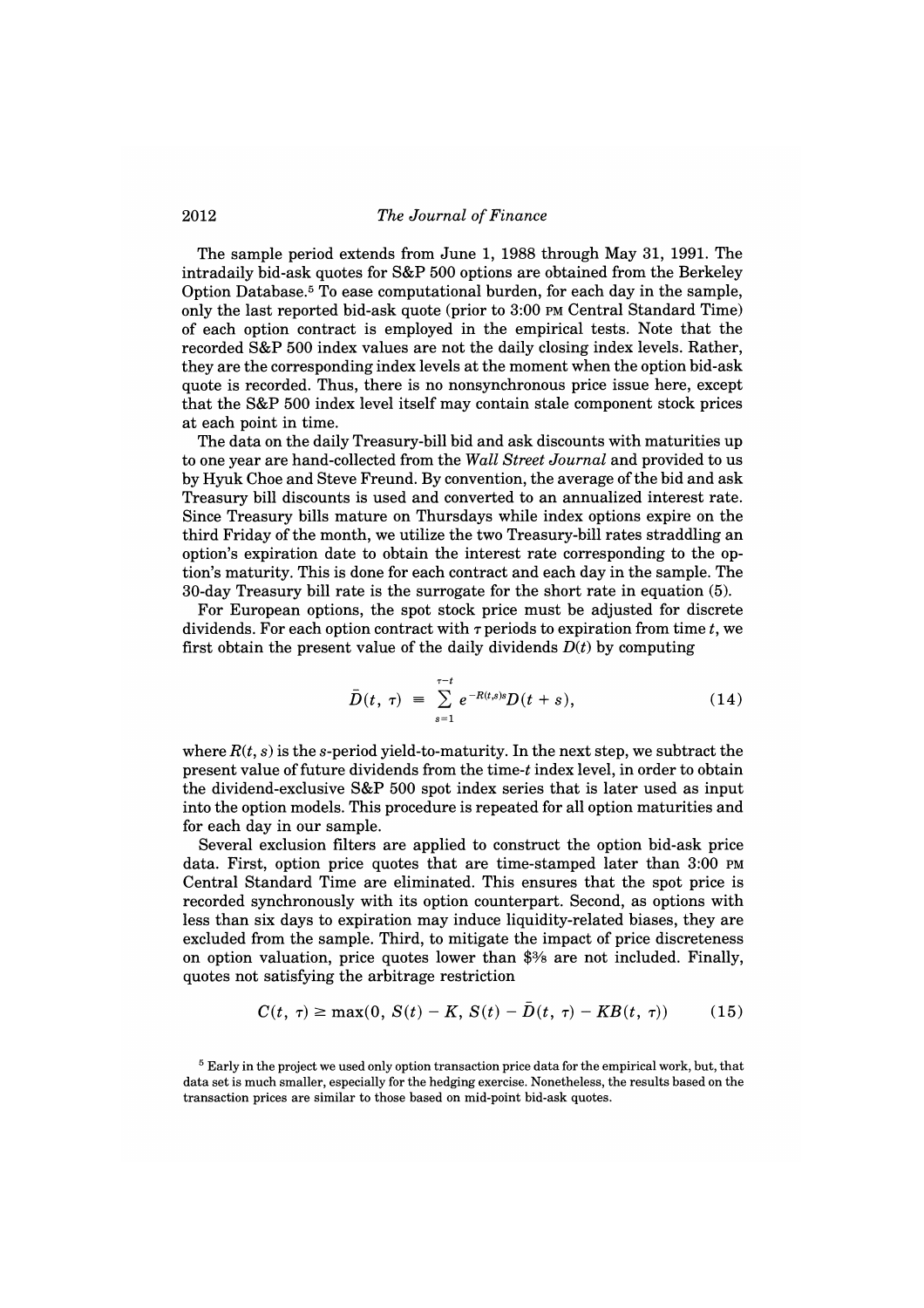**The sample period extends from June 1, 1988 through May 31, 1991. The intradaily bid-ask quotes for S&P 500 options are obtained from the Berkeley Option Database.5 To ease computational burden, for each day in the sample, only the last reported bid-ask quote (prior to 3:00 PM Central Standard Time) of each option contract is employed in the empirical tests. Note that the recorded S&P 500 index values are not the daily closing index levels. Rather, they are the corresponding index levels at the moment when the option bid-ask quote is recorded. Thus, there is no nonsynchronous price issue here, except that the S&P 500 index level itself may contain stale component stock prices at each point in time.** 

**The data on the daily Treasury-bill bid and ask discounts with maturities up to one year are hand-collected from the Wall Street Journal and provided to us by Hyuk Choe and Steve Freund. By convention, the average of the bid and ask Treasury bill discounts is used and converted to an annualized interest rate. Since Treasury bills mature on Thursdays while index options expire on the third Friday of the month, we utilize the two Treasury-bill rates straddling an option's expiration date to obtain the interest rate corresponding to the option's maturity. This is done for each contract and each day in the sample. The 30-day Treasury bill rate is the surrogate for the short rate in equation (5).** 

**For European options, the spot stock price must be adjusted for discrete**  dividends. For each option contract with  $\tau$  periods to expiration from time  $t$ , we first obtain the present value of the daily dividends  $D(t)$  by computing

$$
\bar{D}(t, \tau) = \sum_{s=1}^{\tau-t} e^{-R(t,s)s} D(t+s), \qquad (14)
$$

where  $R(t, s)$  is the s-period yield-to-maturity. In the next step, we subtract the **present value of future dividends from the time-t index level, in order to obtain the dividend-exclusive S&P 500 spot index series that is later used as input into the option models. This procedure is repeated for all option maturities and for each day in our sample.** 

**Several exclusion filters are applied to construct the option bid-ask price**  data. First, option price quotes that are time-stamped later than 3:00 PM **Central Standard Time are eliminated. This ensures that the spot price is recorded synchronously with its option counterpart. Second, as options with less than six days to expiration may induce liquidity-related biases, they are excluded from the sample. Third, to mitigate the impact of price discreteness on option valuation, price quotes lower than \$3/8 are not included. Finally, quotes not satisfying the arbitrage restriction** 

$$
C(t, \tau) \ge \max(0, S(t) - K, S(t) - D(t, \tau) - KB(t, \tau)) \tag{15}
$$

**5 Early in the project we used only option transaction price data for the empirical work, but, that data set is much smaller, especially for the hedging exercise. Nonetheless, the results based on the transaction prices are similar to those based on mid-point bid-ask quotes.**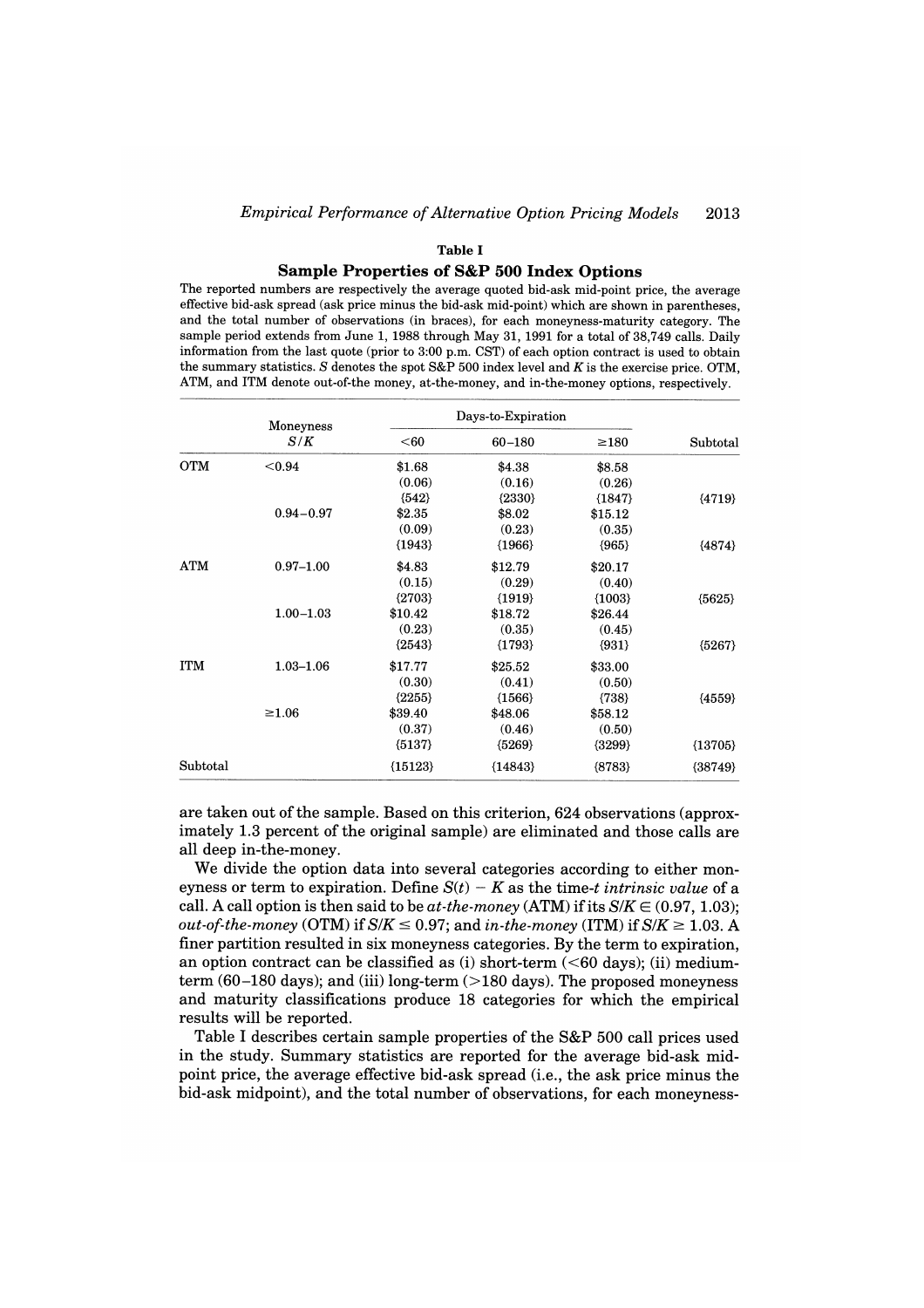### **Table I**

### **Sample Properties of S&P 500 Index Options**

**The reported numbers are respectively the average quoted bid-ask mid-point price, the average effective bid-ask spread (ask price minus the bid-ask mid-point) which are shown in parentheses, and the total number of observations (in braces), for each moneyness-maturity category. The sample period extends from June 1, 1988 through May 31, 1991 for a total of 38,749 calls. Daily information from the last quote (prior to 3:00 p.m. CST) of each option contract is used to obtain the summary statistics. S denotes the spot S&P 500 index level and K is the exercise price. OTM, ATM, and ITM denote out-of-the money, at-the-money, and in-the-money options, respectively.** 

|            | Moneyness     |           | Days-to-Expiration |            |           |
|------------|---------------|-----------|--------------------|------------|-----------|
|            | S/K           | $60$      | $60 - 180$         | $\geq$ 180 | Subtotal  |
| <b>OTM</b> | < 0.94        | \$1.68    | \$4.38             | \$8.58     |           |
|            |               | (0.06)    | (0.16)             | (0.26)     |           |
|            |               | ${542}$   | ${2330}$           | ${1847}$   | ${4719}$  |
|            | $0.94 - 0.97$ | \$2.35    | \$8.02             | \$15.12    |           |
|            |               | (0.09)    | (0.23)             | (0.35)     |           |
|            |               | ${1943}$  | ${1966}$           | (965)      | ${4874}$  |
| <b>ATM</b> | $0.97 - 1.00$ | \$4.83    | \$12.79            | \$20.17    |           |
|            |               | (0.15)    | (0.29)             | (0.40)     |           |
|            |               | ${2703}$  | ${1919}$           | ${1003}$   | ${5625}$  |
|            | $1.00 - 1.03$ | \$10.42   | \$18.72            | \$26.44    |           |
|            |               | (0.23)    | (0.35)             | (0.45)     |           |
|            |               | ${2543}$  | ${1793}$           | $\{931\}$  | (5267)    |
| <b>ITM</b> | $1.03 - 1.06$ | \$17.77   | \$25.52            | \$33.00    |           |
|            |               | (0.30)    | (0.41)             | (0.50)     |           |
|            |               | ${2255}$  | ${1566}$           | ${738}$    | ${4559}$  |
|            | $\geq 1.06$   | \$39.40   | \$48.06            | \$58.12    |           |
|            |               | (0.37)    | (0.46)             | (0.50)     |           |
|            |               | ${5137}$  | ${5269}$           | ${3299}$   | ${13705}$ |
| Subtotal   |               | ${15123}$ | ${14843}$          | ${8783}$   | ${38749}$ |

**are taken out of the sample. Based on this criterion, 624 observations (approximately 1.3 percent of the original sample) are eliminated and those calls are all deep in-the-money.** 

**We divide the option data into several categories according to either mon**eyness or term to expiration. Define  $S(t) - K$  as the time-t intrinsic value of a call. A call option is then said to be at-the-money (ATM) if its  $S/K \in (0.97, 1.03)$ ; *out-of-the-money* **(OTM) if**  $S/K \leq 0.97$ **; and in-the-money (ITM) if**  $S/K \geq 1.03$ **. A finer partition resulted in six moneyness categories. By the term to expiration, an option contract can be classified as (i) short-term (<60 days); (ii) mediumterm (60-180 days); and (iii) long-term (>180 days). The proposed moneyness and maturity classifications produce 18 categories for which the empirical results will be reported.** 

**Table I describes certain sample properties of the S&P 500 call prices used in the study. Summary statistics are reported for the average bid-ask midpoint price, the average effective bid-ask spread (i.e., the ask price minus the bid-ask midpoint), and the total number of observations, for each moneyness-**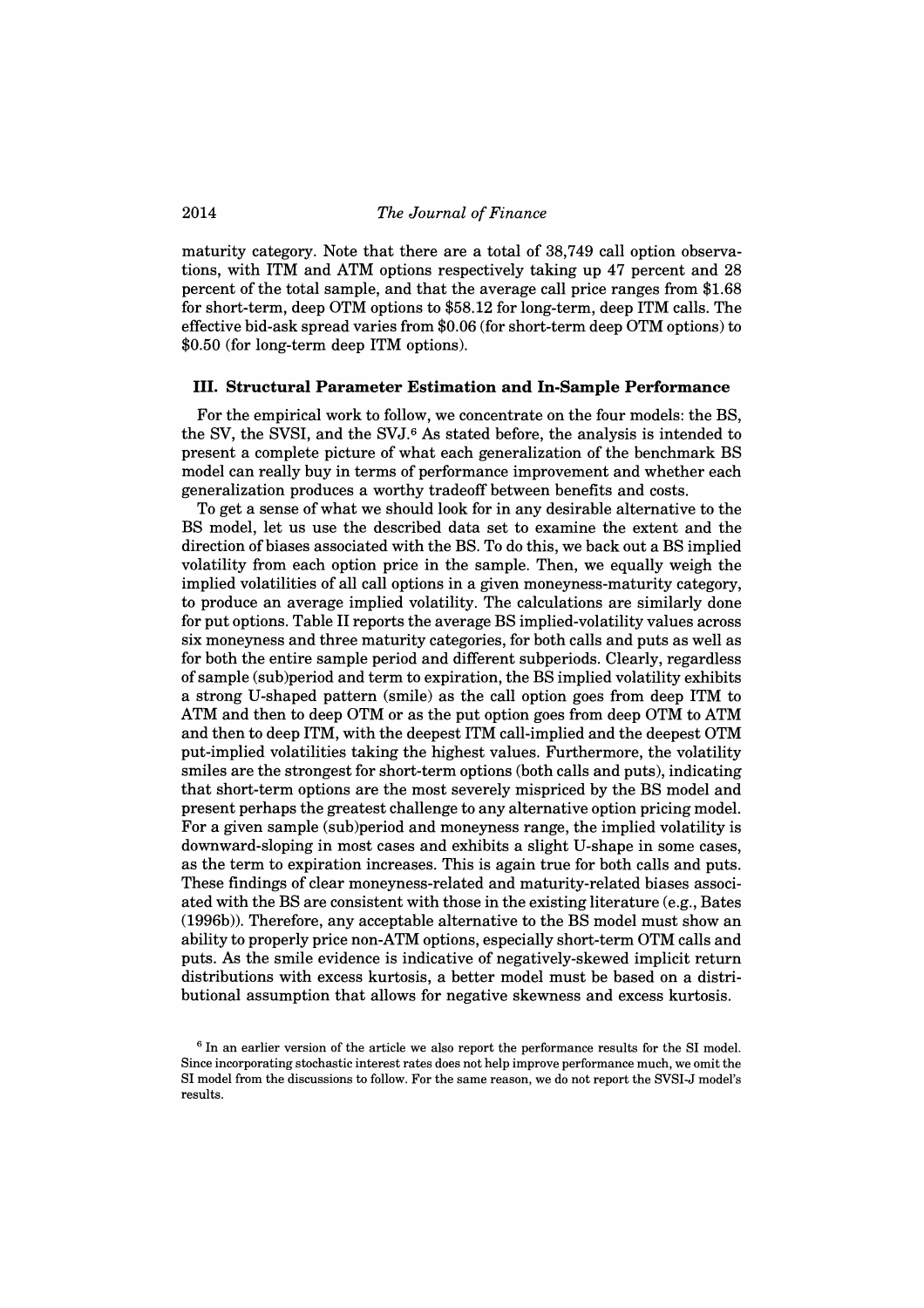**maturity category. Note that there are a total of 38,749 call option observations, with ITM and ATM options respectively taking up 47 percent and 28 percent of the total sample, and that the average call price ranges from \$1.68 for short-term, deep OTM options to \$58.12 for long-term, deep ITM calls. The effective bid-ask spread varies from \$0.06 (for short-term deep OTM options) to \$0.50 (for long-term deep ITM options).** 

# **III. Structural Parameter Estimation and In-Sample Performance**

**For the empirical work to follow, we concentrate on the four models: the BS, the SV, the SVSI, and the SVJ.6 As stated before, the analysis is intended to present a complete picture of what each generalization of the benchmark BS model can really buy in terms of performance improvement and whether each generalization produces a worthy tradeoff between benefits and costs.** 

**To get a sense of what we should look for in any desirable alternative to the BS model, let us use the described data set to examine the extent and the direction of biases associated with the BS. To do this, we back out a BS implied volatility from each option price in the sample. Then, we equally weigh the implied volatilities of all call options in a given moneyness-maturity category, to produce an average implied volatility. The calculations are similarly done for put options. Table II reports the average BS implied-volatility values across six moneyness and three maturity categories, for both calls and puts as well as for both the entire sample period and different subperiods. Clearly, regardless of sample (sub)period and term to expiration, the BS implied volatility exhibits a strong U-shaped pattern (smile) as the call option goes from deep ITM to ATM and then to deep OTM or as the put option goes from deep OTM to ATM and then to deep ITM, with the deepest ITM call-implied and the deepest OTM put-implied volatilities taking the highest values. Furthermore, the volatility smiles are the strongest for short-term options (both calls and puts), indicating that short-term options are the most severely mispriced by the BS model and present perhaps the greatest challenge to any alternative option pricing model. For a given sample (sub)period and moneyness range, the implied volatility is downward-sloping in most cases and exhibits a slight U-shape in some cases, as the term to expiration increases. This is again true for both calls and puts. These findings of clear moneyness-related and maturity-related biases associated with the BS are consistent with those in the existing literature (e.g., Bates (1996b)). Therefore, any acceptable alternative to the BS model must show an ability to properly price non-ATM options, especially short-term OTM calls and puts. As the smile evidence is indicative of negatively-skewed implicit return distributions with excess kurtosis, a better model must be based on a distributional assumption that allows for negative skewness and excess kurtosis.** 

**<sup>6</sup>In an earlier version of the article we also report the performance results for the SI model. Since incorporating stochastic interest rates does not help improve performance much, we omit the SI model from the discussions to follow. For the same reason, we do not report the SVSI-J model's results.**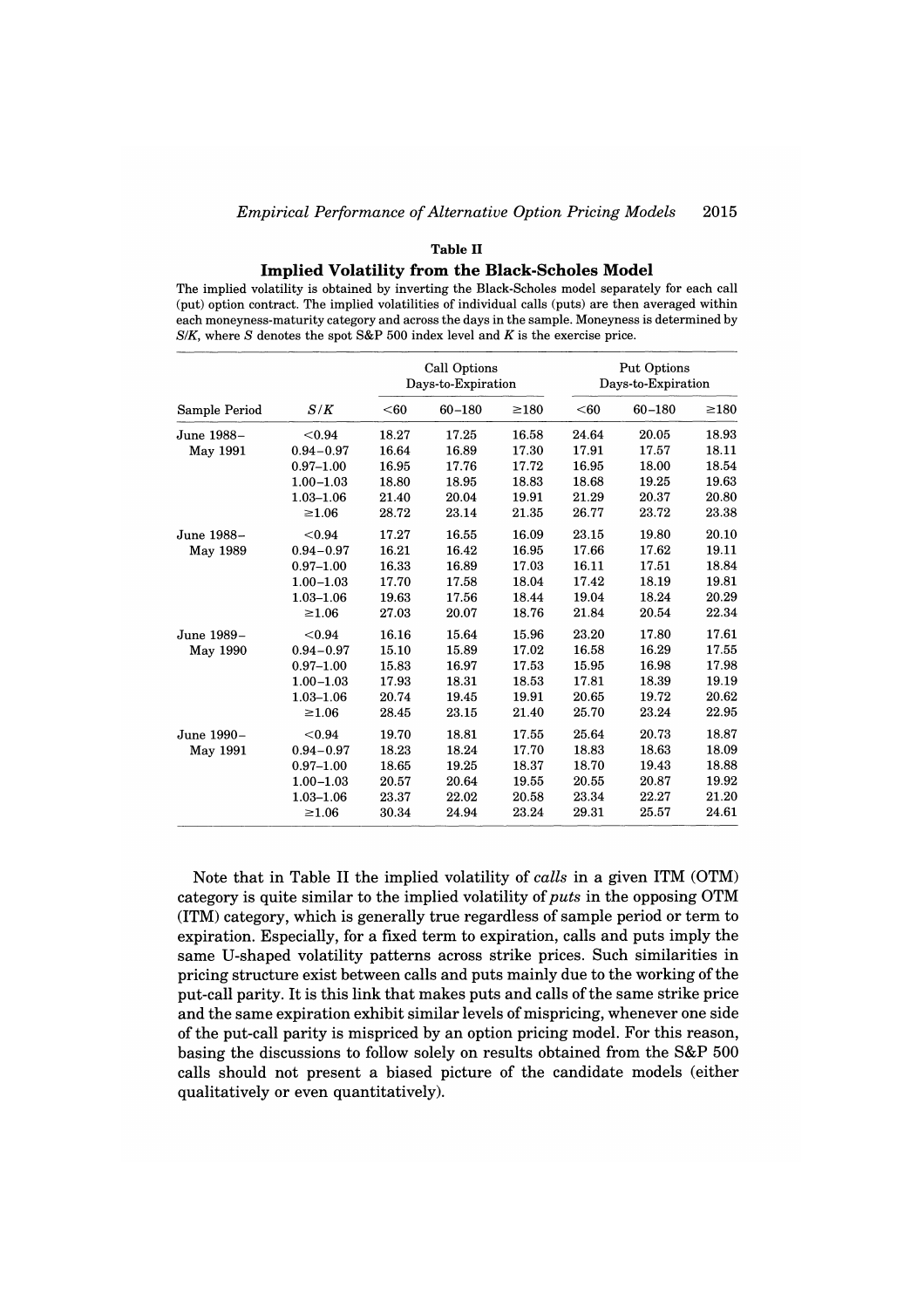# **Table II**

# **Implied Volatility from the Black-Scholes Model**

**The implied volatility is obtained by inverting the Black-Scholes model separately for each call (put) option contract. The implied volatilities of individual calls (puts) are then averaged within each moneyness-maturity category and across the days in the sample. Moneyness is determined by SIK, where S denotes the spot S&P 500 index level and K is the exercise price.** 

|               |               |       | Call Options<br>Days-to-Expiration |            |       | Put Options<br>Days-to-Expiration |            |  |
|---------------|---------------|-------|------------------------------------|------------|-------|-----------------------------------|------------|--|
| Sample Period | S/K           | < 60  | $60 - 180$                         | $\geq$ 180 | $60$  | $60 - 180$                        | $\geq$ 180 |  |
| June 1988-    | < 0.94        | 18.27 | 17.25                              | 16.58      | 24.64 | 20.05                             | 18.93      |  |
| May 1991      | $0.94 - 0.97$ | 16.64 | 16.89                              | 17.30      | 17.91 | 17.57                             | 18.11      |  |
|               | $0.97 - 1.00$ | 16.95 | 17.76                              | 17.72      | 16.95 | 18.00                             | 18.54      |  |
|               | $1.00 - 1.03$ | 18.80 | 18.95                              | 18.83      | 18.68 | 19.25                             | 19.63      |  |
|               | $1.03 - 1.06$ | 21.40 | 20.04                              | 19.91      | 21.29 | 20.37                             | 20.80      |  |
|               | $\geq 1.06$   | 28.72 | 23.14                              | 21.35      | 26.77 | 23.72                             | 23.38      |  |
| June 1988-    | < 0.94        | 17.27 | 16.55                              | 16.09      | 23.15 | 19.80                             | 20.10      |  |
| May 1989      | $0.94 - 0.97$ | 16.21 | 16.42                              | 16.95      | 17.66 | 17.62                             | 19.11      |  |
|               | $0.97 - 1.00$ | 16.33 | 16.89                              | 17.03      | 16.11 | 17.51                             | 18.84      |  |
|               | $1.00 - 1.03$ | 17.70 | 17.58                              | 18.04      | 17.42 | 18.19                             | 19.81      |  |
|               | $1.03 - 1.06$ | 19.63 | 17.56                              | 18.44      | 19.04 | 18.24                             | 20.29      |  |
|               | $\geq 1.06$   | 27.03 | 20.07                              | 18.76      | 21.84 | 20.54                             | 22.34      |  |
| June 1989-    | < 0.94        | 16.16 | 15.64                              | 15.96      | 23.20 | 17.80                             | 17.61      |  |
| May 1990      | $0.94 - 0.97$ | 15.10 | 15.89                              | 17.02      | 16.58 | 16.29                             | 17.55      |  |
|               | $0.97 - 1.00$ | 15.83 | 16.97                              | 17.53      | 15.95 | 16.98                             | 17.98      |  |
|               | $1.00 - 1.03$ | 17.93 | 18.31                              | 18.53      | 17.81 | 18.39                             | 19.19      |  |
|               | $1.03 - 1.06$ | 20.74 | 19.45                              | 19.91      | 20.65 | 19.72                             | 20.62      |  |
|               | $\geq 1.06$   | 28.45 | 23.15                              | 21.40      | 25.70 | 23.24                             | 22.95      |  |
| June 1990-    | < 0.94        | 19.70 | 18.81                              | 17.55      | 25.64 | 20.73                             | 18.87      |  |
| May 1991      | $0.94 - 0.97$ | 18.23 | 18.24                              | 17.70      | 18.83 | 18.63                             | 18.09      |  |
|               | $0.97 - 1.00$ | 18.65 | 19.25                              | 18.37      | 18.70 | 19.43                             | 18.88      |  |
|               | $1.00 - 1.03$ | 20.57 | 20.64                              | 19.55      | 20.55 | 20.87                             | 19.92      |  |
|               | $1.03 - 1.06$ | 23.37 | 22.02                              | 20.58      | 23.34 | 22.27                             | 21.20      |  |
|               | $\geq 1.06$   | 30.34 | 24.94                              | 23.24      | 29.31 | 25.57                             | 24.61      |  |
|               |               |       |                                    |            |       |                                   |            |  |

**Note that in Table II the implied volatility of calls in a given ITM (OTM) category is quite similar to the implied volatility of puts in the opposing OTM (ITM) category, which is generally true regardless of sample period or term to expiration. Especially, for a fixed term to expiration, calls and puts imply the same U-shaped volatility patterns across strike prices. Such similarities in pricing structure exist between calls and puts mainly due to the working of the put-call parity. It is this link that makes puts and calls of the same strike price and the same expiration exhibit similar levels of mispricing, whenever one side of the put-call parity is mispriced by an option pricing model. For this reason, basing the discussions to follow solely on results obtained from the S&P 500 calls should not present a biased picture of the candidate models (either qualitatively or even quantitatively).**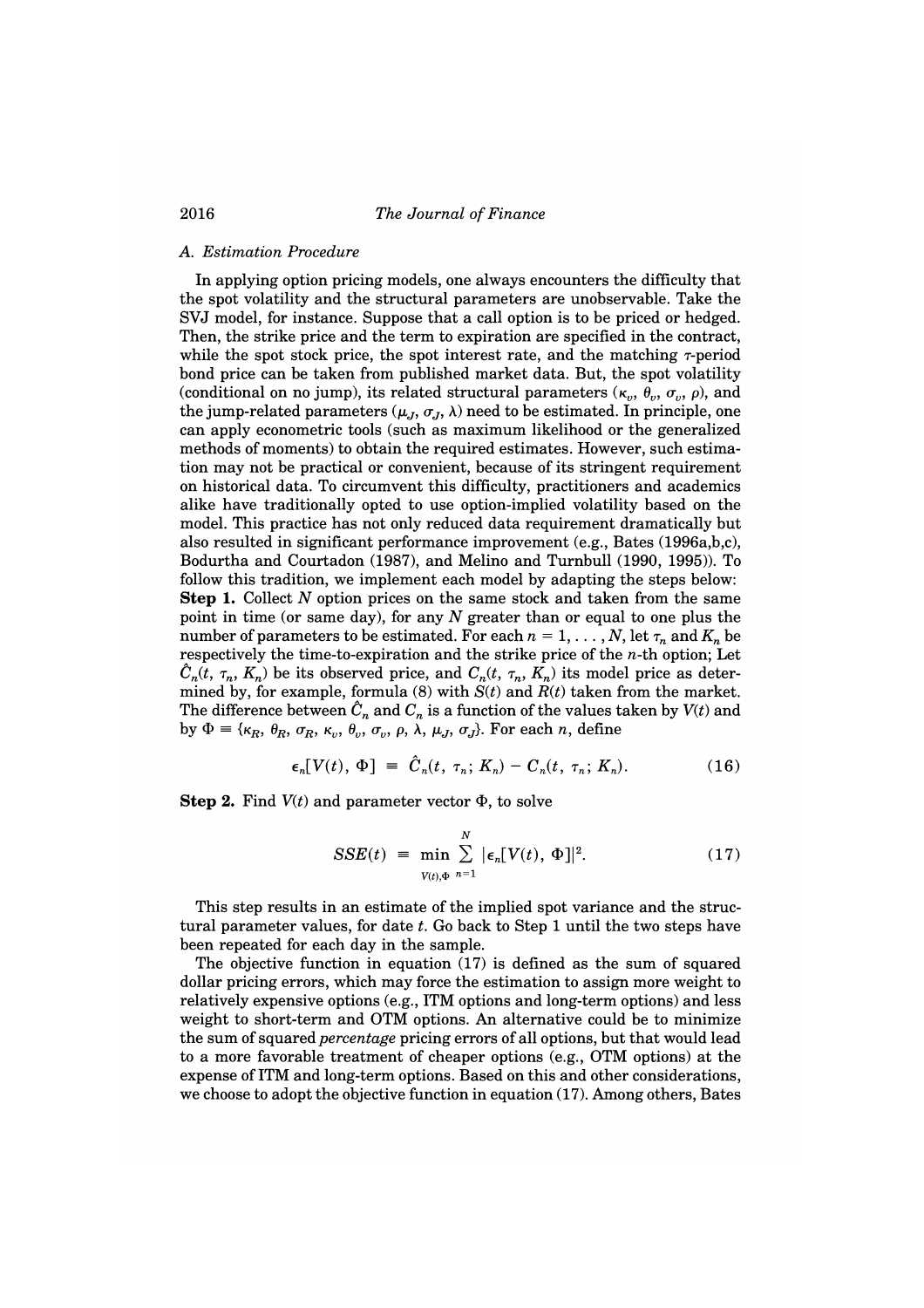### **A. Estimation Procedure**

**In applying option pricing models, one always encounters the difficulty that the spot volatility and the structural parameters are unobservable. Take the SVJ model, for instance. Suppose that a call option is to be priced or hedged. Then, the strike price and the term to expiration are specified in the contract,**  while the spot stock price, the spot interest rate, and the matching  $\tau$ -period **bond price can be taken from published market data. But, the spot volatility**  (conditional on no jump), its related structural parameters  $(\kappa_v, \theta_v, \sigma_v, \rho)$ , and the jump-related parameters  $(\mu_J, \sigma_J, \lambda)$  need to be estimated. In principle, one **can apply econometric tools (such as maximum likelihood or the generalized methods of moments) to obtain the required estimates. However, such estimation may not be practical or convenient, because of its stringent requirement on historical data. To circumvent this difficulty, practitioners and academics alike have traditionally opted to use option-implied volatility based on the model. This practice has not only reduced data requirement dramatically but also resulted in significant performance improvement (e.g., Bates (1996a,b,c), Bodurtha and Courtadon (1987), and Melino and Turnbull (1990, 1995)). To follow this tradition, we implement each model by adapting the steps below: Step 1. Collect N option prices on the same stock and taken from the same point in time (or same day), for any N greater than or equal to one plus the number of parameters to be estimated. For each**  $n = 1, \ldots, N$ **, let**  $\tau_n$  **and**  $K_n$  **be respectively the time-to-expiration and the strike price of the n-th option; Let**   $\hat{C}_n(t, \tau_n, K_n)$  be its observed price, and  $C_n(t, \tau_n, K_n)$  its model price as determined by, for example, formula (8) with  $S(t)$  and  $R(t)$  taken from the market. The difference between  $\hat{C}_n$  and  $C_n$  is a function of the values taken by  $V(t)$  and by  $\Phi = {\kappa_R, \theta_R, \sigma_R, \kappa_v, \theta_v, \sigma_v, \rho, \lambda, \mu_J, \sigma_J}.$  For each *n*, define

$$
\epsilon_n[V(t),\,\Phi] \,\equiv\,\, \dot{C}_n(t,\,\tau_n;\,K_n) \,-\,C_n(t,\,\tau_n;\,K_n). \qquad \qquad (16)
$$

**Step 2.** Find  $V(t)$  and parameter vector  $\Phi$ , to solve

$$
SSE(t) = \min_{V(t), \Phi} \sum_{n=1}^{N} |\epsilon_n[V(t), \Phi]|^2.
$$
 (17)

**This step results in an estimate of the implied spot variance and the structural parameter values, for date t. Go back to Step 1 until the two steps have been repeated for each day in the sample.** 

**The objective function in equation (17) is defined as the sum of squared dollar pricing errors, which may force the estimation to assign more weight to relatively expensive options (e.g., ITM options and long-term options) and less weight to short-term and OTM options. An alternative could be to minimize the sum of squared percentage pricing errors of all options, but that would lead to a more favorable treatment of cheaper options (e.g., OTM options) at the expense of ITM and long-term options. Based on this and other considerations, we choose to adopt the objective function in equation (17). Among others, Bates**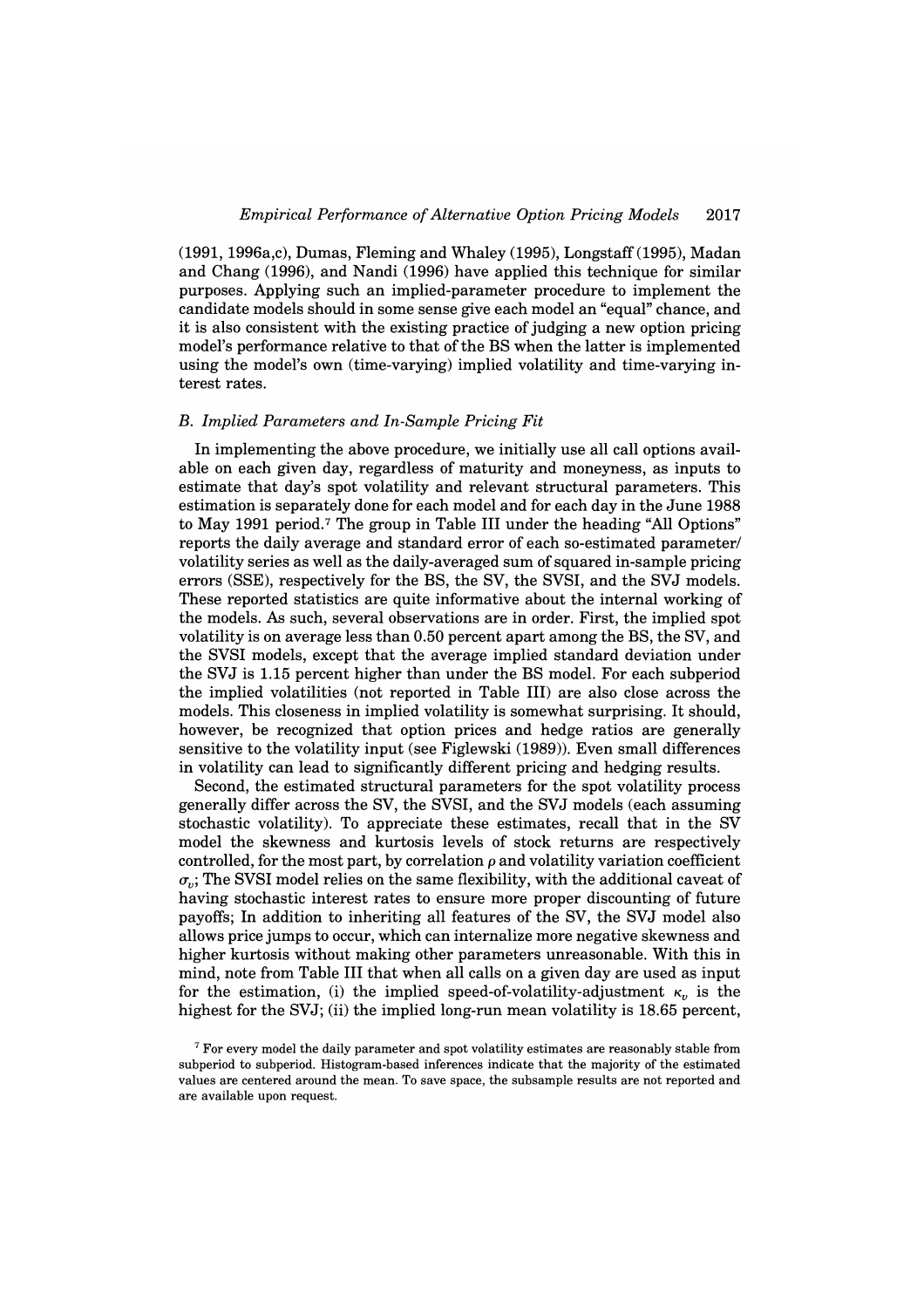**(1991, 1996a,c), Dumas, Fleming and Whaley (1995), Longstaff (1995), Madan and Chang (1996), and Nandi (1996) have applied this technique for similar purposes. Applying such an implied-parameter procedure to implement the candidate models should in some sense give each model an "equal" chance, and it is also consistent with the existing practice of judging a new option pricing model's performance relative to that of the BS when the latter is implemented using the model's own (time-varying) implied volatility and time-varying interest rates.** 

# **B. Implied Parameters and In-Sample Pricing Fit**

**In implementing the above procedure, we initially use all call options available on each given day, regardless of maturity and moneyness, as inputs to estimate that day's spot volatility and relevant structural parameters. This estimation is separately done for each model and for each day in the June 1988 to May 1991 period.7 The group in Table III under the heading "All Options" reports the daily average and standard error of each so-estimated parameter/ volatility series as well as the daily-averaged sum of squared in-sample pricing errors (SSE), respectively for the BS, the SV, the SVSI, and the SVJ models. These reported statistics are quite informative about the internal working of the models. As such, several observations are in order. First, the implied spot volatility is on average less than 0.50 percent apart among the BS, the SV, and the SVSI models, except that the average implied standard deviation under the SVJ is 1.15 percent higher than under the BS model. For each subperiod the implied volatilities (not reported in Table III) are also close across the models. This closeness in implied volatility is somewhat surprising. It should, however, be recognized that option prices and hedge ratios are generally sensitive to the volatility input (see Figlewski (1989)). Even small differences in volatility can lead to significantly different pricing and hedging results.** 

**Second, the estimated structural parameters for the spot volatility process generally differ across the SV, the SVSI, and the SVJ models (each assuming stochastic volatility). To appreciate these estimates, recall that in the SV model the skewness and kurtosis levels of stock returns are respectively**  controlled, for the most part, by correlation  $\rho$  and volatility variation coefficient  $\sigma_n$ ; The SVSI model relies on the same flexibility, with the additional caveat of **having stochastic interest rates to ensure more proper discounting of future payoffs; In addition to inheriting all features of the SV, the SVJ model also allows price jumps to occur, which can internalize more negative skewness and higher kurtosis without making other parameters unreasonable. With this in mind, note from Table III that when all calls on a given day are used as input**  for the estimation, (i) the implied speed-of-volatility-adjustment  $\kappa_{\nu}$  is the **highest for the SVJ; (ii) the implied long-run mean volatility is 18.65 percent,** 

**<sup>7</sup> For every model the daily parameter and spot volatility estimates are reasonably stable from subperiod to subperiod. Histogram-based inferences indicate that the majority of the estimated values are centered around the mean. To save space, the subsample results are not reported and are available upon request.**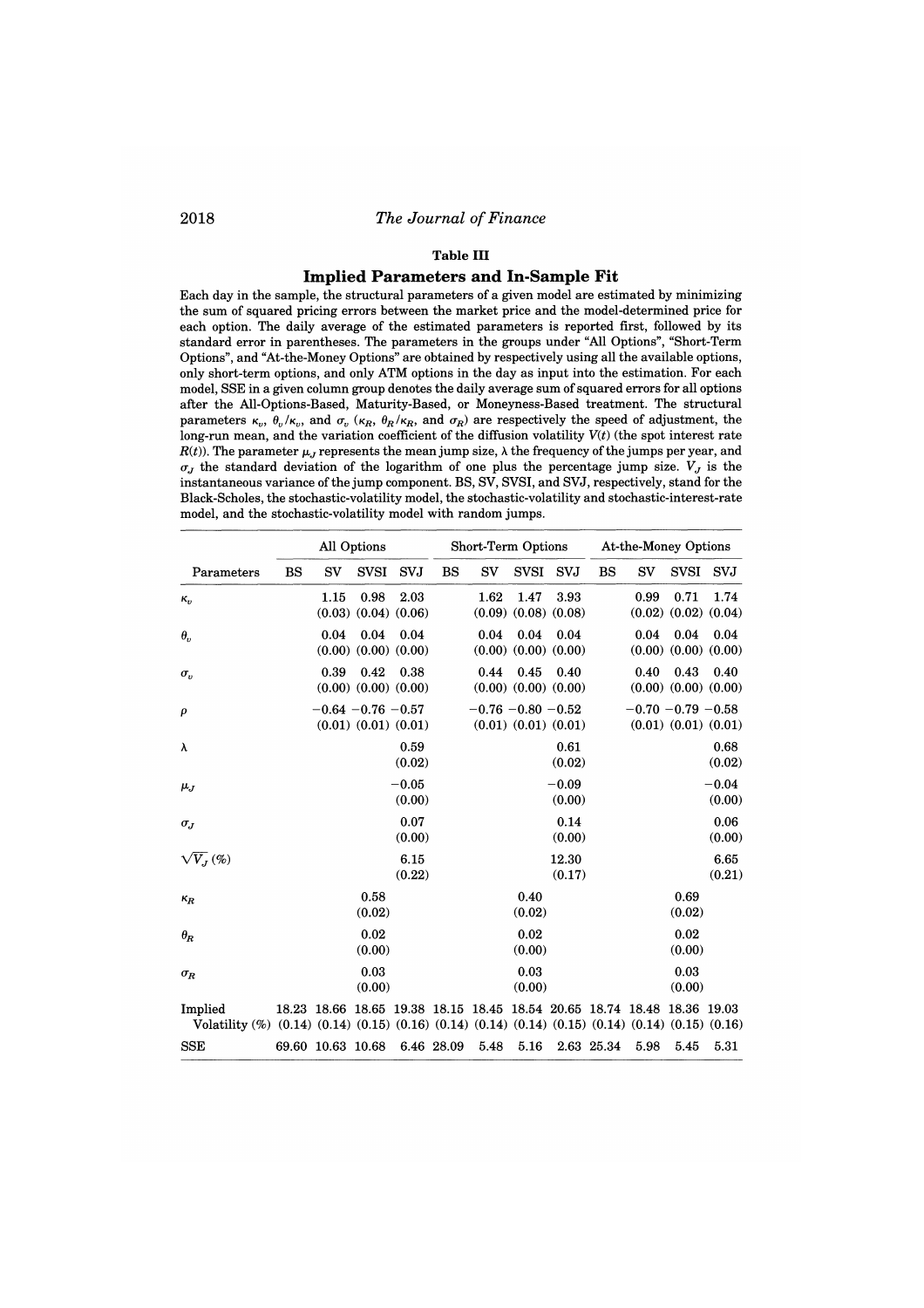# **Table III**

# **Implied Parameters and In-Sample Fit**

**Each day in the sample, the structural parameters of a given model are estimated by minimizing the sum of squared pricing errors between the market price and the model-determined price for each option. The daily average of the estimated parameters is reported first, followed by its standard error in parentheses. The parameters in the groups under "All Options", "Short-Term Options", and "At-the-Money Options" are obtained by respectively using all the available options, only short-term options, and only ATM options in the day as input into the estimation. For each model, SSE in a given column group denotes the daily average sum of squared errors for all options after the All-Options-Based, Maturity-Based, or Moneyness-Based treatment. The structural parameters**  $\kappa_v$ ,  $\theta_v/\kappa_v$ , and  $\sigma_v$  ( $\kappa_R$ ,  $\theta_R/\kappa_R$ , and  $\sigma_R$ ) are respectively the speed of adjustment, the long-run mean, and the variation coefficient of the diffusion volatility  $V(t)$  (the spot interest rate  $R(t)$ ). The parameter  $\mu_J$  represents the mean jump size,  $\lambda$  the frequency of the jumps per year, and  $\sigma_J$  the standard deviation of the logarithm of one plus the percentage jump size.  $V_J$  is the **instantaneous variance of the jump component. BS, SV, SVSI, and SVJ, respectively, stand for the Black-Scholes, the stochastic-volatility model, the stochastic-volatility and stochastic-interest-rate model, and the stochastic-volatility model with random jumps.** 

|                                                                                                                                       |           |                   | All Options                                         |                   |            | Short-Term Options                                                      |                                    |                   |            |           | <b>At-the-Money Options</b>                       |                   |
|---------------------------------------------------------------------------------------------------------------------------------------|-----------|-------------------|-----------------------------------------------------|-------------------|------------|-------------------------------------------------------------------------|------------------------------------|-------------------|------------|-----------|---------------------------------------------------|-------------------|
| Parameters                                                                                                                            | <b>BS</b> | $_{\rm SV}$       | <b>SVSI</b>                                         | SVI               | <b>BS</b>  | <b>SV</b>                                                               | <b>SVSI</b>                        | <b>SVJ</b>        | <b>BS</b>  | <b>SV</b> | <b>SVSI</b>                                       | <b>SVJ</b>        |
| $\kappa_v$                                                                                                                            |           | 1.15              | 0.98<br>$(0.03)$ $(0.04)$ $(0.06)$                  | 2.03              |            | 1.62                                                                    | 1.47<br>$(0.09)$ $(0.08)$ $(0.08)$ | 3.93              |            | 0.99      | 0.71<br>$(0.02)$ $(0.02)$ $(0.04)$                | 1.74              |
| $\theta_{v}$                                                                                                                          |           | 0.04              | 0.04<br>$(0.00)$ $(0.00)$ $(0.00)$                  | 0.04              |            | 0.04                                                                    | 0.04<br>$(0.00)$ $(0.00)$ $(0.00)$ | 0.04              |            | 0.04      | 0.04<br>$(0.00)$ $(0.00)$ $(0.00)$                | 0.04              |
| $\sigma_{v}$                                                                                                                          |           | 0.39              | 0.42<br>$(0.00)$ $(0.00)$ $(0.00)$                  | 0.38              |            | 0.44                                                                    | 0.45<br>$(0.00)$ $(0.00)$ $(0.00)$ | 0.40              |            | 0.40      | 0.43<br>$(0.00)$ $(0.00)$ $(0.00)$                | 0.40              |
| ρ                                                                                                                                     |           |                   | $-0.64 - 0.76 - 0.57$<br>$(0.01)$ $(0.01)$ $(0.01)$ |                   |            | $-0.76 - 0.80 - 0.52$                                                   | $(0.01)$ $(0.01)$ $(0.01)$         |                   |            |           | $-0.70 -0.79 -0.58$<br>$(0.01)$ $(0.01)$ $(0.01)$ |                   |
| λ                                                                                                                                     |           |                   |                                                     | 0.59<br>(0.02)    |            |                                                                         |                                    | 0.61<br>(0.02)    |            |           |                                                   | 0.68<br>(0.02)    |
| $\mu_J$                                                                                                                               |           |                   |                                                     | $-0.05$<br>(0.00) |            |                                                                         |                                    | $-0.09$<br>(0.00) |            |           |                                                   | $-0.04$<br>(0.00) |
| $\sigma_{J}$                                                                                                                          |           |                   |                                                     | 0.07<br>(0.00)    |            |                                                                         |                                    | 0.14<br>(0.00)    |            |           |                                                   | 0.06<br>(0.00)    |
| $\sqrt{V_J}(\%)$                                                                                                                      |           |                   |                                                     | 6.15<br>(0.22)    |            |                                                                         |                                    | 12.30<br>(0.17)   |            |           |                                                   | 6.65<br>(0.21)    |
| $\kappa_R$                                                                                                                            |           |                   | 0.58<br>(0.02)                                      |                   |            |                                                                         | 0.40<br>(0.02)                     |                   |            |           | 0.69<br>(0.02)                                    |                   |
| $\theta_R$                                                                                                                            |           |                   | 0.02<br>(0.00)                                      |                   |            |                                                                         | 0.02<br>(0.00)                     |                   |            |           | 0.02<br>(0.00)                                    |                   |
| $\sigma_R$                                                                                                                            |           |                   | 0.03<br>(0.00)                                      |                   |            |                                                                         | 0.03<br>(0.00)                     |                   |            |           | 0.03<br>(0.00)                                    |                   |
| Implied<br>Volatility (%) $(0.14)$ $(0.14)$ $(0.15)$ $(0.16)$ $(0.14)$ $(0.14)$ $(0.14)$ $(0.15)$ $(0.14)$ $(0.14)$ $(0.15)$ $(0.16)$ |           |                   |                                                     |                   |            | 18.23 18.66 18.65 19.38 18.15 18.45 18.54 20.65 18.74 18.48 18.36 19.03 |                                    |                   |            |           |                                                   |                   |
| <b>SSE</b>                                                                                                                            |           | 69.60 10.63 10.68 |                                                     |                   | 6.46 28.09 | 5.48                                                                    | 5.16                               |                   | 2.63 25.34 | 5.98      | 5.45                                              | 5.31              |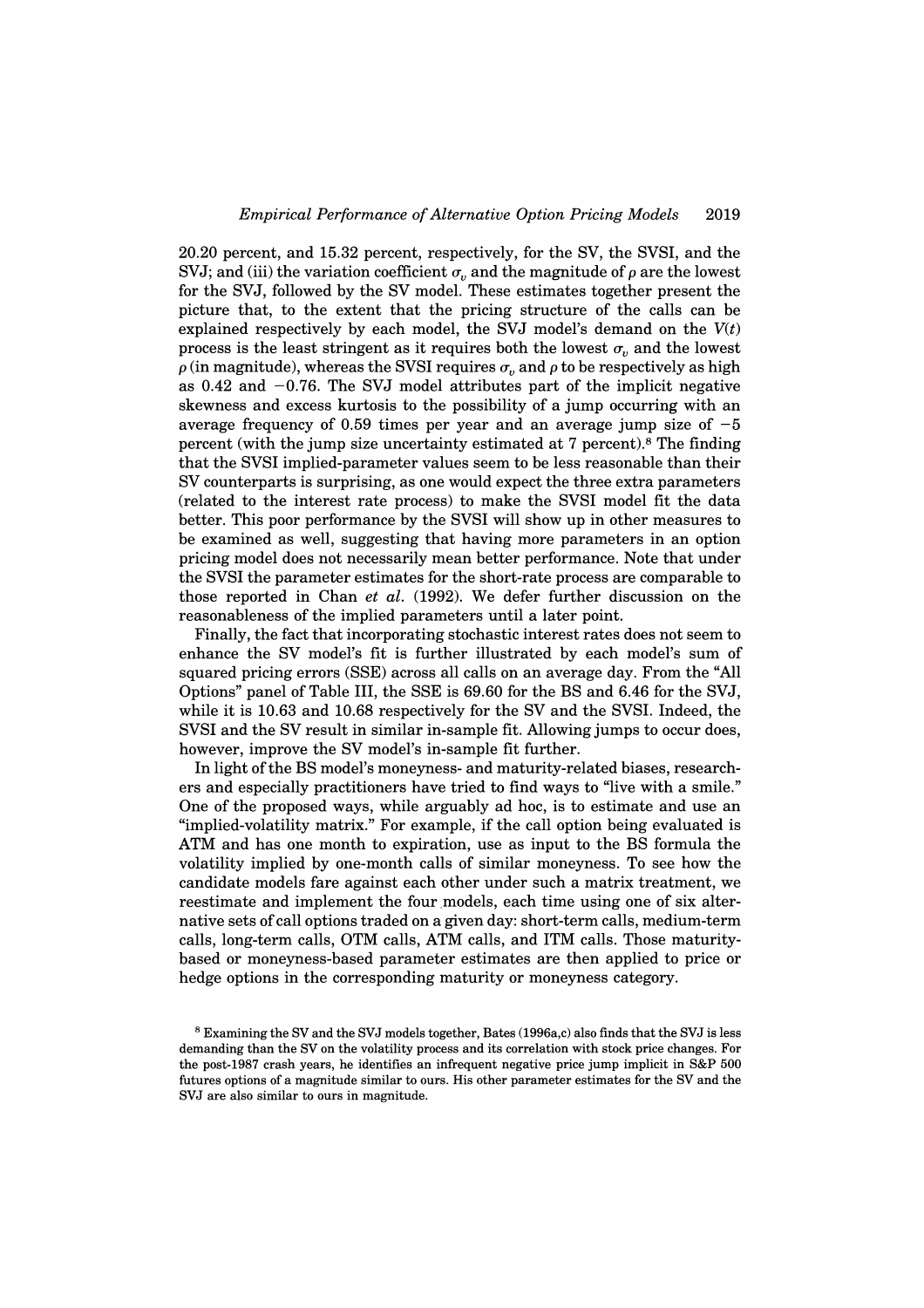**20.20 percent, and 15.32 percent, respectively, for the SV, the SVSI, and the SVJ;** and (iii) the variation coefficient  $\sigma$ , and the magnitude of  $\rho$  are the lowest **for the SVJ, followed by the SV model. These estimates together present the picture that, to the extent that the pricing structure of the calls can be**  explained respectively by each model, the SVJ model's demand on the  $V(t)$ process is the least stringent as it requires both the lowest  $\sigma_n$  and the lowest  $\rho$  (in magnitude), whereas the SVSI requires  $\sigma_n$  and  $\rho$  to be respectively as high **as 0.42 and -0.76. The SVJ model attributes part of the implicit negative skewness and excess kurtosis to the possibility of a jump occurring with an**  average frequency of  $0.59$  times per year and an average jump size of  $-5$ **percent (with the jump size uncertainty estimated at 7 percent).8 The finding that the SVSI implied-parameter values seem to be less reasonable than their SV counterparts is surprising, as one would expect the three extra parameters (related to the interest rate process) to make the SVSI model fit the data better. This poor performance by the SVSI will show up in other measures to be examined as well, suggesting that having more parameters in an option pricing model does not necessarily mean better performance. Note that under the SVSI the parameter estimates for the short-rate process are comparable to those reported in Chan et al. (1992). We defer further discussion on the reasonableness of the implied parameters until a later point.** 

**Finally, the fact that incorporating stochastic interest rates does not seem to enhance the SV model's fit is further illustrated by each model's sum of squared pricing errors (SSE) across all calls on an average day. From the "All Options" panel of Table III, the SSE is 69.60 for the BS and 6.46 for the SVJ, while it is 10.63 and 10.68 respectively for the SV and the SVSI. Indeed, the SVSI and the SV result in similar in-sample fit. Allowing jumps to occur does, however, improve the SV model's in-sample fit further.** 

**In light of the BS model's moneyness- and maturity-related biases, researchers and especially practitioners have tried to find ways to "live with a smile." One of the proposed ways, while arguably ad hoc, is to estimate and use an "implied-volatility matrix." For example, if the call option being evaluated is ATM and has one month to expiration, use as input to the BS formula the volatility implied by one-month calls of similar moneyness. To see how the candidate models fare against each other under such a matrix treatment, we**  reestimate and implement the four models, each time using one of six alter**native sets of call options traded on a given day: short-term calls, medium-term calls, long-term calls, OTM calls, ATM calls, and ITM calls. Those maturitybased or moneyness-based parameter estimates are then applied to price or hedge options in the corresponding maturity or moneyness category.** 

**<sup>8</sup> Examining the SV and the SVJ models together, Bates (1996a,c) also finds that the SVJ is less demanding than the SV on the volatility process and its correlation with stock price changes. For the post-1987 crash years, he identifies an infrequent negative price jump implicit in S&P 500 futures options of a magnitude similar to ours. His other parameter estimates for the SV and the SVJ are also similar to ours in magnitude.**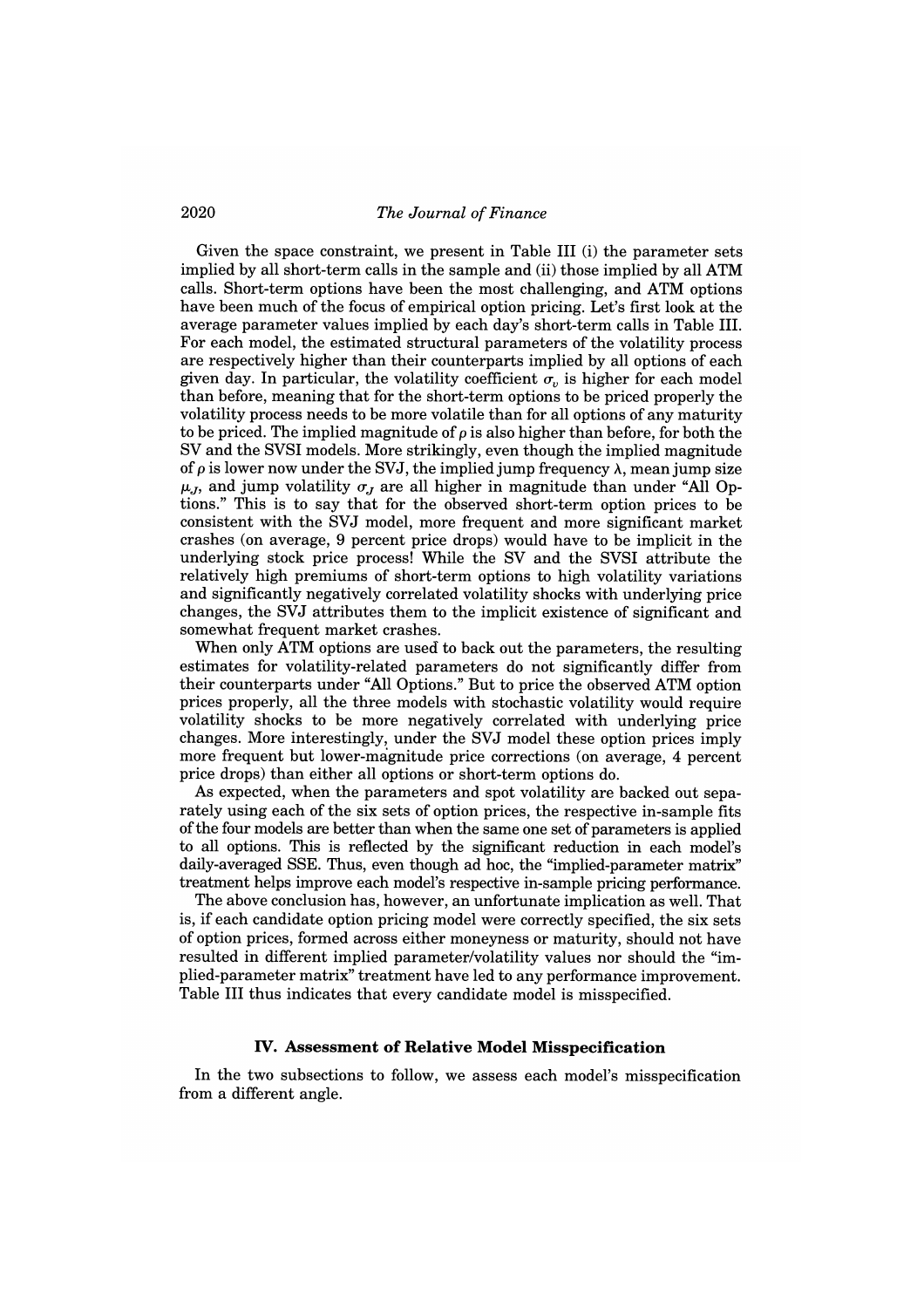**Given the space constraint, we present in Table III (i) the parameter sets implied by all short-term calls in the sample and (ii) those implied by all ATM calls. Short-term options have been the most challenging, and ATM options have been much of the focus of empirical option pricing. Let's first look at the average parameter values implied by each day's short-term calls in Table III. For each model, the estimated structural parameters of the volatility process are respectively higher than their counterparts implied by all options of each**  given day. In particular, the volatility coefficient  $\sigma_n$  is higher for each model **than before, meaning that for the short-term options to be priced properly the volatility process needs to be more volatile than for all options of any maturity**  to be priced. The implied magnitude of  $\rho$  is also higher than before, for both the **SV and the SVSI models. More strikingly, even though the implied magnitude**  of  $\rho$  is lower now under the SVJ, the implied jump frequency  $\lambda$ , mean jump size  $\mu_{J}$ , and jump volatility  $\sigma_{J}$  are all higher in magnitude than under "All Op**tions." This is to say that for the observed short-term option prices to be consistent with the SVJ model, more frequent and more significant market crashes (on average, 9 percent price drops) would have to be implicit in the underlying stock price process! While the SV and the SVSI attribute the relatively high premiums of short-term options to high volatility variations and significantly negatively correlated volatility shocks with underlying price changes, the SVJ attributes them to the implicit existence of significant and somewhat frequent market crashes.** 

**When only ATM options are used to back out the parameters, the resulting estimates for volatility-related parameters do not significantly differ from their counterparts under "All Options." But to price the observed ATM option prices properly, all the three models with stochastic volatility would require volatility shocks to be more negatively correlated with underlying price changes. More interestingly, under the SVJ model these option prices imply more frequent but lower-magnitude price corrections (on average, 4 percent price drops) than either all options or short-term options do.** 

**As expected, when the parameters and spot volatility are backed out separately using each of the six sets of option prices, the respective in-sample fits of the four models are better than when the same one set of parameters is applied to all options. This is reflected by the significant reduction in each model's daily-averaged SSE. Thus, even though ad hoc, the "implied-parameter matrix" treatment helps improve each model's respective in-sample pricing performance.** 

**The above conclusion has, however, an unfortunate implication as well. That is, if each candidate option pricing model were correctly specified, the six sets of option prices, formed across either moneyness or maturity, should not have resulted in different implied parameter/volatility values nor should the "implied-parameter matrix" treatment have led to any performance improvement. Table III thus indicates that every candidate model is misspecified.** 

# **IV. Assessment of Relative Model Misspecification**

**In the two subsections to follow, we assess each model's misspecification from a different angle.**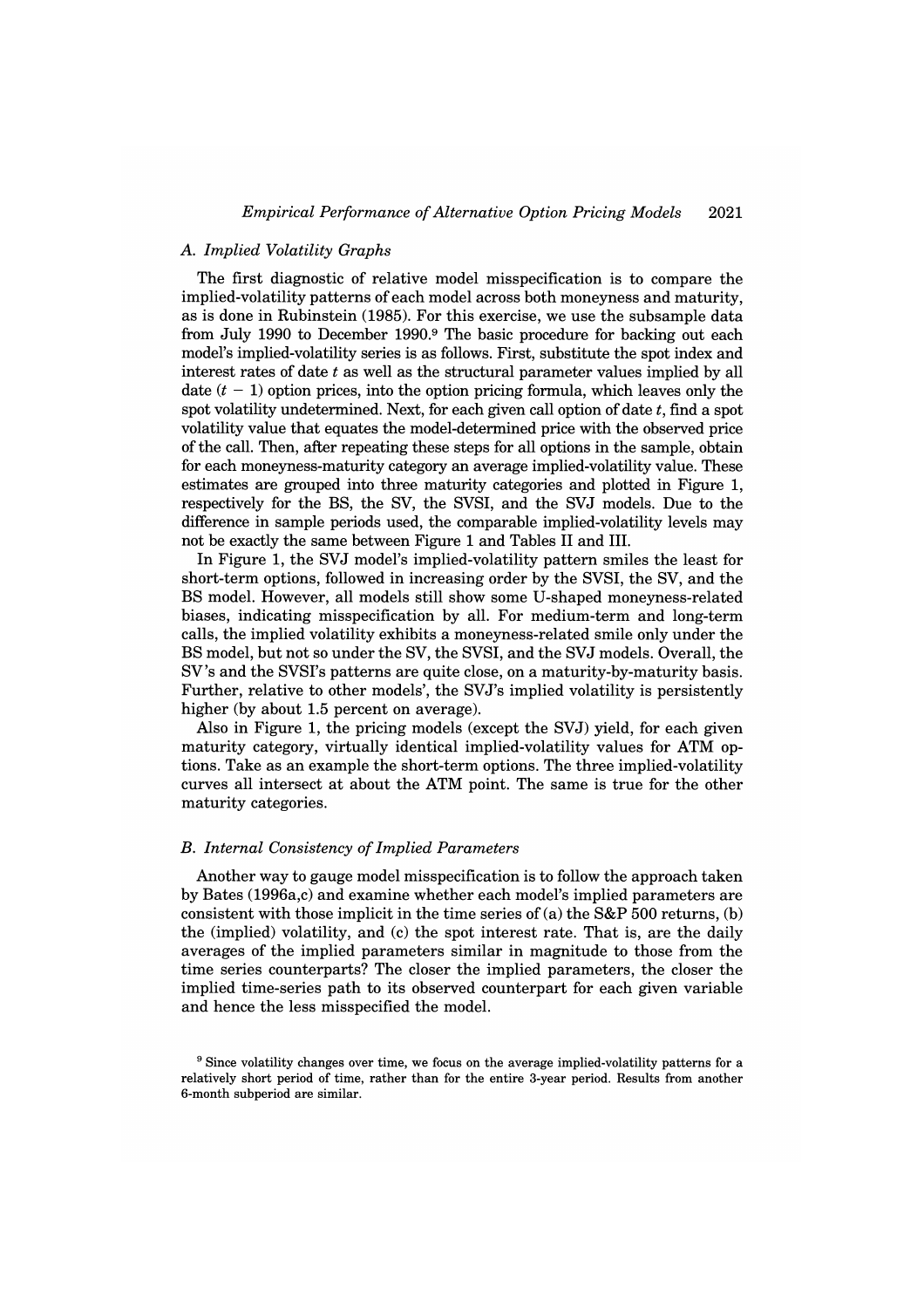# **A. Implied Volatility Graphs**

**The first diagnostic of relative model misspecification is to compare the implied-volatility patterns of each model across both moneyness and maturity, as is done in Rubinstein (1985). For this exercise, we use the subsample data from July 1990 to December 1990.9 The basic procedure for backing out each model's implied-volatility series is as follows. First, substitute the spot index and interest rates of date t as well as the structural parameter values implied by all**  date  $(t - 1)$  option prices, into the option pricing formula, which leaves only the **spot volatility undetermined. Next, for each given call option of date t, find a spot volatility value that equates the model-determined price with the observed price of the call. Then, after repeating these steps for all options in the sample, obtain for each moneyness-maturity category an average implied-volatility value. These estimates are grouped into three maturity categories and plotted in Figure 1, respectively for the BS, the SV, the SVSI, and the SVJ models. Due to the difference in sample periods used, the comparable implied-volatility levels may not be exactly the same between Figure 1 and Tables II and III.** 

**In Figure 1, the SVJ model's implied-volatility pattern smiles the least for short-term options, followed in increasing order by the SVSI, the SV, and the BS model. However, all models still show some U-shaped moneyness-related biases, indicating misspecification by all. For medium-term and long-term calls, the implied volatility exhibits a moneyness-related smile only under the BS model, but not so under the SV, the SVSI, and the SVJ models. Overall, the SV's and the SVSI's patterns are quite close, on a maturity-by-maturity basis. Further, relative to other models', the SVJ's implied volatility is persistently higher (by about 1.5 percent on average).** 

**Also in Figure 1, the pricing models (except the SVJ) yield, for each given maturity category, virtually identical implied-volatility values for ATM options. Take as an example the short-term options. The three implied-volatility curves all intersect at about the ATM point. The same is true for the other maturity categories.** 

### **B. Internal Consistency of Implied Parameters**

**Another way to gauge model misspecification is to follow the approach taken by Bates (1996a,c) and examine whether each model's implied parameters are consistent with those implicit in the time series of (a) the S&P 500 returns, (b) the (implied) volatility, and (c) the spot interest rate. That is, are the daily averages of the implied parameters similar in magnitude to those from the time series counterparts? The closer the implied parameters, the closer the implied time-series path to its observed counterpart for each given variable and hence the less misspecified the model.** 

**<sup>9</sup>Since volatility changes over time, we focus on the average implied-volatility patterns for a relatively short period of time, rather than for the entire 3-year period. Results from another 6-month subperiod are similar.**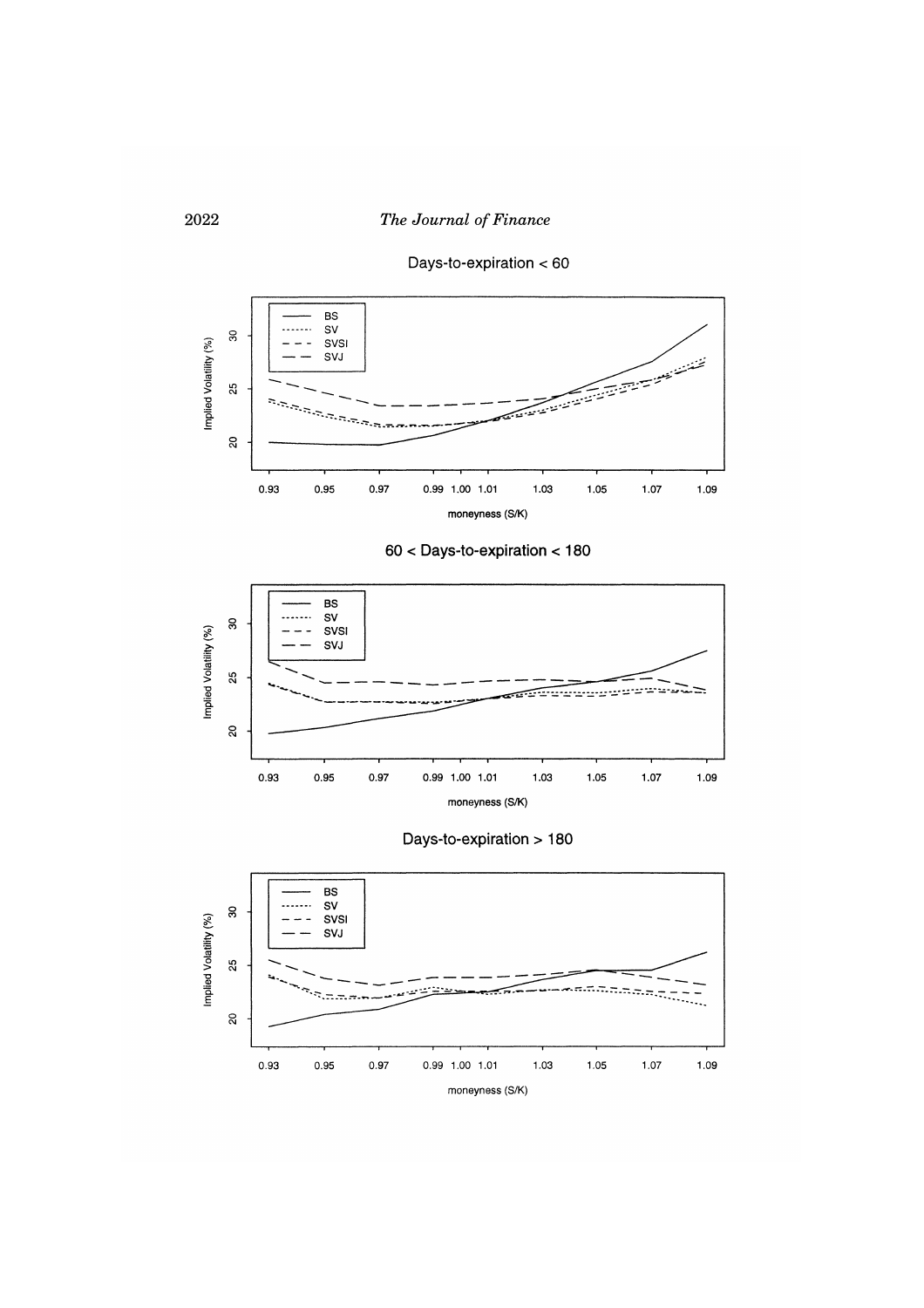

**Days-to-expiration < 60** 







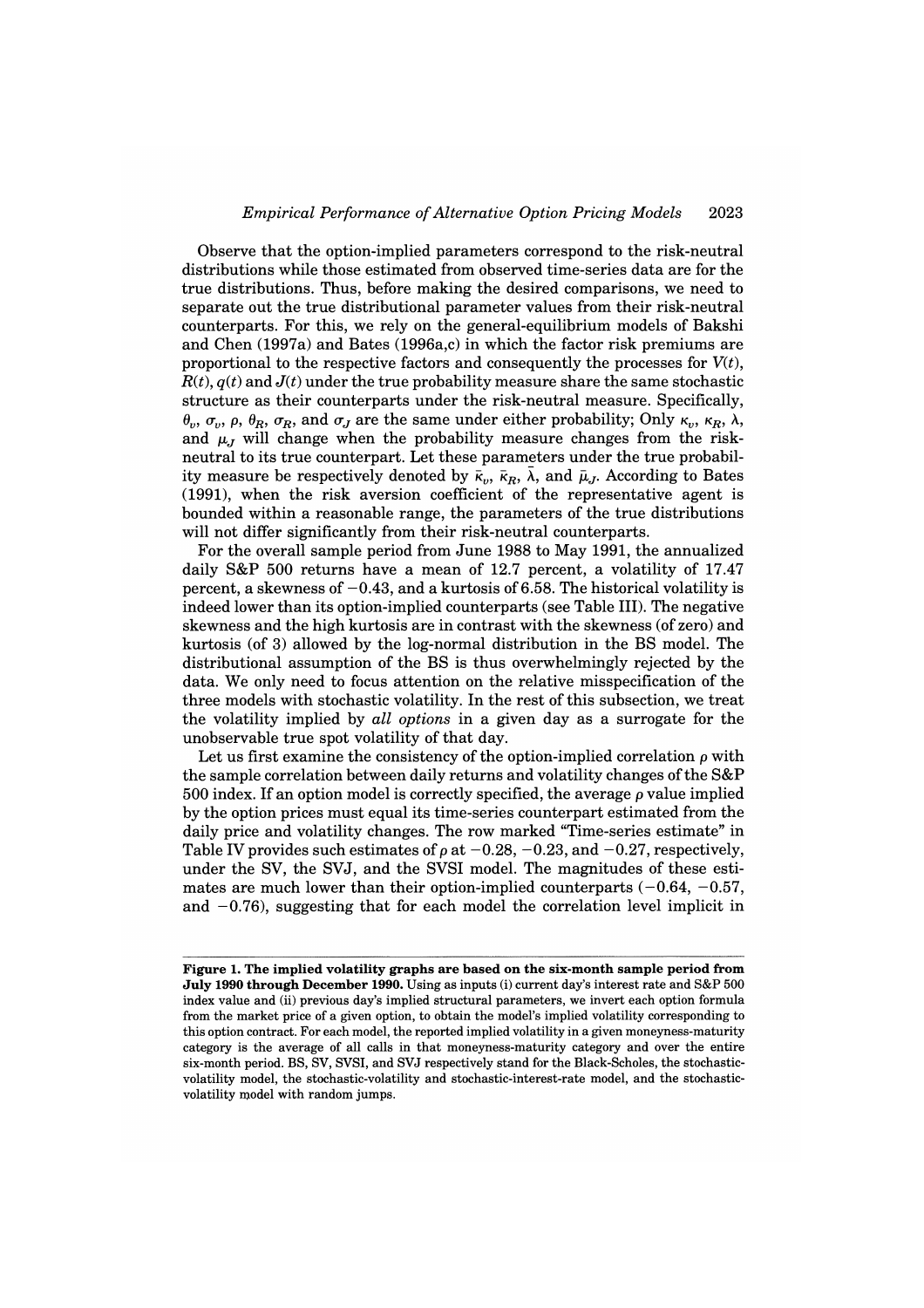**Observe that the option-implied parameters correspond to the risk-neutral distributions while those estimated from observed time-series data are for the true distributions. Thus, before making the desired comparisons, we need to separate out the true distributional parameter values from their risk-neutral counterparts. For this, we rely on the general-equilibrium models of Bakshi and Chen (1997a) and Bates (1996a,c) in which the factor risk premiums are**  proportional to the respective factors and consequently the processes for  $V(t)$ ,  $R(t)$ ,  $q(t)$  and  $J(t)$  under the true probability measure share the same stochastic **structure as their counterparts under the risk-neutral measure. Specifically,**   $\theta_v$ ,  $\sigma_v$ ,  $\rho$ ,  $\theta_R$ ,  $\sigma_R$ , and  $\sigma_J$  are the same under either probability; Only  $\kappa_v$ ,  $\kappa_R$ ,  $\lambda$ , and  $\mu$ <sub>*I*</sub> will change when the probability measure changes from the risk**neutral to its true counterpart. Let these parameters under the true probabil**ity measure be respectively denoted by  $\bar{\kappa}_v$ ,  $\bar{\kappa}_R$ ,  $\bar{\lambda}$ , and  $\bar{\mu}_J$ . According to Bates **(1991), when the risk aversion coefficient of the representative agent is bounded within a reasonable range, the parameters of the true distributions will not differ significantly from their risk-neutral counterparts.** 

**For the overall sample period from June 1988 to May 1991, the annualized daily S&P 500 returns have a mean of 12.7 percent, a volatility of 17.47 percent, a skewness of -0.43, and a kurtosis of 6.58. The historical volatility is indeed lower than its option-implied counterparts (see Table III). The negative skewness and the high kurtosis are in contrast with the skewness (of zero) and kurtosis (of 3) allowed by the log-normal distribution in the BS model. The distributional assumption of the BS is thus overwhelmingly rejected by the data. We only need to focus attention on the relative misspecification of the three models with stochastic volatility. In the rest of this subsection, we treat the volatility implied by all options in a given day as a surrogate for the unobservable true spot volatility of that day.** 

Let us first examine the consistency of the option-implied correlation  $\rho$  with **the sample correlation between daily returns and volatility changes of the S&P**  500 index. If an option model is correctly specified, the average  $\rho$  value implied **by the option prices must equal its time-series counterpart estimated from the daily price and volatility changes. The row marked "Time-series estimate" in**  Table IV provides such estimates of  $\rho$  at  $-0.28$ ,  $-0.23$ , and  $-0.27$ , respectively, **under the SV, the SVJ, and the SVSI model. The magnitudes of these esti**mates are much lower than their option-implied counterparts  $(-0.64, -0.57,$ **and -0.76), suggesting that for each model the correlation level implicit in** 

**Figure 1. The implied volatility graphs are based on the six-month sample period from July 1990 through December 1990. Using as inputs (i) current day's interest rate and S&P 500 index value and (ii) previous day's implied structural parameters, we invert each option formula from the market price of a given option, to obtain the model's implied volatility corresponding to this option contract. For each model, the reported implied volatility in a given moneyness-maturity category is the average of all calls in that moneyness-maturity category and over the entire six-month period. BS, SV, SVSI, and SVJ respectively stand for the Black-Scholes, the stochasticvolatility model, the stochastic-volatility and stochastic-interest-rate model, and the stochasticvolatility model with random jumps.**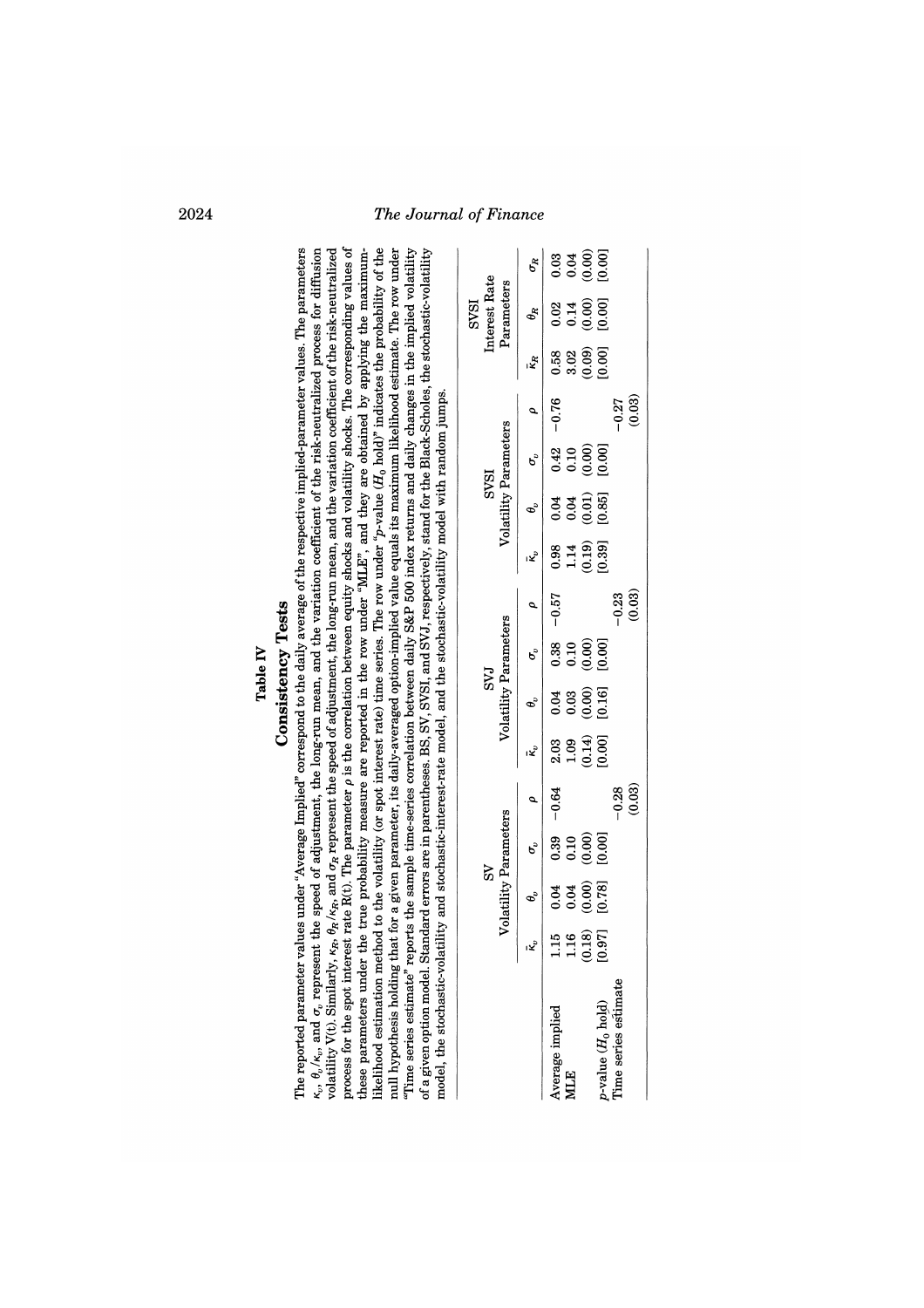|       | Ĺ |
|-------|---|
| ≧     |   |
|       |   |
|       |   |
|       |   |
| Table |   |
|       |   |
|       |   |

# **Consistency Tests**

8 P **SVJ SVSI E** – ਜ **Rate Volatility R** 왼 뮤 티  $\frac{1}{2}$   $\frac{1}{2}$   $\frac{1}{2}$ **Parameters Volatility Parameters Parameters Kv ov Ov p kv ov Cv P Kv ov**  .<br>با ج **p KR OR Average implied**   $\frac{1}{2}$  $\alpha$   $\hat{R}$ بع<br>م  $\sum_{k=1}^{n}$  $\vec{P}$ **0.04 0.38**   $\tilde{a}$ . $\tilde{B}$ **0.98**  <u>ದೆ ಹೆ</u> **0.42**  - <sub>면</sub>  $\frac{5}{9}$ **0.02**   $\sum_{n=1}^{\infty}$ <u>8 ដ</u> **0.04 0.10 1.09 0.03 0.10 1.14 0.04 0.10 3.02 0.14**   $\frac{6}{18}$  $\frac{1}{2}$   $\frac{1}{6}$ **(0.00) (0.14) (0.00) (0.00) (0.19) (0.01)**   $\theta_{\cal R}$  is  $\frac{1}{2}$  $\Rightarrow$   $\frac{8}{5}$ **(0.00) p-value (Ho hold) [0.97] [0.78] [0.00] [0.00] [0.16] [0.00] [0.39] [0.85] [0.00]**  ر<br>م <u>آ</u> **[0.00] Time series estimate**   $\mathbf{e}$  -  $\mathbf{e}$ **-0.23 -0.27**   $\overline{6}$ **(0.03) (0.03)** 

|                                                         |                    | Volatility Parameters          | $S_{\rm V}$                             |                          |                                   | Volatility Parameters<br><b>EAS</b>                          |                                                             |                   |                                                          | <b>SVSI</b>                   | Volatility Parameters                                       |                   |                                             | Interest Rate<br>Parameters<br><b>SVSI</b> |                                  |
|---------------------------------------------------------|--------------------|--------------------------------|-----------------------------------------|--------------------------|-----------------------------------|--------------------------------------------------------------|-------------------------------------------------------------|-------------------|----------------------------------------------------------|-------------------------------|-------------------------------------------------------------|-------------------|---------------------------------------------|--------------------------------------------|----------------------------------|
|                                                         | م<br>جي            | $\mathbf{e}^{\mathbf{b}}$      | $\frac{1}{2}$                           | $\overline{\phantom{a}}$ | احجا                              | $\boldsymbol{\theta_{v}}$                                    | $\sigma_{\nu}$                                              | $\overline{a}$    |                                                          | $\frac{\theta_v}{\theta}$     | $\sigma_v$                                                  | $\sigma$          | κŖ                                          | $\theta_R$                                 | $\sigma_R$                       |
| Average implied<br>MLE                                  | 1.16<br>1.15       | 0.04<br>0.00<br>0.00<br>10.78] | $0.39$<br>$0.000$<br>$0.000$<br>$0.001$ | $-0.64$                  | 2.03<br>1.03<br>1.0.00]<br>10.00] | $\begin{array}{c} 0.04 \\ 0.03 \\ 0.000 \\ 0.16 \end{array}$ | $\begin{array}{c} 0.38 \\ 0.10 \\ 0.00 \\ 0.00 \end{array}$ | $-0.57$           | $0.14$<br>$-1.9$<br>$-1.9$<br>$-1.9$<br>$-1.9$<br>$-1.9$ | 0.04<br>0.01<br>0.05<br>0.85] | $\begin{array}{c} 0.42 \\ 0.10 \\ 0.00 \\ 0.00 \end{array}$ | $-0.76$           | 8<br>8<br>0 3 9<br>0 9<br>0 9<br>0 9<br>0 9 |                                            | 83<br>83<br>90<br>90<br>90<br>90 |
|                                                         | $(0.18)$<br>[0.97] |                                |                                         |                          |                                   |                                                              |                                                             |                   |                                                          |                               |                                                             |                   |                                             |                                            |                                  |
| $v$ -value $(H_0 \text{ hold})$<br>Time series estimate |                    |                                |                                         |                          |                                   |                                                              |                                                             |                   |                                                          |                               |                                                             |                   |                                             |                                            |                                  |
|                                                         |                    |                                |                                         |                          |                                   |                                                              |                                                             |                   |                                                          |                               |                                                             |                   |                                             |                                            |                                  |
|                                                         |                    |                                |                                         | $-0.28$<br>(0.03)        |                                   |                                                              |                                                             | $-0.23$<br>(0.03) |                                                          |                               |                                                             | $-0.27$<br>(0.03) |                                             |                                            |                                  |

# **2024 The Journal of Finance**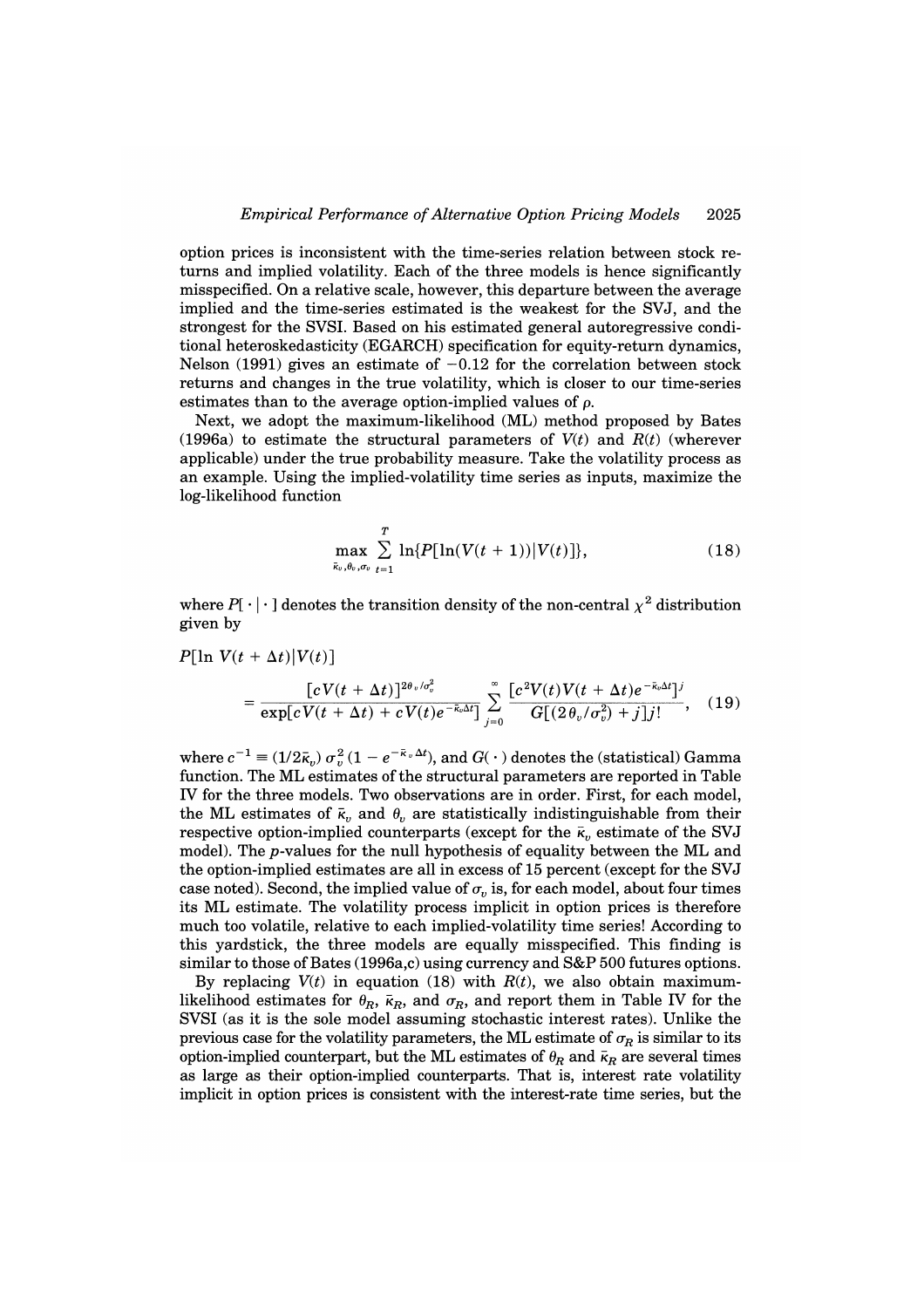**option prices is inconsistent with the time-series relation between stock returns and implied volatility. Each of the three models is hence significantly misspecified. On a relative scale, however, this departure between the average implied and the time-series estimated is the weakest for the SVJ, and the strongest for the SVSI. Based on his estimated general autoregressive conditional heteroskedasticity (EGARCH) specification for equity-return dynamics,**  Nelson  $(1991)$  gives an estimate of  $-0.12$  for the correlation between stock **returns and changes in the true volatility, which is closer to our time-series estimates than to the average option-implied values of p.** 

**Next, we adopt the maximum-likelihood (ML) method proposed by Bates**  (1996a) to estimate the structural parameters of  $V(t)$  and  $R(t)$  (wherever **applicable) under the true probability measure. Take the volatility process as an example. Using the implied-volatility time series as inputs, maximize the log-likelihood function** 

$$
\max_{\bar{\kappa}_v, \theta_v, \sigma_v} \sum_{t=1}^T \ln\{P[\ln(V(t+1))|V(t)]\},\tag{18}
$$

where  $P[\cdot | \cdot]$  denotes the transition density of the non-central  $\chi^2$  distribution **given by** 

$$
P[\ln V(t + \Delta t)|V(t)]
$$
  
= 
$$
\frac{[cV(t + \Delta t)]^{2\theta_v/\sigma_v^2}}{\exp[cV(t + \Delta t) + cV(t)e^{-\bar{\kappa}_v\Delta t}]}\sum_{j=0}^{\infty} \frac{[c^2V(t)V(t + \Delta t)e^{-\bar{\kappa}_v\Delta t}]^j}{G[(2\theta_v/\sigma_v^2) + j]j!},
$$
 (19)

where  $c^{-1} \equiv (1/2\bar{k}_v) \sigma_v^2 (1 - e^{-\bar{k}_v \Delta t})$ , and  $G(\cdot)$  denotes the (statistical) Gamma **function. The ML estimates of the structural parameters are reported in Table IV for the three models. Two observations are in order. First, for each model,**  the ML estimates of  $\bar{\kappa}_v$  and  $\theta_v$  are statistically indistinguishable from their **respective option-implied counterparts (except for the**  $\bar{\kappa}_v$  **estimate of the SVJ model). The p-values for the null hypothesis of equality between the ML and the option-implied estimates are all in excess of 15 percent (except for the SVJ**  case noted). Second, the implied value of  $\sigma_v$  is, for each model, about four times **its ML estimate. The volatility process implicit in option prices is therefore much too volatile, relative to each implied-volatility time series! According to this yardstick, the three models are equally misspecified. This finding is similar to those of Bates (1996a,c) using currency and S&P 500 futures options.** 

By replacing  $V(t)$  in equation (18) with  $R(t)$ , we also obtain maximumlikelihood estimates for  $\theta_R$ ,  $\bar{\kappa}_R$ , and  $\sigma_R$ , and report them in Table IV for the **SVSI (as it is the sole model assuming stochastic interest rates). Unlike the**  previous case for the volatility parameters, the ML estimate of  $\sigma_R$  is similar to its **option-implied counterpart, but the ML estimates of**  $\theta_R$  **and**  $\bar{\kappa}_R$  **are several times as large as their option-implied counterparts. That is, interest rate volatility implicit in option prices is consistent with the interest-rate time series, but the**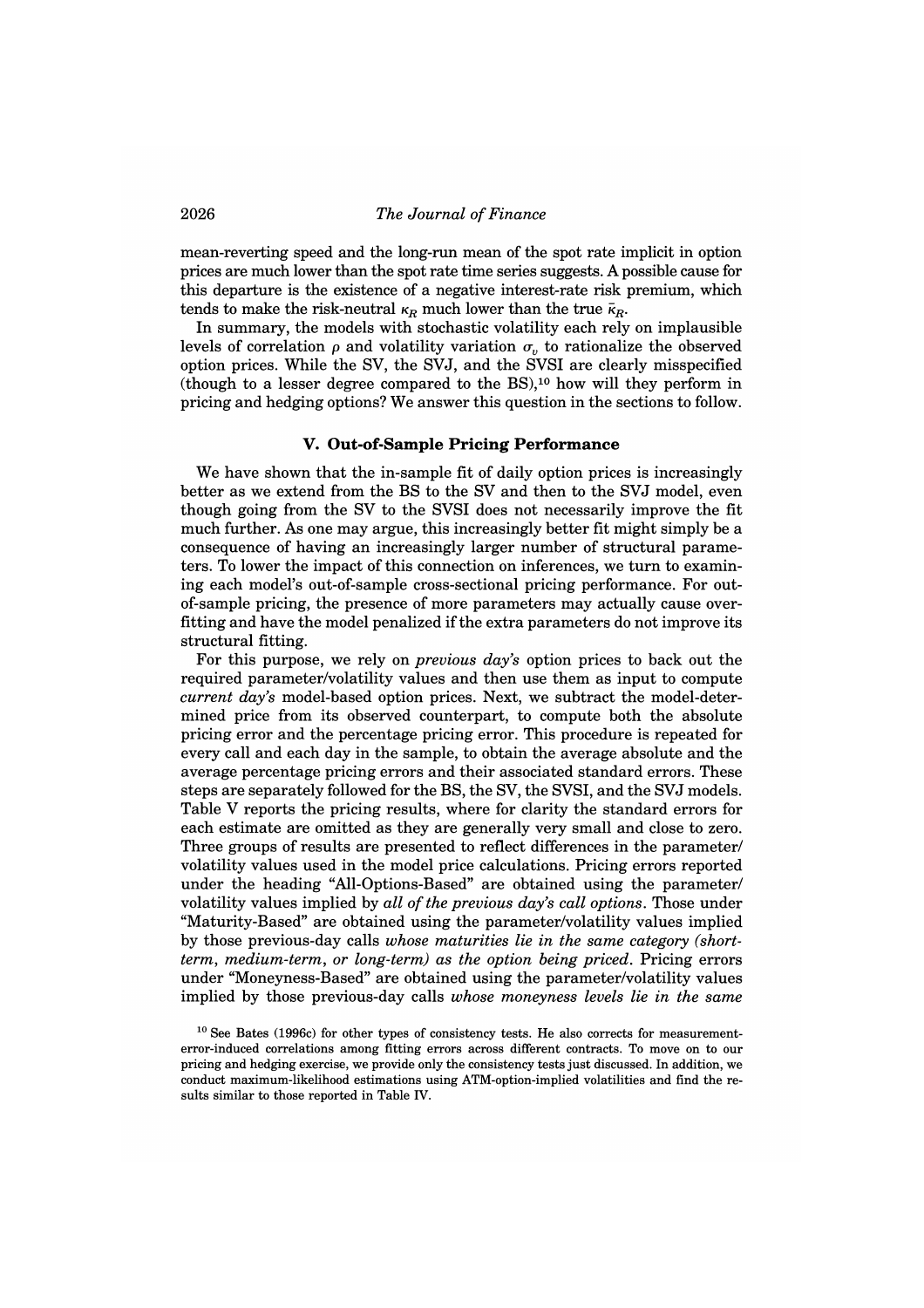**mean-reverting speed and the long-run mean of the spot rate implicit in option prices are much lower than the spot rate time series suggests. A possible cause for this departure is the existence of a negative interest-rate risk premium, which tends to make the risk-neutral**  $\kappa_R$  **much lower than the true**  $\bar{\kappa}_R$ **.** 

**In summary, the models with stochastic volatility each rely on implausible**  levels of correlation  $\rho$  and volatility variation  $\sigma$ , to rationalize the observed **option prices. While the SV, the SVJ, and the SVSI are clearly misspecified (though to a lesser degree compared to the BS),10 how will they perform in pricing and hedging options? We answer this question in the sections to follow.** 

# **V. Out-of-Sample Pricing Performance**

**We have shown that the in-sample fit of daily option prices is increasingly better as we extend from the BS to the SV and then to the SVJ model, even though going from the SV to the SVSI does not necessarily improve the fit much further. As one may argue, this increasingly better fit might simply be a consequence of having an increasingly larger number of structural parameters. To lower the impact of this connection on inferences, we turn to examining each model's out-of-sample cross-sectional pricing performance. For outof-sample pricing, the presence of more parameters may actually cause overfitting and have the model penalized if the extra parameters do not improve its structural fitting.** 

**For this purpose, we rely on previous day's option prices to back out the required parameter/volatility values and then use them as input to compute current day's model-based option prices. Next, we subtract the model-determined price from its observed counterpart, to compute both the absolute pricing error and the percentage pricing error. This procedure is repeated for every call and each day in the sample, to obtain the average absolute and the average percentage pricing errors and their associated standard errors. These steps are separately followed for the BS, the SV, the SVSI, and the SVJ models. Table V reports the pricing results, where for clarity the standard errors for each estimate are omitted as they are generally very small and close to zero. Three groups of results are presented to reflect differences in the parameter/ volatility values used in the model price calculations. Pricing errors reported under the heading "All-Options-Based" are obtained using the parameter/ volatility values implied by all of the previous day's call options. Those under "Maturity-Based" are obtained using the parameter/volatility values implied by those previous-day calls whose maturities lie in the same category (shortterm, medium-term, or long-term) as the option being priced. Pricing errors under "Moneyness-Based" are obtained using the parameter/volatility values implied by those previous-day calls whose moneyness levels lie in the same** 

**<sup>10</sup>See Bates (1996c) for other types of consistency tests. He also corrects for measurementerror-induced correlations among fitting errors across different contracts. To move on to our pricing and hedging exercise, we provide only the consistency tests just discussed. In addition, we conduct maximum-likelihood estimations using ATM-option-implied volatilities and find the results similar to those reported in Table IV.**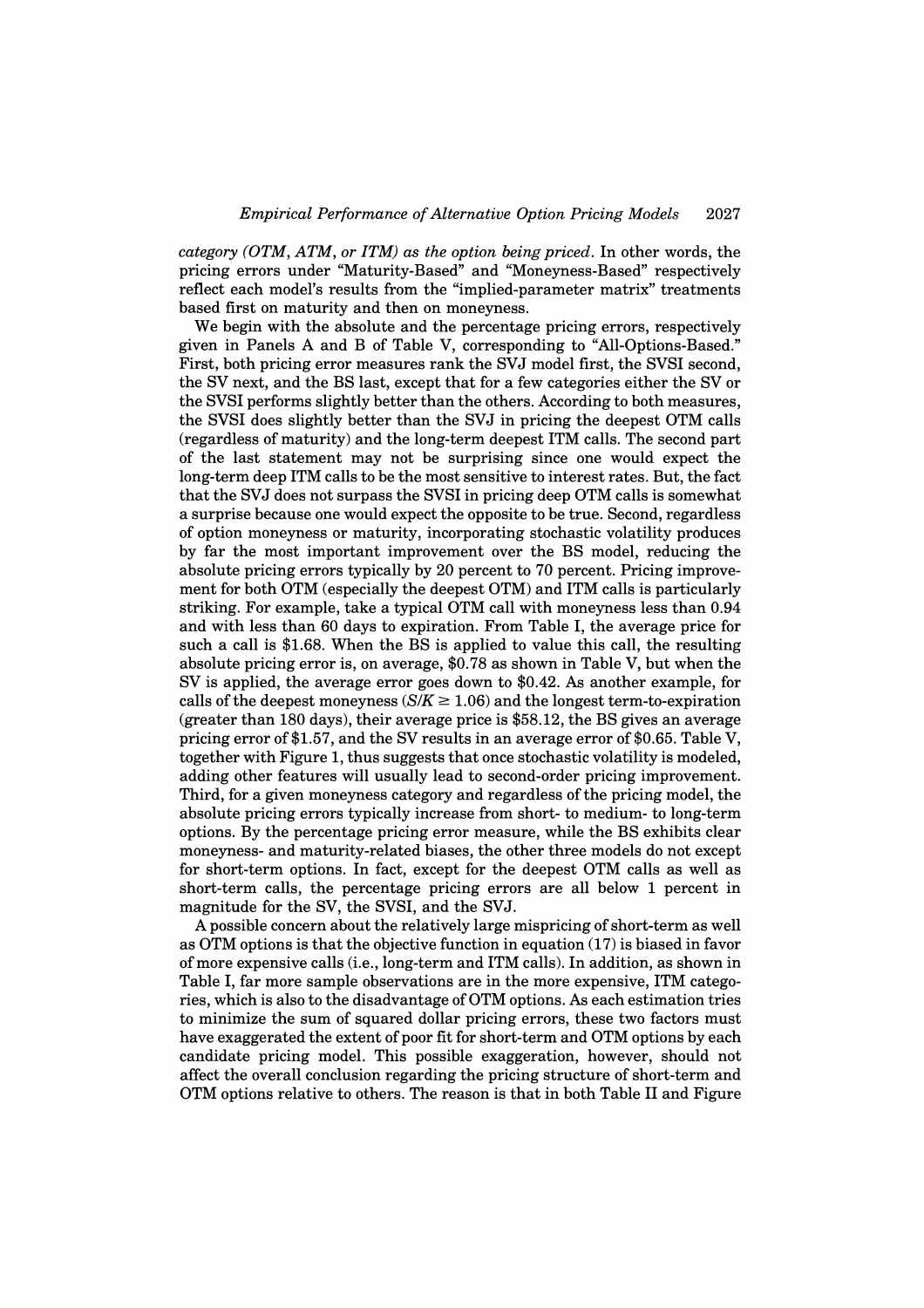**category (OTM, ATM, or ITM) as the option being priced. In other words, the pricing errors under "Maturity-Based" and "Moneyness-Based" respectively reflect each model's results from the "implied-parameter matrix" treatments based first on maturity and then on moneyness.** 

**We begin with the absolute and the percentage pricing errors, respectively given in Panels A and B of Table V, corresponding to "All-Options-Based." First, both pricing error measures rank the SVJ model first, the SVSI second, the SV next, and the BS last, except that for a few categories either the SV or the SVSI performs slightly better than the others. According to both measures, the SVSI does slightly better than the SVJ in pricing the deepest OTM calls (regardless of maturity) and the long-term deepest ITM calls. The second part of the last statement may not be surprising since one would expect the long-term deep ITM calls to be the most sensitive to interest rates. But, the fact that the SVJ does not surpass the SVSI in pricing deep OTM calls is somewhat a surprise because one would expect the opposite to be true. Second, regardless of option moneyness or maturity, incorporating stochastic volatility produces by far the most important improvement over the BS model, reducing the absolute pricing errors typically by 20 percent to 70 percent. Pricing improvement for both OTM (especially the deepest OTM) and ITM calls is particularly striking. For example, take a typical OTM call with moneyness less than 0.94 and with less than 60 days to expiration. From Table I, the average price for such a call is \$1.68. When the BS is applied to value this call, the resulting absolute pricing error is, on average, \$0.78 as shown in Table V, but when the SV is applied, the average error goes down to \$0.42. As another example, for**  calls of the deepest moneyness  $(S/K \ge 1.06)$  and the longest term-to-expiration **(greater than 180 days), their average price is \$58.12, the BS gives an average pricing error of \$1.57, and the SV results in an average error of \$0.65. Table V, together with Figure 1, thus suggests that once stochastic volatility is modeled, adding other features will usually lead to second-order pricing improvement. Third, for a given moneyness category and regardless of the pricing model, the absolute pricing errors typically increase from short- to medium- to long-term options. By the percentage pricing error measure, while the BS exhibits clear moneyness- and maturity-related biases, the other three models do not except for short-term options. In fact, except for the deepest OTM calls as well as short-term calls, the percentage pricing errors are all below 1 percent in magnitude for the SV, the SVSI, and the SVJ.** 

**A possible concern about the relatively large mispricing of short-term as well as OTM options is that the objective function in equation (17) is biased in favor of more expensive calls (i.e., long-term and ITM calls). In addition, as shown in Table I, far more sample observations are in the more expensive, ITM categories, which is also to the disadvantage of OTM options. As each estimation tries to minimize the sum of squared dollar pricing errors, these two factors must have exaggerated the extent of poor fit for short-term and OTM options by each candidate pricing model. This possible exaggeration, however, should not affect the overall conclusion regarding the pricing structure of short-term and OTM options relative to others. The reason is that in both Table II and Figure**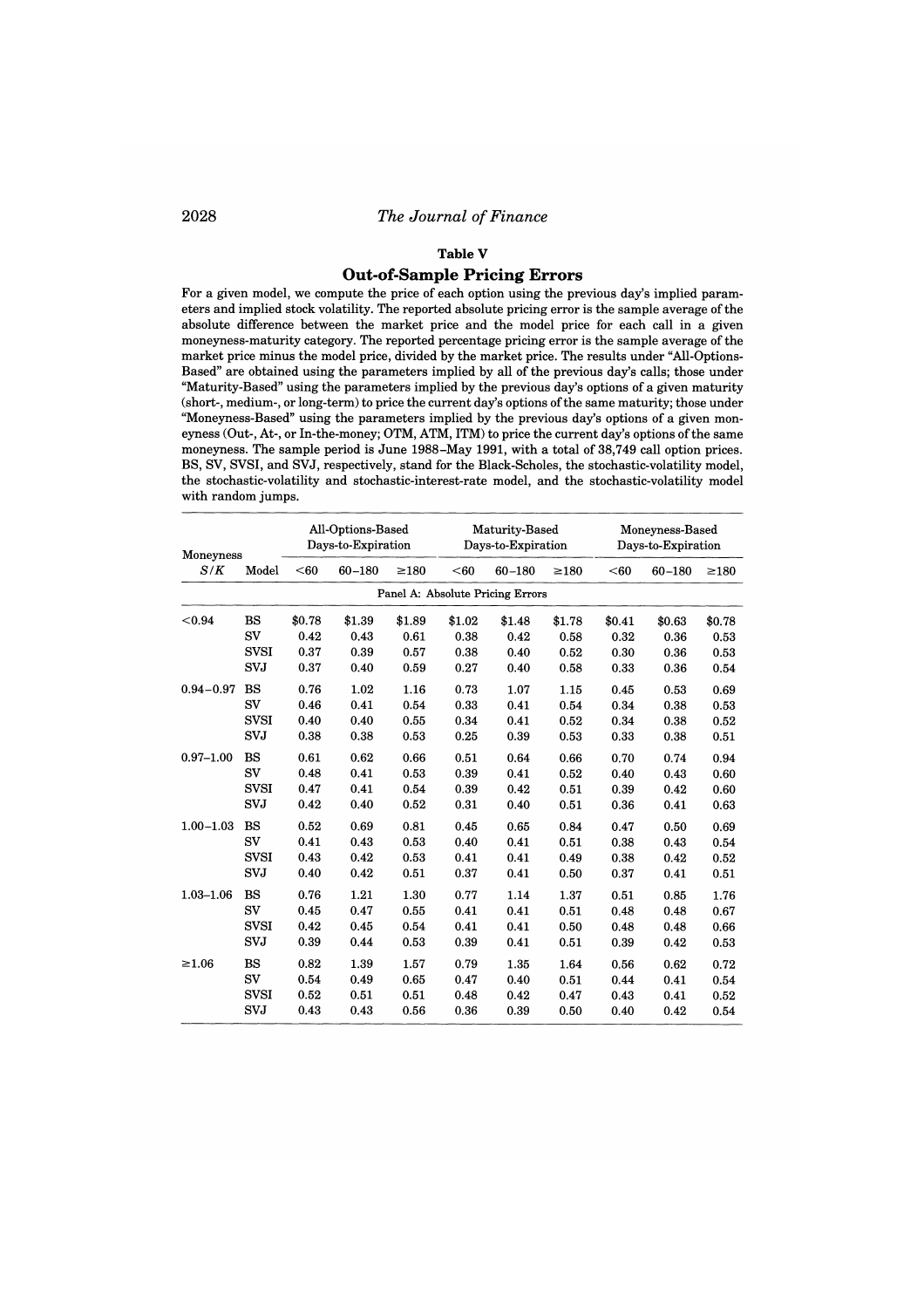### **Table V**

# **Out-of-Sample Pricing Errors**

**For a given model, we compute the price of each option using the previous day's implied parameters and implied stock volatility. The reported absolute pricing error is the sample average of the absolute difference between the market price and the model price for each call in a given moneyness-maturity category. The reported percentage pricing error is the sample average of the market price minus the model price, divided by the market price. The results under "All-Options-Based" are obtained using the parameters implied by all of the previous day's calls; those under "Maturity-Based" using the parameters implied by the previous day's options of a given maturity (short-, medium-, or long-term) to price the current day's options of the same maturity; those under "Moneyness-Based" using the parameters implied by the previous day's options of a given moneyness (Out-, At-, or In-the-money; OTM, ATM, ITM) to price the current day's options of the same moneyness. The sample period is June 1988-May 1991, with a total of 38,749 call option prices. BS, SV, SVSI, and SVJ, respectively, stand for the Black-Scholes, the stochastic-volatility model, the stochastic-volatility and stochastic-interest-rate model, and the stochastic-volatility model with random jumps.** 

| Moneyness     |             |        | All-Options-Based<br>Days-to-Expiration |            |        | Maturity-Based<br>Days-to-Expiration |            | Moneyness-Based<br>Days-to-Expiration |            |            |
|---------------|-------------|--------|-----------------------------------------|------------|--------|--------------------------------------|------------|---------------------------------------|------------|------------|
| S/K           | Model       | $60$   | $60 - 180$                              | $\geq$ 180 | $60$   | $60 - 180$                           | $\geq 180$ | $60$                                  | $60 - 180$ | $\geq 180$ |
|               |             |        |                                         |            |        | Panel A: Absolute Pricing Errors     |            |                                       |            |            |
| < 0.94        | $_{\rm BS}$ | \$0.78 | \$1.39                                  | \$1.89     | \$1.02 | \$1.48                               | \$1.78     | \$0.41                                | \$0.63     | \$0.78     |
|               | $_{\rm SV}$ | 0.42   | 0.43                                    | 0.61       | 0.38   | 0.42                                 | 0.58       | 0.32                                  | 0.36       | 0.53       |
|               | <b>SVSI</b> | 0.37   | 0.39                                    | 0.57       | 0.38   | 0.40                                 | 0.52       | 0.30                                  | 0.36       | 0.53       |
|               | SVJ         | 0.37   | 0.40                                    | 0.59       | 0.27   | 0.40                                 | 0.58       | 0.33                                  | 0.36       | 0.54       |
| $0.94 - 0.97$ | <b>BS</b>   | 0.76   | 1.02                                    | 1.16       | 0.73   | 1.07                                 | 1.15       | 0.45                                  | 0.53       | 0.69       |
|               | SV          | 0.46   | 0.41                                    | 0.54       | 0.33   | 0.41                                 | 0.54       | 0.34                                  | 0.38       | 0.53       |
|               | SVSI        | 0.40   | 0.40                                    | 0.55       | 0.34   | 0.41                                 | 0.52       | 0.34                                  | 0.38       | 0.52       |
|               | SVJ         | 0.38   | 0.38                                    | 0.53       | 0.25   | 0.39                                 | 0.53       | 0.33                                  | 0.38       | 0.51       |
| $0.97 - 1.00$ | <b>BS</b>   | 0.61   | 0.62                                    | 0.66       | 0.51   | 0.64                                 | 0.66       | 0.70                                  | 0.74       | 0.94       |
|               | SV          | 0.48   | 0.41                                    | 0.53       | 0.39   | 0.41                                 | 0.52       | 0.40                                  | 0.43       | 0.60       |
|               | <b>SVSI</b> | 0.47   | 0.41                                    | 0.54       | 0.39   | 0.42                                 | 0.51       | 0.39                                  | 0.42       | 0.60       |
|               | <b>SVJ</b>  | 0.42   | 0.40                                    | 0.52       | 0.31   | 0.40                                 | 0.51       | 0.36                                  | 0.41       | 0.63       |
| $1.00 - 1.03$ | <b>BS</b>   | 0.52   | 0.69                                    | 0.81       | 0.45   | 0.65                                 | 0.84       | 0.47                                  | 0.50       | 0.69       |
|               | SV          | 0.41   | 0.43                                    | 0.53       | 0.40   | 0.41                                 | 0.51       | 0.38                                  | 0.43       | 0.54       |
|               | <b>SVSI</b> | 0.43   | 0.42                                    | 0.53       | 0.41   | 0.41                                 | 0.49       | 0.38                                  | 0.42       | 0.52       |
|               | <b>SVJ</b>  | 0.40   | 0.42                                    | 0.51       | 0.37   | 0.41                                 | 0.50       | 0.37                                  | 0.41       | 0.51       |
| $1.03 - 1.06$ | <b>BS</b>   | 0.76   | 1.21                                    | 1.30       | 0.77   | 1.14                                 | 1.37       | 0.51                                  | 0.85       | 1.76       |
|               | $_{\rm SV}$ | 0.45   | 0.47                                    | 0.55       | 0.41   | 0.41                                 | 0.51       | 0.48                                  | 0.48       | 0.67       |
|               | <b>SVSI</b> | 0.42   | 0.45                                    | 0.54       | 0.41   | 0.41                                 | 0.50       | 0.48                                  | 0.48       | 0.66       |
|               | <b>SVJ</b>  | 0.39   | 0.44                                    | 0.53       | 0.39   | 0.41                                 | 0.51       | 0.39                                  | 0.42       | 0.53       |
| $\geq 1.06$   | BS          | 0.82   | 1.39                                    | 1.57       | 0.79   | 1.35                                 | 1.64       | 0.56                                  | 0.62       | 0.72       |
|               | SV          | 0.54   | 0.49                                    | 0.65       | 0.47   | 0.40                                 | 0.51       | 0.44                                  | 0.41       | 0.54       |
|               | <b>SVSI</b> | 0.52   | 0.51                                    | 0.51       | 0.48   | 0.42                                 | 0.47       | 0.43                                  | 0.41       | 0.52       |
|               | <b>SVJ</b>  | 0.43   | 0.43                                    | 0.56       | 0.36   | 0.39                                 | 0.50       | 0.40                                  | 0.42       | 0.54       |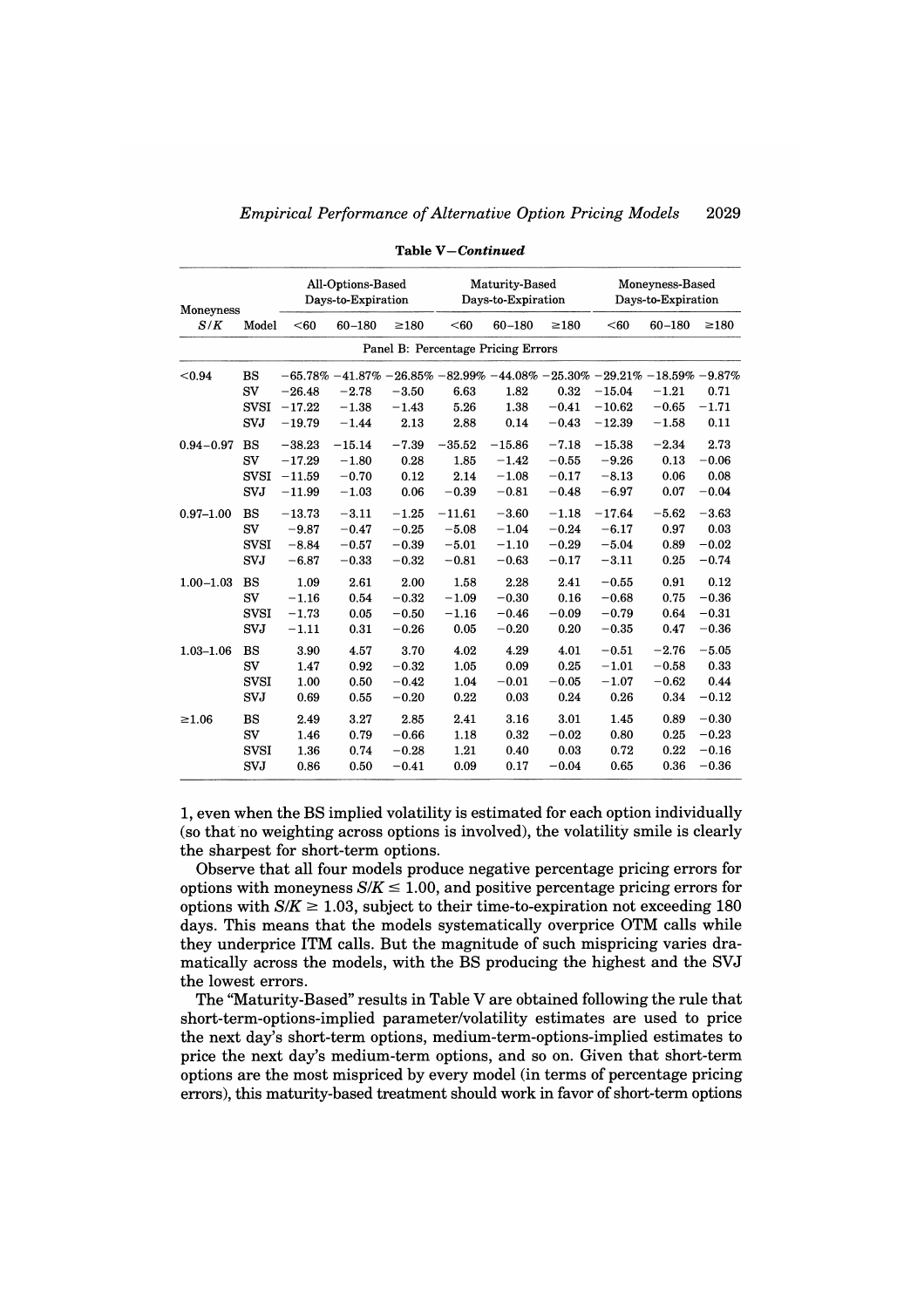| Moneyness     |             |          | All-Options-Based<br>Days-to-Expiration |            |          | Maturity-Based<br>Days-to-Expiration |            |                                                                                   | Moneyness-Based<br>Days-to-Expiration |            |
|---------------|-------------|----------|-----------------------------------------|------------|----------|--------------------------------------|------------|-----------------------------------------------------------------------------------|---------------------------------------|------------|
| S/K           | Model       | $60$     | $60 - 180$                              | $\geq$ 180 | $60$     | $60 - 180$                           | $\geq 180$ | $60$                                                                              | $60 - 180$                            | $\geq 180$ |
|               |             |          |                                         |            |          | Panel B: Percentage Pricing Errors   |            |                                                                                   |                                       |            |
| < 0.94        | <b>BS</b>   |          |                                         |            |          |                                      |            | $-65.78\% -41.87\% -26.85\% -82.99\% -44.08\% -25.30\% -29.21\% -18.59\% -9.87\%$ |                                       |            |
|               | SV          | $-26.48$ | $-2.78$                                 | $-3.50$    | 6.63     | 1.82                                 | 0.32       | $-15.04$                                                                          | $-1.21$                               | 0.71       |
|               | <b>SVSI</b> | $-17.22$ | $-1.38$                                 | $-1.43$    | 5.26     | 1.38                                 | $-0.41$    | $-10.62$                                                                          | $-0.65$                               | $-1.71$    |
|               | <b>SVJ</b>  | $-19.79$ | $-1.44$                                 | 2.13       | 2.88     | 0.14                                 | $-0.43$    | $-12.39$                                                                          | $-1.58$                               | 0.11       |
| $0.94 - 0.97$ | <b>BS</b>   | $-38.23$ | $-15.14$                                | $-7.39$    | $-35.52$ | $-15.86$                             | $-7.18$    | $-15.38$                                                                          | $-2.34$                               | 2.73       |
|               | SV          | $-17.29$ | $-1.80$                                 | 0.28       | 1.85     | $-1.42$                              | $-0.55$    | $-9.26$                                                                           | 0.13                                  | $-0.06$    |
|               | <b>SVSI</b> | $-11.59$ | $-0.70$                                 | 0.12       | 2.14     | $-1.08$                              | $-0.17$    | $-8.13$                                                                           | 0.06                                  | 0.08       |
|               | <b>SVJ</b>  | $-11.99$ | $-1.03$                                 | 0.06       | $-0.39$  | $-0.81$                              | $-0.48$    | $-6.97$                                                                           | 0.07                                  | $-0.04$    |
| $0.97 - 1.00$ | <b>BS</b>   | $-13.73$ | $-3.11$                                 | $-1.25$    | $-11.61$ | $-3.60$                              | $-1.18$    | $-17.64$                                                                          | $-5.62$                               | $-3.63$    |
|               | SV          | $-9.87$  | $-0.47$                                 | $-0.25$    | $-5.08$  | $-1.04$                              | $-0.24$    | $-6.17$                                                                           | 0.97                                  | 0.03       |
|               | <b>SVSI</b> | $-8.84$  | $-0.57$                                 | $-0.39$    | $-5.01$  | $-1.10$                              | $-0.29$    | $-5.04$                                                                           | 0.89                                  | $-0.02$    |
|               | <b>SVJ</b>  | $-6.87$  | $-0.33$                                 | $-0.32$    | $-0.81$  | $-0.63$                              | $-0.17$    | $-3.11$                                                                           | 0.25                                  | $-0.74$    |
| $1.00 - 1.03$ | <b>BS</b>   | 1.09     | 2.61                                    | 2.00       | 1.58     | 2.28                                 | 2.41       | $-0.55$                                                                           | 0.91                                  | 0.12       |
|               | SV          | $-1.16$  | 0.54                                    | $-0.32$    | $-1.09$  | $-0.30$                              | 0.16       | $-0.68$                                                                           | 0.75                                  | $-0.36$    |
|               | <b>SVSI</b> | $-1.73$  | 0.05                                    | $-0.50$    | $-1.16$  | $-0.46$                              | $-0.09$    | $-0.79$                                                                           | 0.64                                  | $-0.31$    |
|               | <b>SVJ</b>  | $-1.11$  | 0.31                                    | $-0.26$    | 0.05     | $-0.20$                              | 0.20       | $-0.35$                                                                           | 0.47                                  | $-0.36$    |
| $1.03 - 1.06$ | <b>BS</b>   | 3.90     | 4.57                                    | 3.70       | 4.02     | 4.29                                 | 4.01       | $-0.51$                                                                           | $-2.76$                               | $-5.05$    |
|               | SV          | 1.47     | 0.92                                    | $-0.32$    | 1.05     | 0.09                                 | 0.25       | $-1.01$                                                                           | $-0.58$                               | 0.33       |
|               | <b>SVSI</b> | 1.00     | 0.50                                    | $-0.42$    | 1.04     | $-0.01$                              | $-0.05$    | $-1.07$                                                                           | $-0.62$                               | 0.44       |
|               | <b>SVJ</b>  | 0.69     | 0.55                                    | $-0.20$    | 0.22     | 0.03                                 | 0.24       | 0.26                                                                              | 0.34                                  | $-0.12$    |
| $\geq 1.06$   | <b>BS</b>   | 2.49     | 3.27                                    | 2.85       | 2.41     | 3.16                                 | 3.01       | 1.45                                                                              | 0.89                                  | $-0.30$    |
|               | SV          | 1.46     | 0.79                                    | $-0.66$    | 1.18     | 0.32                                 | $-0.02$    | 0.80                                                                              | 0.25                                  | $-0.23$    |
|               | <b>SVSI</b> | 1.36     | 0.74                                    | $-0.28$    | 1.21     | 0.40                                 | 0.03       | 0.72                                                                              | 0.22                                  | $-0.16$    |
|               | <b>SVJ</b>  | 0.86     | 0.50                                    | $-0.41$    | 0.09     | 0.17                                 | $-0.04$    | 0.65                                                                              | 0.36                                  | $-0.36$    |

**Table V-Continued** 

**1, even when the BS implied volatility is estimated for each option individually (so that no weighting across options is involved), the volatility smile is clearly the sharpest for short-term options.** 

**Observe that all four models produce negative percentage pricing errors for**  options with moneyness  $S/K \le 1.00$ , and positive percentage pricing errors for options with  $S/K \geq 1.03$ , subject to their time-to-expiration not exceeding 180 **days. This means that the models systematically overprice OTM calls while they underprice ITM calls. But the magnitude of such mispricing varies dramatically across the models, with the BS producing the highest and the SVJ the lowest errors.** 

**The "Maturity-Based" results in Table V are obtained following the rule that short-term-options-implied parameter/volatility estimates are used to price the next day's short-term options, medium-term-options-implied estimates to price the next day's medium-term options, and so on. Given that short-term options are the most mispriced by every model (in terms of percentage pricing errors), this maturity-based treatment should work in favor of short-term options**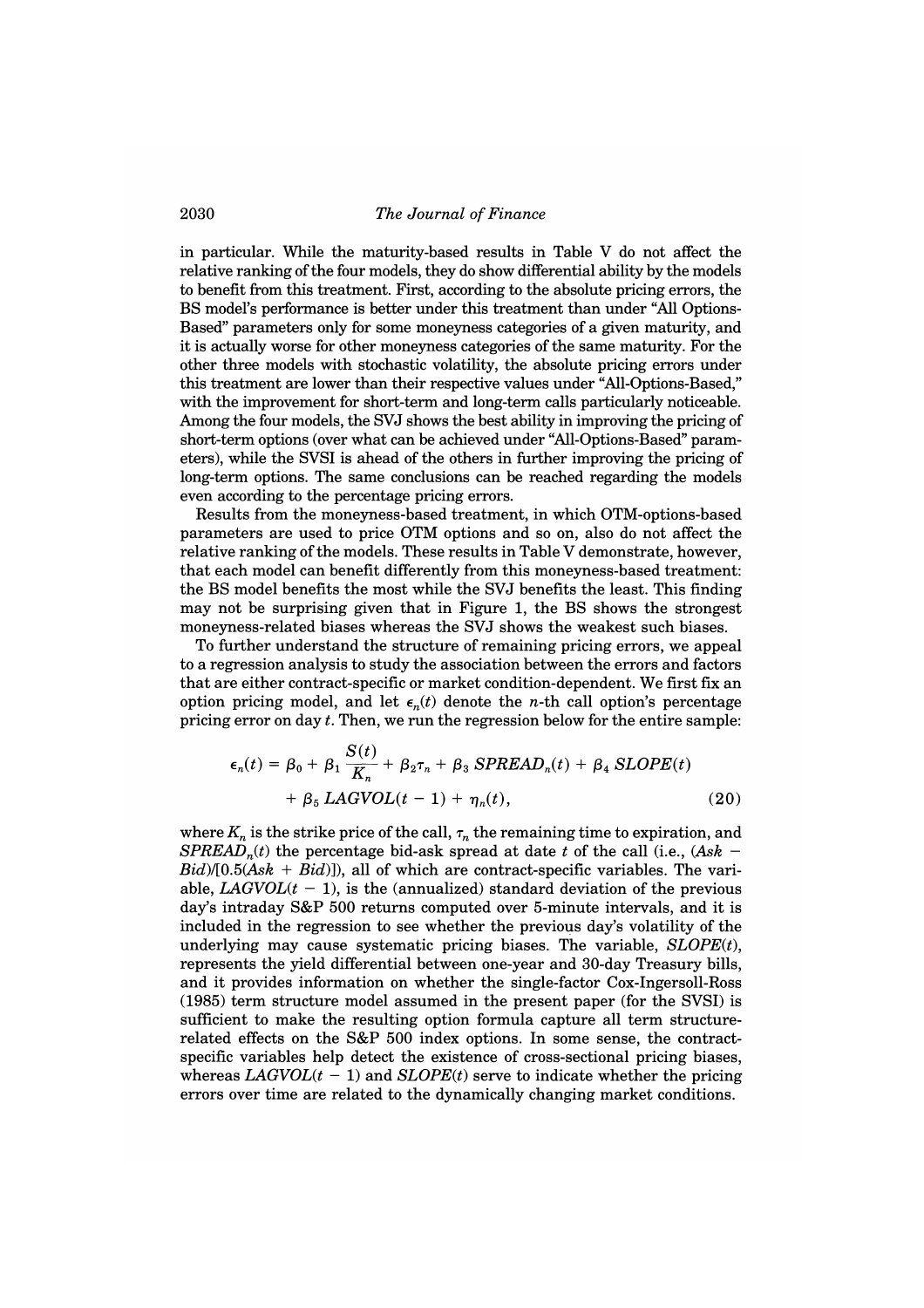**in particular. While the maturity-based results in Table V do not affect the relative ranking of the four models, they do show differential ability by the models to benefit from this treatment. First, according to the absolute pricing errors, the BS model's performance is better under this treatment than under "All Options-Based" parameters only for some moneyness categories of a given maturity, and it is actually worse for other moneyness categories of the same maturity. For the other three models with stochastic volatility, the absolute pricing errors under this treatment are lower than their respective values under "All-Options-Based," with the improvement for short-term and long-term calls particularly noticeable. Among the four models, the SVJ shows the best ability in improving the pricing of short-term options (over what can be achieved under "All-Options-Based" parameters), while the SVSI is ahead of the others in further improving the pricing of long-term options. The same conclusions can be reached regarding the models even according to the percentage pricing errors.** 

**Results from the moneyness-based treatment, in which OTM-options-based parameters are used to price OTM options and so on, also do not affect the relative ranking of the models. These results in Table V demonstrate, however, that each model can benefit differently from this moneyness-based treatment: the BS model benefits the most while the SVJ benefits the least. This finding may not be surprising given that in Figure 1, the BS shows the strongest moneyness-related biases whereas the SVJ shows the weakest such biases.** 

**To further understand the structure of remaining pricing errors, we appeal to a regression analysis to study the association between the errors and factors that are either contract-specific or market condition-dependent. We first fix an option pricing model, and let**  $\epsilon_n(t)$  **denote the** *n***-th call option's percentage pricing error on day t. Then, we run the regression below for the entire sample:** 

 $\sim$   $\sim$   $\sim$ 

$$
\epsilon_n(t) = \beta_0 + \beta_1 \frac{S(t)}{K_n} + \beta_2 \tau_n + \beta_3 \text{SPREAD}_n(t) + \beta_4 \text{ SLOPE}(t)
$$
  
+ 
$$
\beta_5 \text{ LAGVOL}(t-1) + \eta_n(t),
$$
 (20)

where  $K_n$  is the strike price of the call,  $\tau_n$  the remaining time to expiration, and **SPREAD**<sub>n</sub>(t) the percentage bid-ask spread at date t of the call (i.e.,  $(Ask -$ **Bid)1[0.5(Ask + Bid)]), all of which are contract-specific variables. The vari**able,  $LAGVOL(t - 1)$ , is the (annualized) standard deviation of the previous **day's intraday S&P 500 returns computed over 5-minute intervals, and it is included in the regression to see whether the previous day's volatility of the**  underlying may cause systematic pricing biases. The variable,  $SLOPE(t)$ , **represents the yield differential between one-year and 30-day Treasury bills, and it provides information on whether the single-factor Cox-Ingersoll-Ross (1985) term structure model assumed in the present paper (for the SVSI) is sufficient to make the resulting option formula capture all term structurerelated effects on the S&P 500 index options. In some sense, the contractspecific variables help detect the existence of cross-sectional pricing biases,**  whereas  $LAGVOL(t - 1)$  and  $SLOPE(t)$  serve to indicate whether the pricing **errors over time are related to the dynamically changing market conditions.**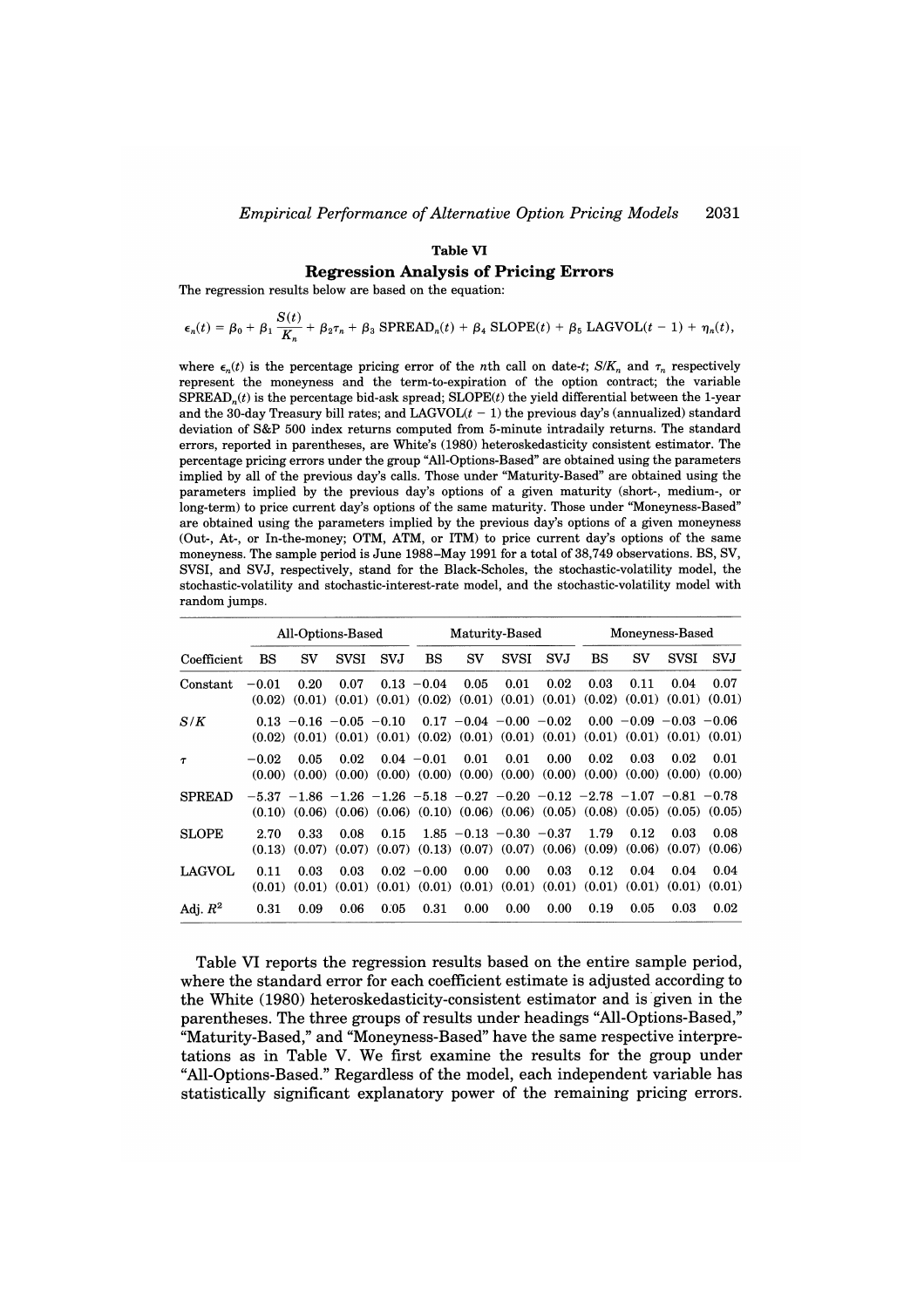# **Table VI**

### **Regression Analysis of Pricing Errors**

**The regression results below are based on the equation:** 

$$
\epsilon_n(t) = \beta_0 + \beta_1 \frac{S(t)}{K_n} + \beta_2 \tau_n + \beta_3 \text{ SPREAD}_n(t) + \beta_4 \text{ SLOPE}(t) + \beta_5 \text{ LAGVOL}(t-1) + \eta_n(t),
$$

where  $\epsilon_n(t)$  is the percentage pricing error of the *n*th call on date-t;  $S/K_n$  and  $\tau_n$  respectively **represent the moneyness and the term-to-expiration of the option contract; the variable**   $SPREAD_n(t)$  is the percentage bid-ask spread;  $SLOPE(t)$  the yield differential between the 1-year and the 30-day Treasury bill rates; and  $LAGVOL(t - 1)$  the previous day's (annualized) standard **deviation of S&P 500 index returns computed from 5-minute intradaily returns. The standard**  errors, reported in parentheses, are White's (1980) heteroskedasticity consistent estimator. The **percentage pricing errors under the group "All-Options-Based" are obtained using the parameters implied by all of the previous day's calls. Those under "Maturity-Based" are obtained using the parameters implied by the previous day's options of a given maturity (short-, medium-, or long-term) to price current day's options of the same maturity. Those under "Moneyness-Based" are obtained using the parameters implied by the previous day's options of a given moneyness (Out-, At-, or In-the-money; OTM, ATM, or ITM) to price current day's options of the same moneyness. The sample period is June 1988-May 1991 for a total of 38,749 observations. BS, SV, SVSI, and SVJ, respectively, stand for the Black-Scholes, the stochastic-volatility model, the stochastic-volatility and stochastic-interest-rate model, and the stochastic-volatility model with random jumps.** 

|               |                   | All-Options-Based           |                |                |                                    | Maturity-Based                                                                                                                                                                                                 |                |                |                | Moneyness-Based                                  |                   |                |
|---------------|-------------------|-----------------------------|----------------|----------------|------------------------------------|----------------------------------------------------------------------------------------------------------------------------------------------------------------------------------------------------------------|----------------|----------------|----------------|--------------------------------------------------|-------------------|----------------|
| Coefficient   | BS                | SV                          | SVSI           | SVJ            | $_{\rm BS}$                        | $\mathrm{SV}$                                                                                                                                                                                                  | <b>SVSI</b>    | <b>SVJ</b>     | $_{\rm BS}$    | SV                                               | <b>SVSI</b>       | SVJ            |
| Constant      | $-0.01$<br>(0.02) | 0.20<br>(0.01)              | 0.07<br>(0.01) |                | $0.13 - 0.04$                      | 0.05<br>$(0.01)$ $(0.02)$ $(0.01)$ $(0.01)$                                                                                                                                                                    | 0.01           | 0.02<br>(0.01) | 0.03           | 0.11<br>$(0.02)$ $(0.01)$ $(0.01)$ $(0.01)$      | 0.04              | 0.07           |
| S/K           | (0.02)            | $0.13 - 0.16 - 0.05 - 0.10$ |                |                |                                    | $0.17 - 0.04 - 0.00 - 0.02$<br>$(0.01)$ $(0.01)$ $(0.01)$ $(0.02)$ $(0.01)$ $(0.01)$ $(0.01)$                                                                                                                  |                |                |                | $0.00 - 0.09 - 0.03 - 0.06$<br>$(0.01)$ $(0.01)$ | $(0.01)$ $(0.01)$ |                |
| $\tau$        | $-0.02$<br>(0.00) | 0.05<br>(0.00)              | 0.02<br>(0.00) |                | $0.04 - 0.01$<br>$(0.00)$ $(0.00)$ | 0.01<br>(0.00)                                                                                                                                                                                                 | 0.01<br>(0.00) | 0.00<br>(0.00) | 0.02<br>(0.00) | 0.03<br>(0.00)                                   | 0.02<br>(0.00)    | 0.01<br>(0.00) |
| <b>SPREAD</b> |                   |                             |                |                |                                    | $-5.37$ $-1.86$ $-1.26$ $-1.26$ $-5.18$ $-0.27$ $-0.20$ $-0.12$ $-2.78$ $-1.07$ $-0.81$ $-0.78$<br>$(0.10)$ $(0.06)$ $(0.06)$ $(0.06)$ $(0.10)$ $(0.06)$ $(0.06)$ $(0.05)$ $(0.08)$ $(0.05)$ $(0.05)$ $(0.05)$ |                |                |                |                                                  |                   |                |
| <b>SLOPE</b>  | 2.70<br>(0.13)    | 0.33<br>(0.07)              | 0.08<br>(0.07) | 0.15<br>(0.07) |                                    | $1.85 -0.13 -0.30 -0.37$<br>$(0.13)$ $(0.07)$ $(0.07)$                                                                                                                                                         |                | (0.06)         | 1.79<br>(0.09) | 0.12<br>(0.06)                                   | 0.03<br>(0.07)    | 0.08<br>(0.06) |
| <b>LAGVOL</b> | 0.11<br>(0.01)    | 0.03<br>(0.01)              | 0.03<br>(0.01) | (0.01)         | $0.02 - 0.00$<br>(0.01)            | 0.00<br>(0.01)                                                                                                                                                                                                 | 0.00<br>(0.01) | 0.03<br>(0.01) | 0.12<br>(0.01) | 0.04<br>(0.01)                                   | 0.04<br>(0.01)    | 0.04<br>(0.01) |
| Adj. $R^2$    | 0.31              | 0.09                        | 0.06           | 0.05           | 0.31                               | 0.00                                                                                                                                                                                                           | 0.00           | 0.00           | 0.19           | 0.05                                             | 0.03              | 0.02           |

**Table VI reports the regression results based on the entire sample period, where the standard error for each coefficient estimate is adjusted according to the White (1980) heteroskedasticity-consistent estimator and is given in the parentheses. The three groups of results under headings "All-Options-Based," "Maturity-Based," and "Moneyness-Based" have the same respective interpretations as in Table V. We first examine the results for the group under "All-Options-Based." Regardless of the model, each independent variable has statistically significant explanatory power of the remaining pricing errors.**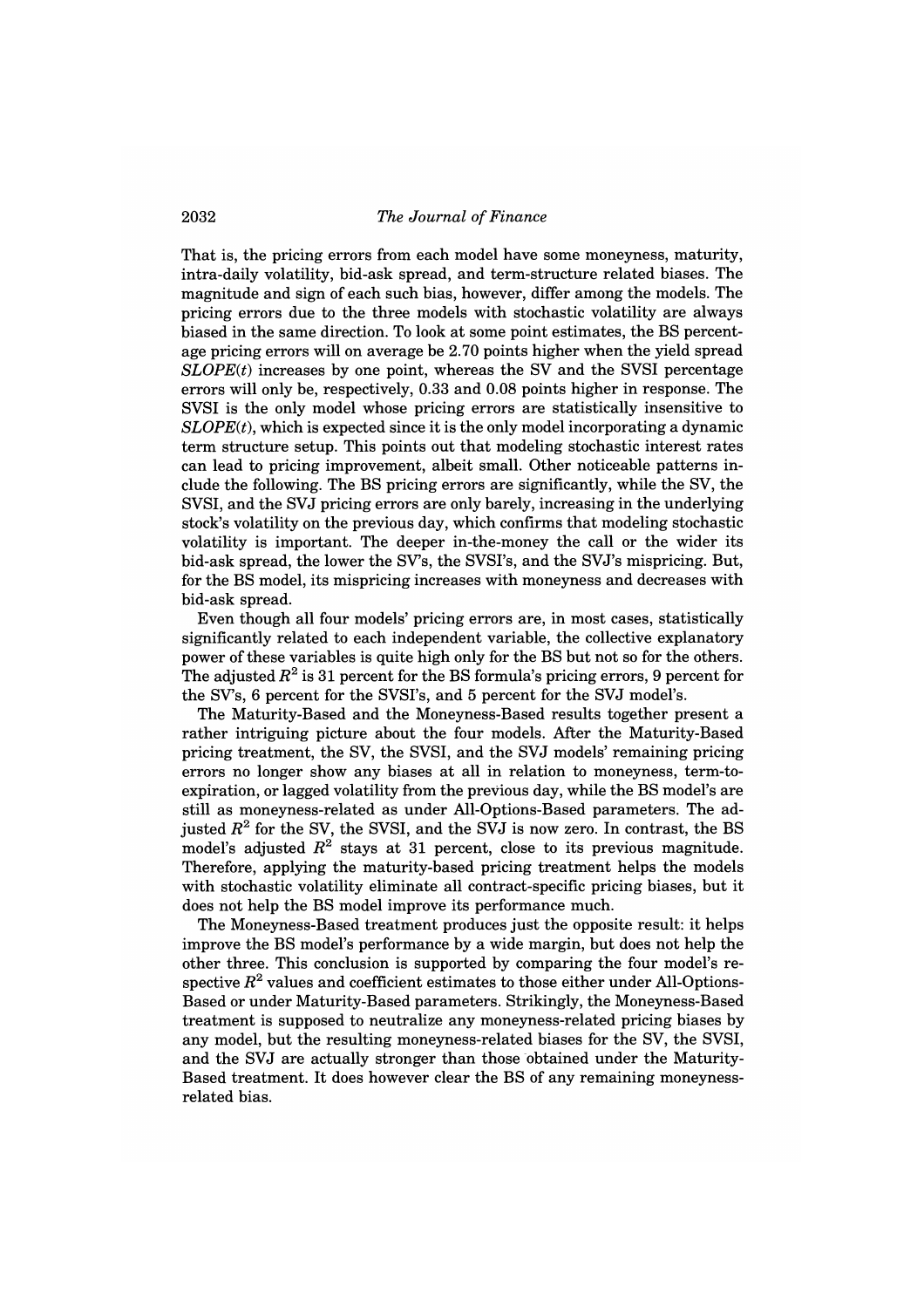**That is, the pricing errors from each model have some moneyness, maturity, intra-daily volatility, bid-ask spread, and term-structure related biases. The magnitude and sign of each such bias, however, differ among the models. The pricing errors due to the three models with stochastic volatility are always biased in the same direction. To look at some point estimates, the BS percentage pricing errors will on average be 2.70 points higher when the yield spread SLOPE(t) increases by one point, whereas the SV and the SVSI percentage errors will only be, respectively, 0.33 and 0.08 points higher in response. The SVSI is the only model whose pricing errors are statistically insensitive to**   $SLOPE(t)$ , which is expected since it is the only model incorporating a dynamic **term structure setup. This points out that modeling stochastic interest rates can lead to pricing improvement, albeit small. Other noticeable patterns include the following. The BS pricing errors are significantly, while the SV, the SVSI, and the SVJ pricing errors are only barely, increasing in the underlying stock's volatility on the previous day, which confirms that modeling stochastic volatility is important. The deeper in-the-money the call or the wider its bid-ask spread, the lower the SV's, the SVSI's, and the SVJ's mispricing. But, for the BS model, its mispricing increases with moneyness and decreases with bid-ask spread.** 

**Even though all four models' pricing errors are, in most cases, statistically significantly related to each independent variable, the collective explanatory power of these variables is quite high only for the BS but not so for the others.**  The adjusted  $R^2$  is 31 percent for the BS formula's pricing errors, 9 percent for **the SVs, 6 percent for the SVSI's, and 5 percent for the SVJ model's.** 

**The Maturity-Based and the Moneyness-Based results together present a rather intriguing picture about the four models. After the Maturity-Based pricing treatment, the SV, the SVSI, and the SVJ models' remaining pricing errors no longer show any biases at all in relation to moneyness, term-toexpiration, or lagged volatility from the previous day, while the BS model's are still as moneyness-related as under All-Options-Based parameters. The ad**justed  $R^2$  for the SV, the SVSI, and the SVJ is now zero. In contrast, the BS model's adjusted  $R^2$  stays at 31 percent, close to its previous magnitude. **Therefore, applying the maturity-based pricing treatment helps the models with stochastic volatility eliminate all contract-specific pricing biases, but it does not help the BS model improve its performance much.** 

**The Moneyness-Based treatment produces just the opposite result: it helps improve the BS model's performance by a wide margin, but does not help the other three. This conclusion is supported by comparing the four model's respective R2 values and coefficient estimates to those either under All-Options-Based or under Maturity-Based parameters. Strikingly, the Moneyness-Based treatment is supposed to neutralize any moneyness-related pricing biases by any model, but the resulting moneyness-related biases for the SV, the SVSI, and the SVJ are actually stronger than those obtained under the Maturity-Based treatment. It does however clear the BS of any remaining moneynessrelated bias.**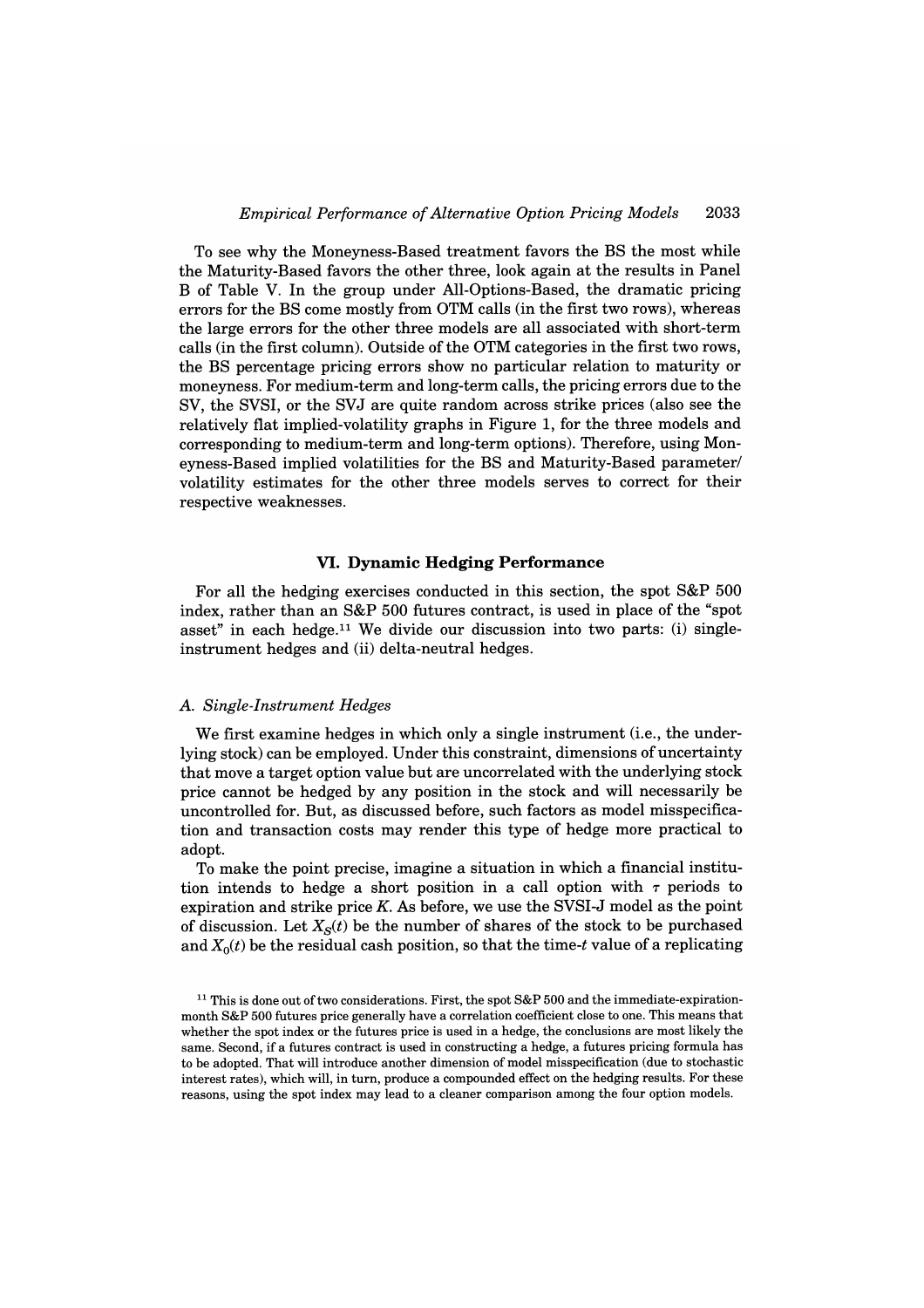**To see why the Moneyness-Based treatment favors the BS the most while the Maturity-Based favors the other three, look again at the results in Panel B of Table V. In the group under All-Options-Based, the dramatic pricing errors for the BS come mostly from OTM calls (in the first two rows), whereas the large errors for the other three models are all associated with short-term calls (in the first column). Outside of the OTM categories in the first two rows, the BS percentage pricing errors show no particular relation to maturity or moneyness. For medium-term and long-term calls, the pricing errors due to the SV, the SVSI, or the SVJ are quite random across strike prices (also see the relatively flat implied-volatility graphs in Figure 1, for the three models and corresponding to medium-term and long-term options). Therefore, using Moneyness-Based implied volatilities for the BS and Maturity-Based parameter/ volatility estimates for the other three models serves to correct for their respective weaknesses.** 

# **VI. Dynamic Hedging Performance**

**For all the hedging exercises conducted in this section, the spot S&P 500 index, rather than an S&P 500 futures contract, is used in place of the "spot asset" in each hedge.1" We divide our discussion into two parts: (i) singleinstrument hedges and (ii) delta-neutral hedges.** 

# **A. Single-Instrument Hedges**

**We first examine hedges in which only a single instrument (i.e., the underlying stock) can be employed. Under this constraint, dimensions of uncertainty that move a target option value but are uncorrelated with the underlying stock price cannot be hedged by any position in the stock and will necessarily be uncontrolled for. But, as discussed before, such factors as model misspecification and transaction costs may render this type of hedge more practical to adopt.** 

**To make the point precise, imagine a situation in which a financial institution intends to hedge a short position in a call option with**  $\tau$  **periods to expiration and strike price K. As before, we use the SVSI-J model as the point**  of discussion. Let  $X<sub>S</sub>(t)$  be the number of shares of the stock to be purchased and  $X_0(t)$  be the residual cash position, so that the time-t value of a replicating

**<sup>1&</sup>quot; This is done out of two considerations. First, the spot S&P 500 and the immediate-expirationmonth S&P 500 futures price generally have a correlation coefficient close to one. This means that whether the spot index or the futures price is used in a hedge, the conclusions are most likely the same. Second, if a futures contract is used in constructing a hedge, a futures pricing formula has to be adopted. That will introduce another dimension of model misspecification (due to stochastic interest rates), which will, in turn, produce a compounded effect on the hedging results. For these reasons, using the spot index may lead to a cleaner comparison among the four option models.**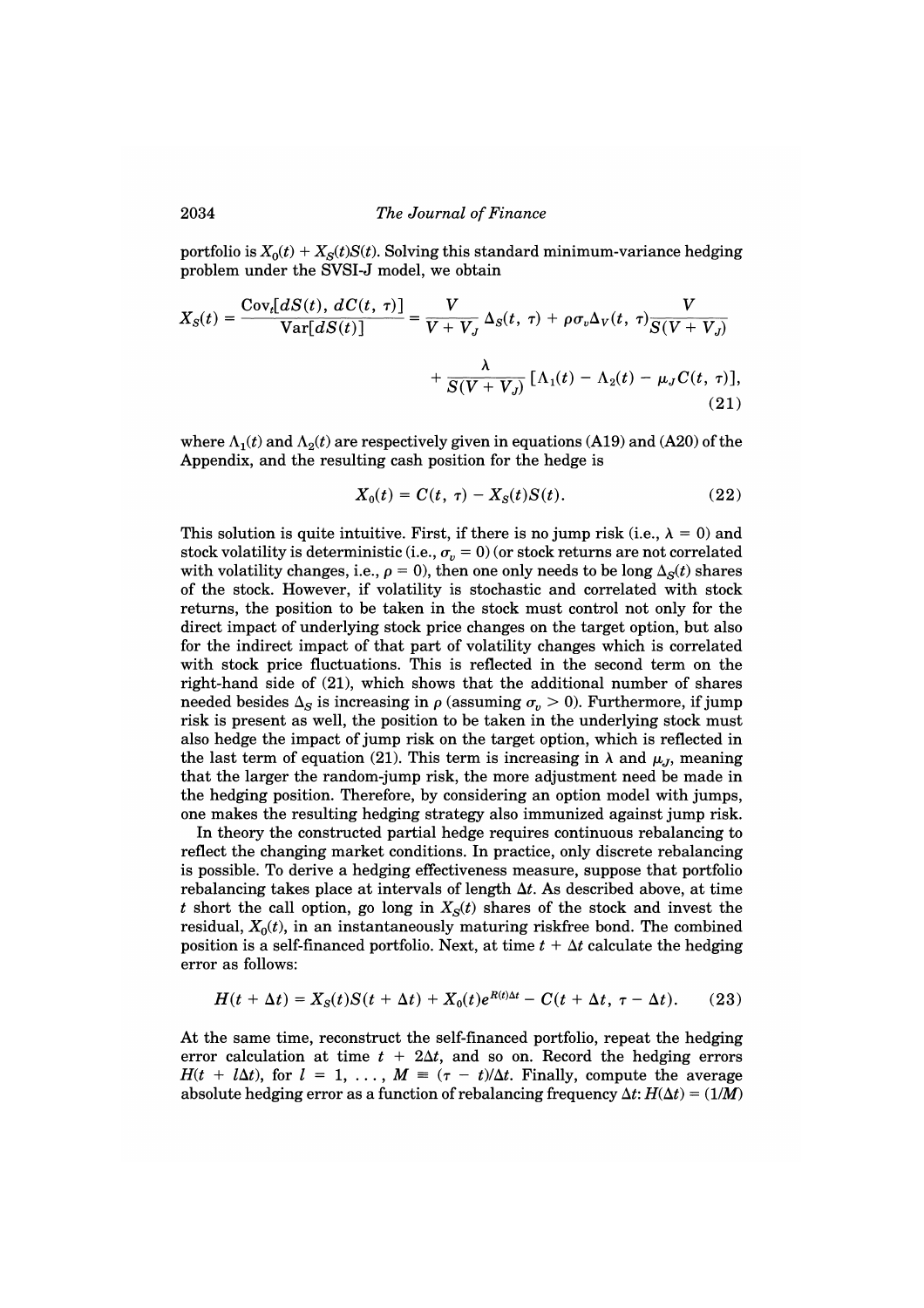portfolio is  $X_0(t) + X_S(t)S(t)$ . Solving this standard minimum-variance hedging **problem under the SVSI-J model, we obtain** 

$$
X_S(t) = \frac{\text{Cov}_t[dS(t), dC(t, \tau)]}{\text{Var}[dS(t)]} = \frac{V}{V + V_J} \Delta_S(t, \tau) + \rho \sigma_v \Delta_V(t, \tau) \frac{V}{S(V + V_J)}
$$

$$
+ \frac{\lambda}{S(V + V_J)} [\Lambda_1(t) - \Lambda_2(t) - \mu_J C(t, \tau)],
$$
(21)

where  $\Lambda_1(t)$  and  $\Lambda_2(t)$  are respectively given in equations (A19) and (A20) of the **Appendix, and the resulting cash position for the hedge is** 

$$
X_0(t) = C(t, \tau) - X_S(t)S(t). \tag{22}
$$

This solution is quite intuitive. First, if there is no jump risk (i.e.,  $\lambda = 0$ ) and stock volatility is deterministic (i.e.,  $\sigma_v = 0$ ) (or stock returns are not correlated with volatility changes, i.e.,  $\rho = 0$ ), then one only needs to be long  $\Delta_S(t)$  shares **of the stock. However, if volatility is stochastic and correlated with stock returns, the position to be taken in the stock must control not only for the direct impact of underlying stock price changes on the target option, but also for the indirect impact of that part of volatility changes which is correlated with stock price fluctuations. This is reflected in the second term on the right-hand side of (21), which shows that the additional number of shares**  needed besides  $\Delta_S$  is increasing in  $\rho$  (assuming  $\sigma_v > 0$ ). Furthermore, if jump **risk is present as well, the position to be taken in the underlying stock must also hedge the impact of jump risk on the target option, which is reflected in**  the last term of equation (21). This term is increasing in  $\lambda$  and  $\mu_{J}$ , meaning **that the larger the random-jump risk, the more adjustment need be made in the hedging position. Therefore, by considering an option model with jumps, one makes the resulting hedging strategy also immunized against jump risk.** 

**In theory the constructed partial hedge requires continuous rebalancing to reflect the changing market conditions. In practice, only discrete rebalancing is possible. To derive a hedging effectiveness measure, suppose that portfolio**  rebalancing takes place at intervals of length  $\Delta t$ . As described above, at time t short the call option, go long in  $X<sub>S</sub>(t)$  shares of the stock and invest the residual,  $X_0(t)$ , in an instantaneously maturing riskfree bond. The combined **position is a self-financed portfolio. Next, at time**  $t + \Delta t$  **calculate the hedging error as follows:** 

$$
H(t+\Delta t)=X_{S}(t)S(t+\Delta t)+X_{0}(t)e^{R(t)\Delta t}-C(t+\Delta t,\tau-\Delta t). \qquad (23)
$$

**At the same time, reconstruct the self-financed portfolio, repeat the hedging**  error calculation at time  $t + 2\Delta t$ , and so on. Record the hedging errors  $H(t + l\Delta t)$ , for  $l = 1, \ldots, M = (\tau - t)/\Delta t$ . Finally, compute the average absolute hedging error as a function of rebalancing frequency  $\Delta t$ :  $H(\Delta t) = (1/M)$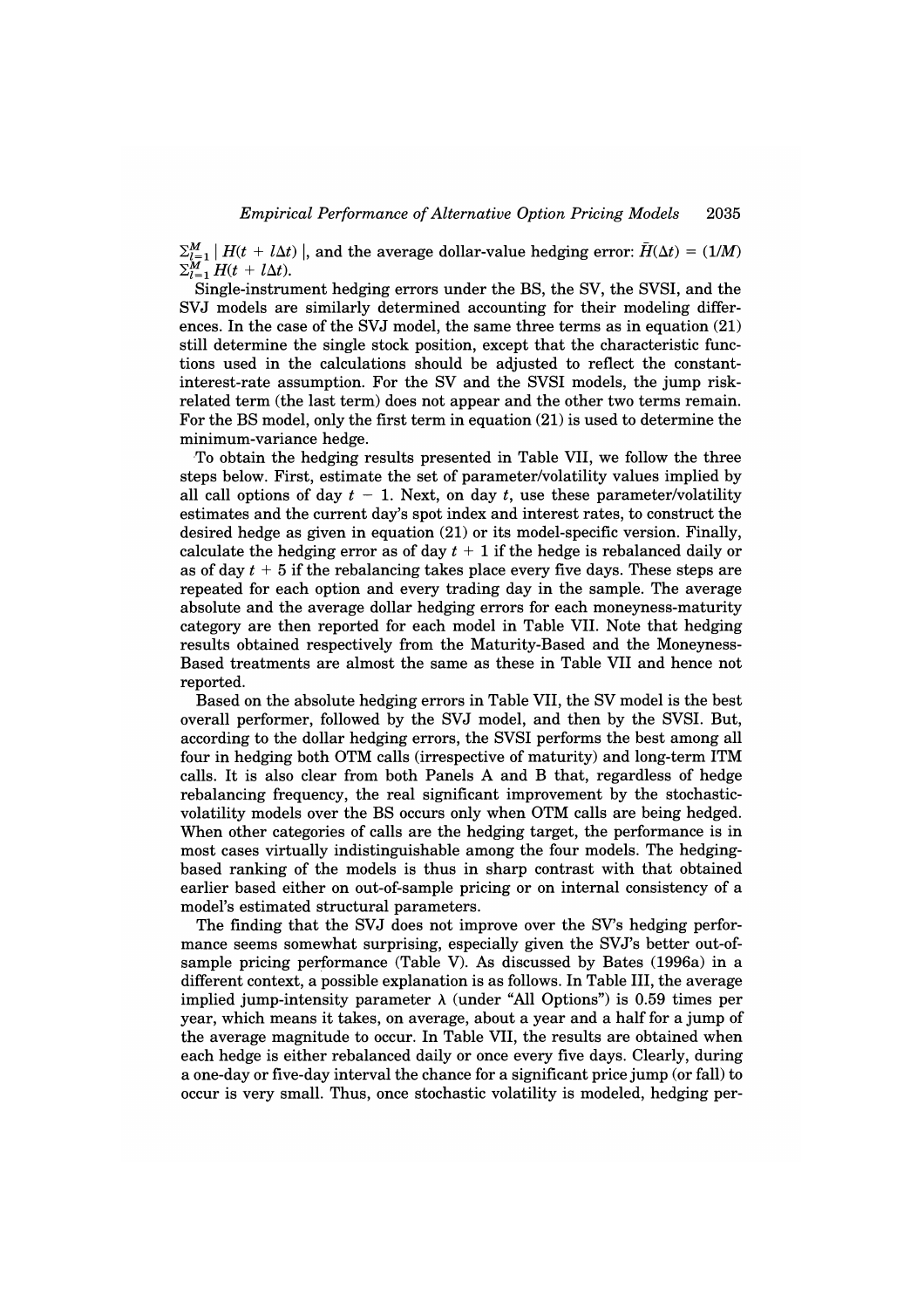$\sum_{i=1}^{M} |H(t + l\Delta t)|$ , and the average dollar-value hedging error:  $\bar{H}(\Delta t) = (1/M)^{-1}$  $\sum_{l=1}^{M} H(t + l\Delta t).$ 

**Single-instrument hedging errors under the BS, the SV, the SVSI, and the SVJ models are similarly determined accounting for their modeling differences. In the case of the SVJ model, the same three terms as in equation (21) still determine the single stock position, except that the characteristic functions used in the calculations should be adjusted to reflect the constantinterest-rate assumption. For the SV and the SVSI models, the jump riskrelated term (the last term) does not appear and the other two terms remain. For the BS model, only the first term in equation (21) is used to determine the minimum-variance hedge.** 

**To obtain the hedging results presented in Table VII, we follow the three steps below. First, estimate the set of parameter/volatility values implied by**  all call options of day  $t - 1$ . Next, on day  $t$ , use these parameter/volatility **estimates and the current day's spot index and interest rates, to construct the desired hedge as given in equation (21) or its model-specific version. Finally,**  calculate the hedging error as of day  $t + 1$  if the hedge is rebalanced daily or **as of day t + 5 if the rebalancing takes place every five days. These steps are repeated for each option and every trading day in the sample. The average absolute and the average dollar hedging errors for each moneyness-maturity category are then reported for each model in Table VII. Note that hedging results obtained respectively from the Maturity-Based and the Moneyness-Based treatments are almost the same as these in Table VII and hence not reported.** 

**Based on the absolute hedging errors in Table VII, the SV model is the best overall performer, followed by the SVJ model, and then by the SVSI. But, according to the dollar hedging errors, the SVSI performs the best among all four in hedging both OTM calls (irrespective of maturity) and long-term ITM calls. It is also clear from both Panels A and B that, regardless of hedge rebalancing frequency, the real significant improvement by the stochasticvolatility models over the BS occurs only when OTM calls are being hedged. When other categories of calls are the hedging target, the performance is in most cases virtually indistinguishable among the four models. The hedgingbased ranking of the models is thus in sharp contrast with that obtained earlier based either on out-of-sample pricing or on internal consistency of a model's estimated structural parameters.** 

**The finding that the SVJ does not improve over the SV's hedging performance seems somewhat surprising, especially given the SVJ's better out-ofsample pricing performance (Table V). As discussed by Bates (1996a) in a different context, a possible explanation is as follows. In Table III, the average**  implied jump-intensity parameter  $\lambda$  (under "All Options") is 0.59 times per **year, which means it takes, on average, about a year and a half for a jump of the average magnitude to occur. In Table VII, the results are obtained when each hedge is either rebalanced daily or once every five days. Clearly, during a one-day or five-day interval the chance for a significant price jump (or fall) to occur is very small. Thus, once stochastic volatility is modeled, hedging per-**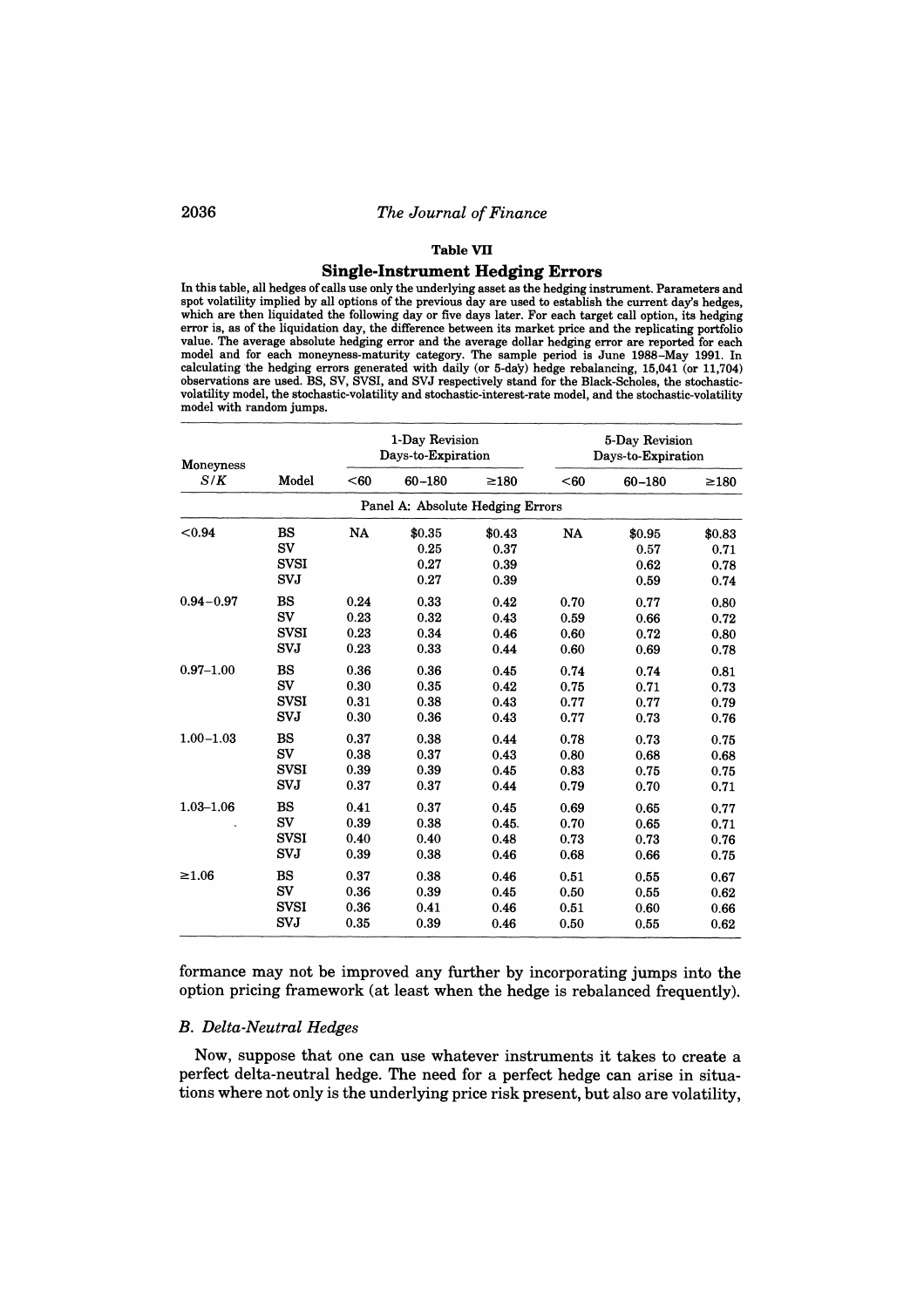### **Table VII**

### **Single-Instrument Hedging Errors**

**In this table, all hedges of calls use only the underlying asset as the hedging instrument. Parameters and spot volatility implied by all options of the previous day are used to establish the current day's hedges, which are then liquidated the following day or five days later. For each target call option, its hedging error is, as of the liquidation day, the difference between its market price and the replicating portfolio value. The average absolute hedging error and the average dollar hedging error are reported for each model and for each moneyness-maturity category. The sample period is June 1988-May 1991. In calculating the hedging errors generated with daily (or 5-da7y) hedge rebalancing, 15,041 (or 11,704) observations are used. BS, SV, SVSI, and SVJ respectively stand for the Black-Scholes, the stochasticvolatility model, the stochastic-volatility and stochastic-interest-rate model, and the stochastic-volatility model with random jumps.** 

| <b>Moneyness</b> |                                                   |                              | 1-Day Revision<br>Days-to-Expiration |                                      |                              | 5-Day Revision<br>Days-to-Expiration |                                      |
|------------------|---------------------------------------------------|------------------------------|--------------------------------------|--------------------------------------|------------------------------|--------------------------------------|--------------------------------------|
| S/K              | Model                                             | $60$                         | $60 - 180$                           | $\geq$ 180                           | $60$                         | $60 - 180$                           | $\geq 180$                           |
|                  |                                                   |                              | Panel A: Absolute Hedging Errors     |                                      |                              |                                      |                                      |
| < 0.94           | BS<br>SV<br><b>SVSI</b><br><b>SVJ</b>             | NA                           | \$0.35<br>0.25<br>0.27<br>0.27       | \$0.43<br>0.37<br>0.39               | <b>NA</b>                    | \$0.95<br>0.57<br>0.62               | \$0.83<br>0.71<br>0.78               |
| $0.94 - 0.97$    | <b>BS</b><br>$S_{V}$<br><b>SVSI</b><br><b>SVJ</b> | 0.24<br>0.23<br>0.23<br>0.23 | 0.33<br>0.32<br>0.34<br>0.33         | 0.39<br>0.42<br>0.43<br>0.46<br>0.44 | 0.70<br>0.59<br>0.60<br>0.60 | 0.59<br>0.77<br>0.66<br>0.72<br>0.69 | 0.74<br>0.80<br>0.72<br>0.80<br>0.78 |
| $0.97 - 1.00$    | <b>BS</b><br>$S_{V}$<br><b>SVSI</b><br><b>SVJ</b> | 0.36<br>0.30<br>0.31<br>0.30 | 0.36<br>0.35<br>0.38<br>0.36         | 0.45<br>0.42<br>0.43<br>0.43         | 0.74<br>0.75<br>0.77<br>0.77 | 0.74<br>0.71<br>0.77<br>0.73         | 0.81<br>0.73<br>0.79<br>0.76         |
| $1.00 - 1.03$    | BS<br>$S_{V}$<br><b>SVSI</b><br><b>SVJ</b>        | 0.37<br>0.38<br>0.39<br>0.37 | 0.38<br>0.37<br>0.39<br>0.37         | 0.44<br>0.43<br>0.45<br>0.44         | 0.78<br>0.80<br>0.83<br>0.79 | 0.73<br>0.68<br>0.75<br>0.70         | 0.75<br>0.68<br>0.75<br>0.71         |
| $1.03 - 1.06$    | BS<br>SV<br><b>SVSI</b><br><b>SVJ</b>             | 0.41<br>0.39<br>0.40<br>0.39 | 0.37<br>0.38<br>0.40<br>0.38         | 0.45<br>0.45.<br>0.48<br>0.46        | 0.69<br>0.70<br>0.73<br>0.68 | 0.65<br>0.65<br>0.73<br>0.66         | 0.77<br>0.71<br>0.76<br>0.75         |
| $≥1.06$          | <b>BS</b><br>SV<br><b>SVSI</b><br>SVJ             | 0.37<br>0.36<br>0.36<br>0.35 | 0.38<br>0.39<br>0.41<br>0.39         | 0.46<br>0.45<br>0.46<br>0.46         | 0.51<br>0.50<br>0.51<br>0.50 | 0.55<br>0.55<br>0.60<br>0.55         | 0.67<br>0.62<br>0.66<br>0.62         |

**formance may not be improved any further by incorporating jumps into the option pricing framework (at least when the hedge is rebalanced frequently).** 

# **B. Delta-Neutral Hedges**

**Now, suppose that one can use whatever instruments it takes to create a perfect delta-neutral hedge. The need for a perfect hedge can arise in situations where not only is the underlying price risk present, but also are volatility,**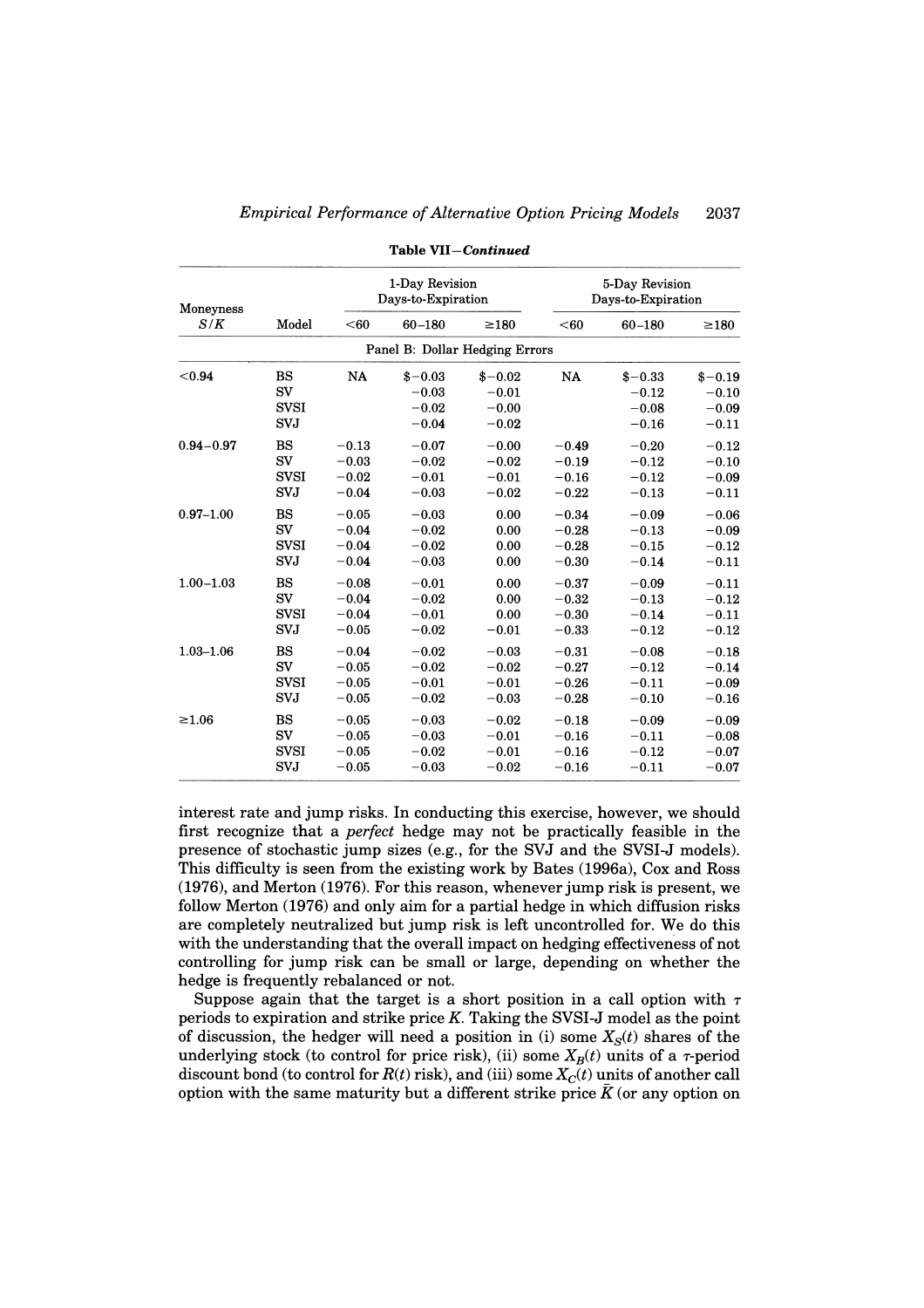| Moneyness     |                                                     |           | 1-Day Revision<br>Days-to-Expiration       |                                            |           | 5-Day Revision<br>Days-to-Expiration       |                                           |
|---------------|-----------------------------------------------------|-----------|--------------------------------------------|--------------------------------------------|-----------|--------------------------------------------|-------------------------------------------|
| S/K           | Model                                               | $60$      | $60 - 180$                                 | $\geq$ 180                                 | $60$      | $60 - 180$                                 | $\geq$ 180                                |
|               |                                                     |           |                                            | Panel B: Dollar Hedging Errors             |           |                                            |                                           |
| < 0.94        | <b>BS</b><br><b>SV</b><br><b>SVSI</b><br><b>SVJ</b> | <b>NA</b> | $$ -0.03$<br>$-0.03$<br>$-0.02$<br>$-0.04$ | $$ -0.02$<br>$-0.01$<br>$-0.00$<br>$-0.02$ | <b>NA</b> | $$ -0.33$<br>$-0.12$<br>$-0.08$<br>$-0.16$ | $$-0.19$<br>$-0.10$<br>$-0.09$<br>$-0.11$ |
| $0.94 - 0.97$ | <b>BS</b>                                           | $-0.13$   | $-0.07$                                    | $-0.00$                                    | $-0.49$   | $-0.20$                                    | $-0.12$                                   |
|               | ${\rm SV}$                                          | $-0.03$   | $-0.02$                                    | $-0.02$                                    | $-0.19$   | $-0.12$                                    | $-0.10$                                   |
|               | <b>SVSI</b>                                         | $-0.02$   | $-0.01$                                    | $-0.01$                                    | $-0.16$   | $-0.12$                                    | $-0.09$                                   |
|               | <b>SVJ</b>                                          | $-0.04$   | $-0.03$                                    | $-0.02$                                    | $-0.22$   | $-0.13$                                    | $-0.11$                                   |
| $0.97 - 1.00$ | <b>BS</b>                                           | $-0.05$   | $-0.03$                                    | 0.00                                       | $-0.34$   | $-0.09$                                    | $-0.06$                                   |
|               | <b>SV</b>                                           | $-0.04$   | $-0.02$                                    | 0.00                                       | $-0.28$   | $-0.13$                                    | $-0.09$                                   |
|               | <b>SVSI</b>                                         | $-0.04$   | $-0.02$                                    | 0.00                                       | $-0.28$   | $-0.15$                                    | $-0.12$                                   |
|               | <b>SVJ</b>                                          | $-0.04$   | $-0.03$                                    | 0.00                                       | $-0.30$   | $-0.14$                                    | $-0.11$                                   |
| $1.00 - 1.03$ | <b>BS</b>                                           | $-0.08$   | $-0.01$                                    | 0.00                                       | $-0.37$   | $-0.09$                                    | $-0.11$                                   |
|               | ${\rm SV}$                                          | $-0.04$   | $-0.02$                                    | 0.00                                       | $-0.32$   | $-0.13$                                    | $-0.12$                                   |
|               | <b>SVSI</b>                                         | $-0.04$   | $-0.01$                                    | 0.00                                       | $-0.30$   | $-0.14$                                    | $-0.11$                                   |
|               | <b>SVJ</b>                                          | $-0.05$   | $-0.02$                                    | $-0.01$                                    | $-0.33$   | $-0.12$                                    | $-0.12$                                   |
| $1.03 - 1.06$ | <b>BS</b>                                           | $-0.04$   | $-0.02$                                    | $-0.03$                                    | $-0.31$   | $-0.08$                                    | $-0.18$                                   |
|               | <b>SV</b>                                           | $-0.05$   | $-0.02$                                    | $-0.02$                                    | $-0.27$   | $-0.12$                                    | $-0.14$                                   |
|               | <b>SVSI</b>                                         | $-0.05$   | $-0.01$                                    | $-0.01$                                    | $-0.26$   | $-0.11$                                    | $-0.09$                                   |
|               | <b>SVJ</b>                                          | $-0.05$   | $-0.02$                                    | $-0.03$                                    | $-0.28$   | $-0.10$                                    | $-0.16$                                   |
| $\geq 1.06$   | <b>BS</b>                                           | $-0.05$   | $-0.03$                                    | $-0.02$                                    | $-0.18$   | $-0.09$                                    | $-0.09$                                   |
|               | $S_{V}$                                             | $-0.05$   | $-0.03$                                    | $-0.01$                                    | $-0.16$   | $-0.11$                                    | $-0.08$                                   |
|               | <b>SVSI</b>                                         | $-0.05$   | $-0.02$                                    | $-0.01$                                    | $-0.16$   | $-0.12$                                    | $-0.07$                                   |
|               | <b>SVJ</b>                                          | $-0.05$   | $-0.03$                                    | $-0.02$                                    | $-0.16$   | $-0.11$                                    | $-0.07$                                   |

**Table VII-Continued** 

**Empirical Performance of Alternative Option Pricing Models 2037** 

**interest rate and jump risks. In conducting this exercise, however, we should first recognize that a perfect hedge may not be practically feasible in the presence of stochastic jump sizes (e.g., for the SVJ and the SVSI-J models). This difficulty is seen from the existing work by Bates (1996a), Cox and Ross (1976), and Merton (1976). For this reason, whenever jump risk is present, we follow Merton (1976) and only aim for a partial hedge in which diffusion risks are completely neutralized but jump risk is left uncontrolled for. We do this with the understanding that the overall impact on hedging effectiveness of not controlling for jump risk can be small or large, depending on whether the hedge is frequently rebalanced or not.** 

Suppose again that the target is a short position in a call option with  $\tau$ **periods to expiration and strike price K. Taking the SVSI-J model as the point**  of discussion, the hedger will need a position in (i) some  $X_S(t)$  shares of the underlying stock (to control for price risk), (ii) some  $X_B(t)$  units of a  $\tau$ -period discount bond (to control for  $R(t)$  risk), and (iii) some  $X_C(t)$  units of another call **option with the same maturity but a different strike price**  $\bar{K}$  **(or any option on**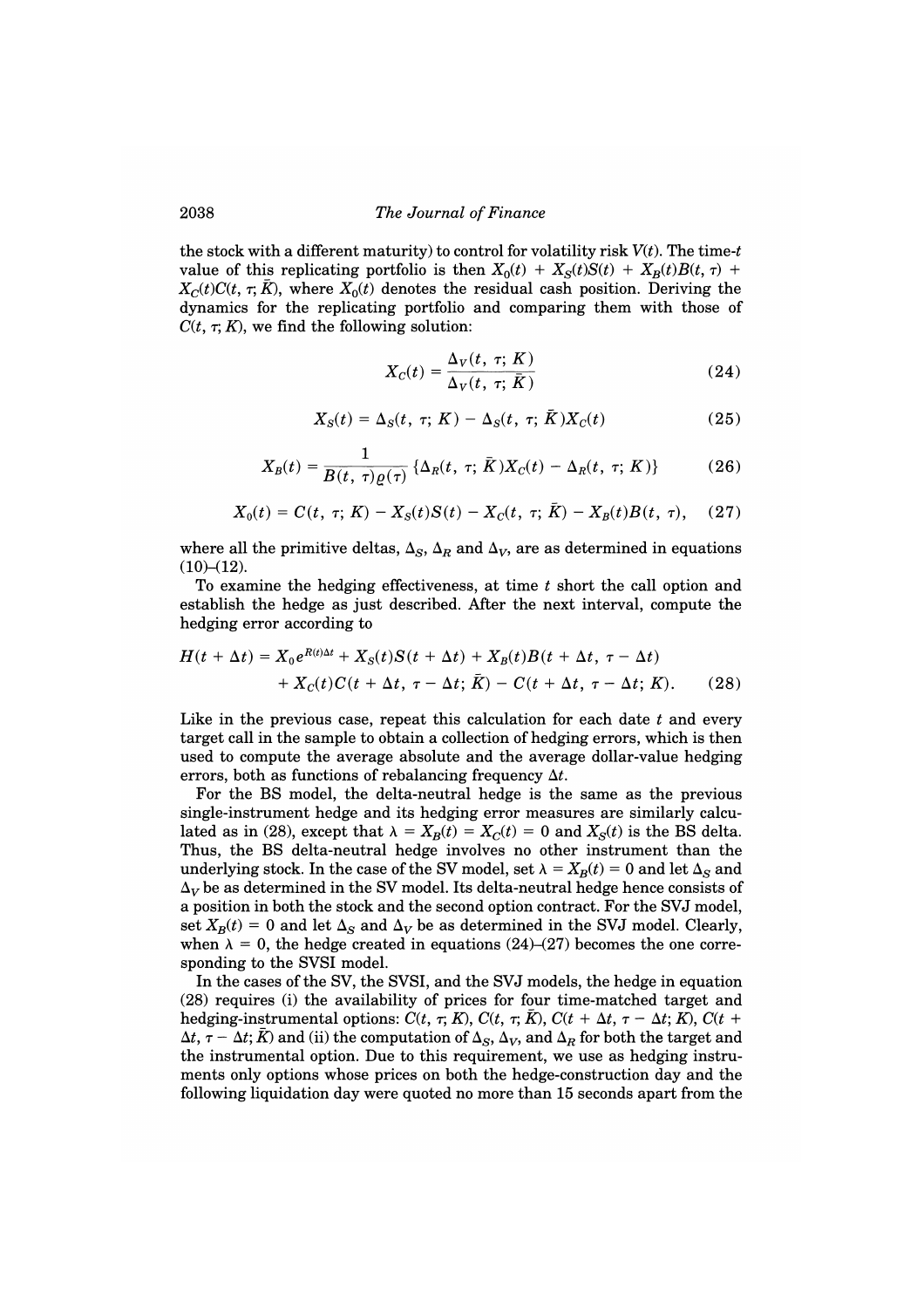the stock with a different maturity) to control for volatility risk  $V(t)$ . The time-t value of this replicating portfolio is then  $X_0(t) + X_S(t)S(t) + X_B(t)B(t, \tau)$  $X_c(t)C(t, \tau; K)$ , where  $X_0(t)$  denotes the residual cash position. Deriving the **dynamics for the replicating portfolio and comparing them with those of**   $C(t, \tau; K)$ , we find the following solution:

$$
X_c(t) = \frac{\Delta_V(t, \tau; K)}{\Delta_V(t, \tau; \bar{K})}
$$
(24)

$$
X_S(t) = \Delta_S(t, \tau; K) - \Delta_S(t, \tau; \overline{K}) X_C(t) \tag{25}
$$

$$
X_B(t) = \frac{1}{B(t, \tau)\varrho(\tau)} \left\{ \Delta_R(t, \tau; \bar{K}) X_C(t) - \Delta_R(t, \tau; K) \right\}
$$
(26)

$$
X_0(t) = C(t, \tau; K) - X_S(t)S(t) - X_C(t, \tau; \bar{K}) - X_B(t)B(t, \tau), \quad (27)
$$

where all the primitive deltas,  $\Delta_S$ ,  $\Delta_R$  and  $\Delta_V$ , are as determined in equations  $(10)–(12)$ .

**To examine the hedging effectiveness, at time t short the call option and establish the hedge as just described. After the next interval, compute the hedging error according to** 

$$
H(t + \Delta t) = X_0 e^{R(t)\Delta t} + X_S(t)S(t + \Delta t) + X_B(t)B(t + \Delta t, \tau - \Delta t)
$$
  
+ 
$$
X_C(t)C(t + \Delta t, \tau - \Delta t; \overline{K}) - C(t + \Delta t, \tau - \Delta t; K).
$$
 (28)

**Like in the previous case, repeat this calculation for each date t and every target call in the sample to obtain a collection of hedging errors, which is then used to compute the average absolute and the average dollar-value hedging**  errors, both as functions of rebalancing frequency  $\Delta t$ .

**For the BS model, the delta-neutral hedge is the same as the previous single-instrument hedge and its hedging error measures are similarly calcu**lated as in (28), except that  $\lambda = X_B(t) = X_C(t) = 0$  and  $X_S(t)$  is the BS delta. **Thus, the BS delta-neutral hedge involves no other instrument than the**  underlying stock. In the case of the SV model, set  $\lambda = X_B(t) = 0$  and let  $\Delta_S$  and  $\Delta_V$  be as determined in the SV model. Its delta-neutral hedge hence consists of **a position in both the stock and the second option contract. For the SVJ model,**  set  $X_B(t) = 0$  and let  $\Delta_S$  and  $\Delta_V$  be as determined in the SVJ model. Clearly, when  $\lambda = 0$ , the hedge created in equations (24)–(27) becomes the one corre**sponding to the SVSI model.** 

**In the cases of the SV, the SVSI, and the SVJ models, the hedge in equation (28) requires (i) the availability of prices for four time-matched target and hedging-instrumental options:**  $C(t, \tau; K)$ ,  $C(t, \tau; \overline{K})$ ,  $C(t + \Delta t, \tau - \Delta t; K)$ ,  $C(t +$  $\Delta t$ ,  $\tau$  –  $\Delta t$ ; K) and (ii) the computation of  $\Delta_S$ ,  $\Delta_V$ , and  $\Delta_R$  for both the target and **the instrumental option. Due to this requirement, we use as hedging instruments only options whose prices on both the hedge-construction day and the following liquidation day were quoted no more than 15 seconds apart from the**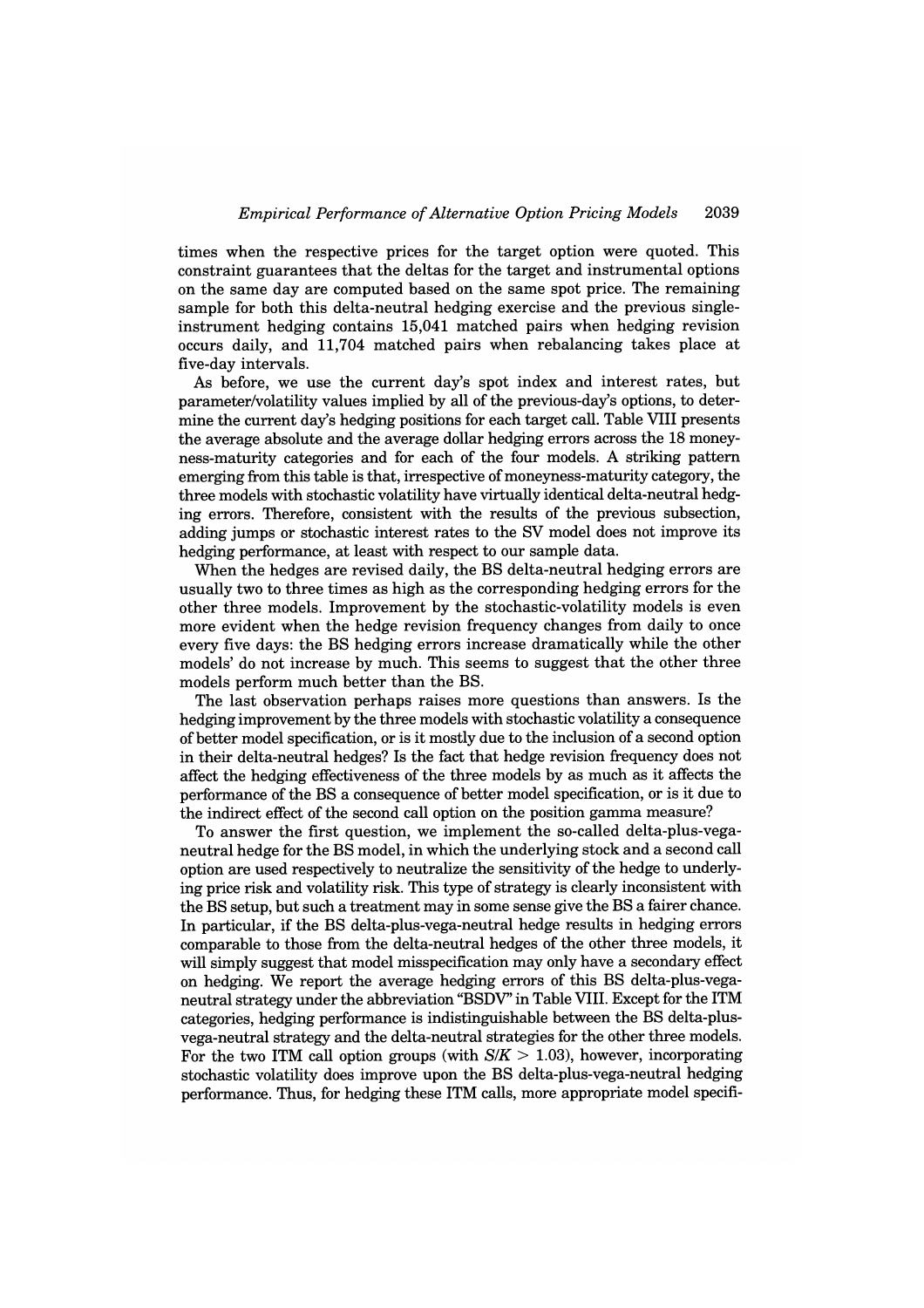**times when the respective prices for the target option were quoted. This constraint guarantees that the deltas for the target and instrumental options on the same day are computed based on the same spot price. The remaining sample for both this delta-neutral hedging exercise and the previous singleinstrument hedging contains 15,041 matched pairs when hedging revision occurs daily, and 11,704 matched pairs when rebalancing takes place at five-day intervals.** 

**As before, we use the current day's spot index and interest rates, but parameter/volatility values implied by all of the previous-day's options, to determine the current day's hedging positions for each target call. Table VIII presents the average absolute and the average dollar hedging errors across the 18 moneyness-maturity categories and for each of the four models. A striking pattern emerging from this table is that, irrespective of moneyness-maturity category, the three models with stochastic volatility have virtually identical delta-neutral hedging errors. Therefore, consistent with the results of the previous subsection, adding jumps or stochastic interest rates to the SV model does not improve its hedging performance, at least with respect to our sample data.** 

**When the hedges are revised daily, the BS delta-neutral hedging errors are usually two to three times as high as the corresponding hedging errors for the other three models. Improvement by the stochastic-volatility models is even more evident when the hedge revision frequency changes from daily to once every five days: the BS hedging errors increase dramatically while the other models' do not increase by much. This seems to suggest that the other three models perform much better than the BS.** 

**The last observation perhaps raises more questions than answers. Is the hedging improvement by the three models with stochastic volatility a consequence of better model specification, or is it mostly due to the inclusion of a second option in their delta-neutral hedges? Is the fact that hedge revision frequency does not affect the hedging effectiveness of the three models by as much as it affects the performance of the BS a consequence of better model specification, or is it due to the indirect effect of the second call option on the position gamma measure?** 

**To answer the first question, we implement the so-called delta-plus-veganeutral hedge for the BS model, in which the underlying stock and a second call option are used respectively to neutralize the sensitivity of the hedge to underlying price risk and volatility risk. This type of strategy is clearly inconsistent with the BS setup, but such a treatment may in some sense give the BS a fairer chance. In particular, if the BS delta-plus-vega-neutral hedge results in hedging errors comparable to those from the delta-neutral hedges of the other three models, it will simply suggest that model misspecification may only have a secondary effect on hedging. We report the average hedging errors of this BS delta-plus-veganeutral strategy under the abbreviation "BSDV' in Table VIII. Except for the ITM categories, hedging performance is indistinguishable between the BS delta-plusvega-neutral strategy and the delta-neutral strategies for the other three models.**  For the two ITM call option groups (with  $S/K > 1.03$ ), however, incorporating **stochastic volatility does improve upon the BS delta-plus-vega-neutral hedging performance. Thus, for hedging these ITM calls, more appropriate model specifi-**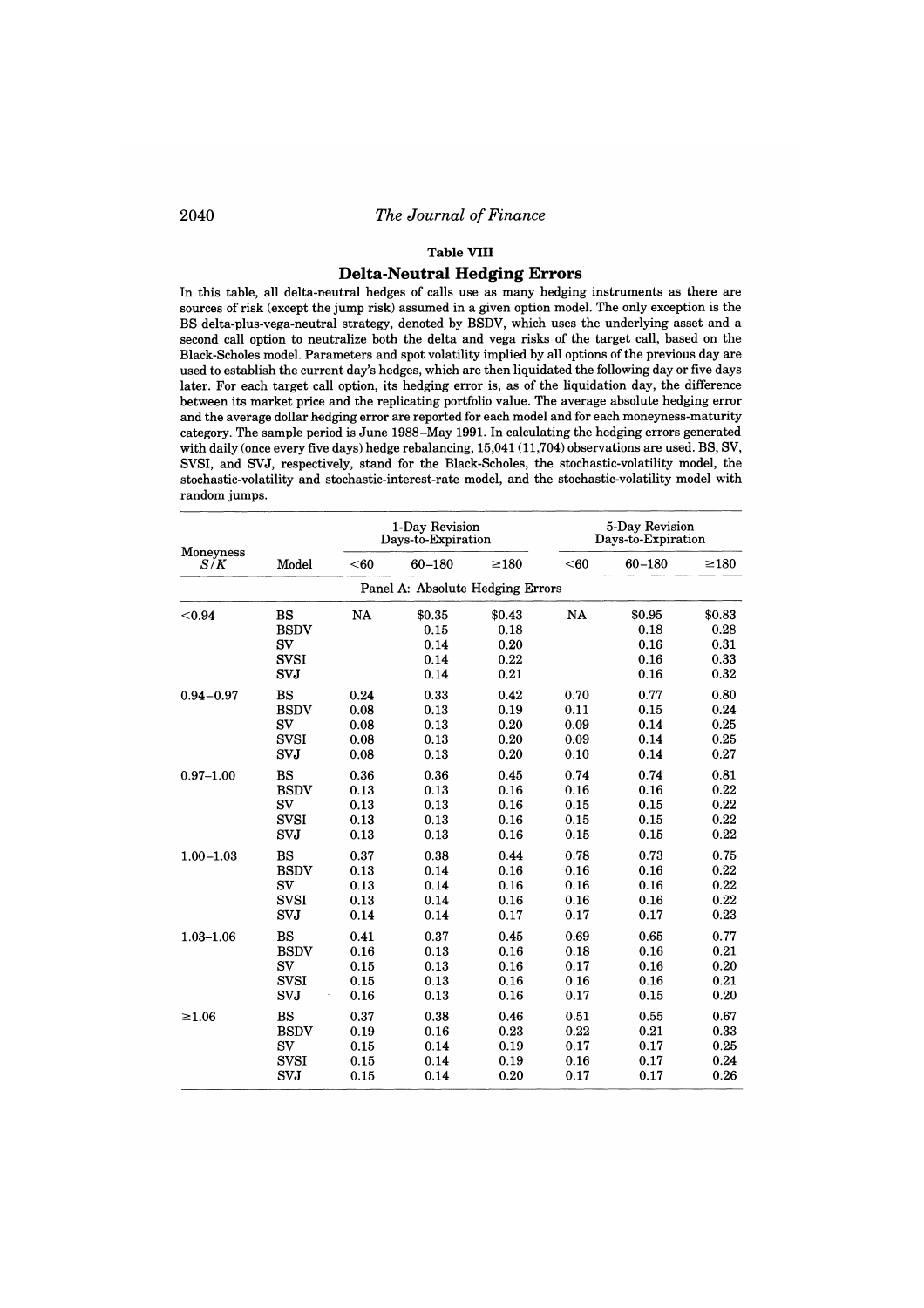### **Table VIII**

# **Delta-Neutral Hedging Errors**

**In this table, all delta-neutral hedges of calls use as many hedging instruments as there are sources of risk (except the jump risk) assumed in a given option model. The only exception is the BS delta-plus-vega-neutral strategy, denoted by BSDV, which uses the underlying asset and a second call option to neutralize both the delta and vega risks of the target call, based on the Black-Scholes model. Parameters and spot volatility implied by all options of the previous day are used to establish the current day's hedges, which are then liquidated the following day or five days later. For each target call option, its hedging error is, as of the liquidation day, the difference between its market price and the replicating portfolio value. The average absolute hedging error and the average dollar hedging error are reported for each model and for each moneyness-maturity category. The sample period is June 1988-May 1991. In calculating the hedging errors generated with daily (once every five days) hedge rebalancing, 15,041 (11,704) observations are used. BS, SV, SVSI, and SVJ, respectively, stand for the Black-Scholes, the stochastic-volatility model, the stochastic-volatility and stochastic-interest-rate model, and the stochastic-volatility model with random jumps.** 

|                  |                                                                  |      | 1-Day Revision<br>Days-to-Expiration   |                                        | 5-Day Revision<br>Days-to-Expiration |                                        |                                        |  |
|------------------|------------------------------------------------------------------|------|----------------------------------------|----------------------------------------|--------------------------------------|----------------------------------------|----------------------------------------|--|
| Moneyness<br>S/K | Model                                                            | $60$ | $60 - 180$                             | $\geq 180$                             | $60$                                 | $60 - 180$                             | $\geq 180$                             |  |
|                  |                                                                  |      | Panel A: Absolute Hedging Errors       |                                        |                                      |                                        |                                        |  |
| < 0.94           | <b>BS</b><br><b>BSDV</b><br>$S_{V}$<br><b>SVSI</b><br><b>SVJ</b> | NA   | \$0.35<br>0.15<br>0.14<br>0.14<br>0.14 | \$0.43<br>0.18<br>0.20<br>0.22<br>0.21 | <b>NA</b>                            | \$0.95<br>0.18<br>0.16<br>0.16<br>0.16 | \$0.83<br>0.28<br>0.31<br>0.33<br>0.32 |  |
| $0.94 - 0.97$    | <b>BS</b>                                                        | 0.24 | 0.33                                   | 0.42                                   | 0.70                                 | 0.77                                   | 0.80                                   |  |
|                  | <b>BSDV</b>                                                      | 0.08 | 0.13                                   | 0.19                                   | 0.11                                 | 0.15                                   | 0.24                                   |  |
|                  | <b>SV</b>                                                        | 0.08 | 0.13                                   | 0.20                                   | 0.09                                 | 0.14                                   | 0.25                                   |  |
|                  | <b>SVSI</b>                                                      | 0.08 | 0.13                                   | 0.20                                   | 0.09                                 | 0.14                                   | 0.25                                   |  |
|                  | <b>SVJ</b>                                                       | 0.08 | 0.13                                   | 0.20                                   | 0.10                                 | 0.14                                   | 0.27                                   |  |
| $0.97 - 1.00$    | <b>BS</b>                                                        | 0.36 | 0.36                                   | 0.45                                   | 0.74                                 | 0.74                                   | 0.81                                   |  |
|                  | <b>BSDV</b>                                                      | 0.13 | 0.13                                   | 0.16                                   | 0.16                                 | 0.16                                   | 0.22                                   |  |
|                  | SV                                                               | 0.13 | 0.13                                   | 0.16                                   | 0.15                                 | 0.15                                   | 0.22                                   |  |
|                  | <b>SVSI</b>                                                      | 0.13 | 0.13                                   | 0.16                                   | 0.15                                 | 0.15                                   | 0.22                                   |  |
|                  | <b>SVJ</b>                                                       | 0.13 | 0.13                                   | 0.16                                   | 0.15                                 | 0.15                                   | 0.22                                   |  |
| $1.00 - 1.03$    | BS                                                               | 0.37 | 0.38                                   | 0.44                                   | 0.78                                 | 0.73                                   | 0.75                                   |  |
|                  | <b>BSDV</b>                                                      | 0.13 | 0.14                                   | 0.16                                   | 0.16                                 | 0.16                                   | 0.22                                   |  |
|                  | SV                                                               | 0.13 | 0.14                                   | 0.16                                   | 0.16                                 | 0.16                                   | 0.22                                   |  |
|                  | <b>SVSI</b>                                                      | 0.13 | 0.14                                   | 0.16                                   | 0.16                                 | 0.16                                   | 0.22                                   |  |
|                  | <b>SVJ</b>                                                       | 0.14 | 0.14                                   | 0.17                                   | 0.17                                 | 0.17                                   | 0.23                                   |  |
| $1.03 - 1.06$    | <b>BS</b>                                                        | 0.41 | 0.37                                   | 0.45                                   | 0.69                                 | 0.65                                   | 0.77                                   |  |
|                  | <b>BSDV</b>                                                      | 0.16 | 0.13                                   | 0.16                                   | 0.18                                 | 0.16                                   | 0.21                                   |  |
|                  | $S_{V}$                                                          | 0.15 | 0.13                                   | 0.16                                   | 0.17                                 | 0.16                                   | 0.20                                   |  |
|                  | <b>SVSI</b>                                                      | 0.15 | 0.13                                   | 0.16                                   | 0.16                                 | 0.16                                   | 0.21                                   |  |
|                  | <b>SVJ</b>                                                       | 0.16 | 0.13                                   | 0.16                                   | 0.17                                 | 0.15                                   | 0.20                                   |  |
| $\geq 1.06$      | <b>BS</b>                                                        | 0.37 | 0.38                                   | 0.46                                   | 0.51                                 | 0.55                                   | 0.67                                   |  |
|                  | <b>BSDV</b>                                                      | 0.19 | 0.16                                   | 0.23                                   | 0.22                                 | 0.21                                   | 0.33                                   |  |
|                  | <b>SV</b>                                                        | 0.15 | 0.14                                   | 0.19                                   | 0.17                                 | 0.17                                   | 0.25                                   |  |
|                  | <b>SVSI</b>                                                      | 0.15 | 0.14                                   | 0.19                                   | 0.16                                 | 0.17                                   | 0.24                                   |  |
|                  | <b>SVJ</b>                                                       | 0.15 | 0.14                                   | 0.20                                   | 0.17                                 | 0.17                                   | 0.26                                   |  |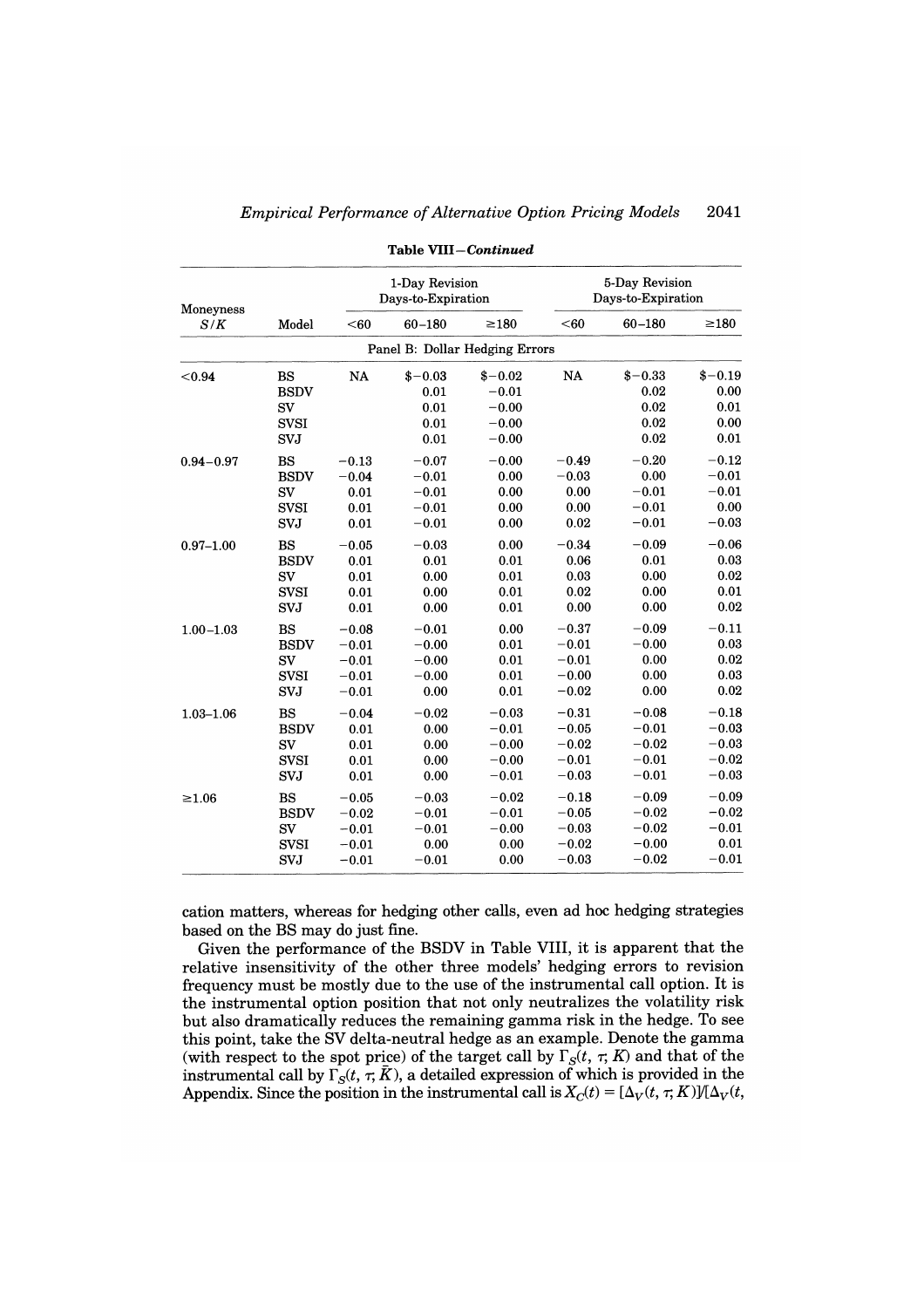| Moneyness     |                                                             |          | 1-Day Revision<br>Days-to-Expiration      |                                                       | 5-Day Revision<br>Days-to-Expiration |                                           |                                           |  |
|---------------|-------------------------------------------------------------|----------|-------------------------------------------|-------------------------------------------------------|--------------------------------------|-------------------------------------------|-------------------------------------------|--|
| S/K           | Model                                                       | $60$     | $60 - 180$                                | $\geq$ 180                                            | $60$                                 | $60 - 180$                                | $\geq 180$                                |  |
|               |                                                             |          | Panel B: Dollar Hedging Errors            |                                                       |                                      |                                           |                                           |  |
| < 0.94        | <b>BS</b><br><b>BSDV</b><br>SV<br><b>SVSI</b><br><b>SVJ</b> | NA       | $$ -0.03$<br>0.01<br>0.01<br>0.01<br>0.01 | $$ -0.02$<br>$-0.01$<br>$-0.00$<br>$-0.00$<br>$-0.00$ | NA                                   | $$ -0.33$<br>0.02<br>0.02<br>0.02<br>0.02 | $$ -0.19$<br>0.00<br>0.01<br>0.00<br>0.01 |  |
| $0.94 - 0.97$ | <b>BS</b>                                                   | $-0.13$  | $-0.07$                                   | $-0.00$                                               | $-0.49$                              | $-0.20$                                   | $-0.12$                                   |  |
|               | <b>BSDV</b>                                                 | $-0.04$  | $-0.01$                                   | 0.00                                                  | $-0.03$                              | 0.00                                      | $-0.01$                                   |  |
|               | SV                                                          | 0.01     | $-0.01$                                   | 0.00                                                  | 0.00                                 | $-0.01$                                   | $-0.01$                                   |  |
|               | <b>SVSI</b>                                                 | 0.01     | $-0.01$                                   | 0.00                                                  | 0.00                                 | $-0.01$                                   | 0.00                                      |  |
|               | <b>SVJ</b>                                                  | 0.01     | $-0.01$                                   | 0.00                                                  | 0.02                                 | $-0.01$                                   | $-0.03$                                   |  |
| $0.97 - 1.00$ | <b>BS</b>                                                   | $-0.05$  | $-0.03$                                   | 0.00                                                  | $-0.34$                              | $-0.09$                                   | $-0.06$                                   |  |
|               | <b>BSDV</b>                                                 | 0.01     | 0.01                                      | 0.01                                                  | 0.06                                 | 0.01                                      | 0.03                                      |  |
|               | SV                                                          | 0.01     | 0.00                                      | 0.01                                                  | 0.03                                 | 0.00                                      | 0.02                                      |  |
|               | <b>SVSI</b>                                                 | 0.01     | 0.00                                      | 0.01                                                  | 0.02                                 | 0.00                                      | 0.01                                      |  |
|               | <b>SVJ</b>                                                  | 0.01     | 0.00                                      | 0.01                                                  | 0.00                                 | 0.00                                      | 0.02                                      |  |
| $1.00 - 1.03$ | <b>BS</b>                                                   | $-0.08$  | $-0.01$                                   | 0.00                                                  | $-0.37$                              | $-0.09$                                   | $-0.11$                                   |  |
|               | <b>BSDV</b>                                                 | $-0.01$  | $-0.00$                                   | 0.01                                                  | $-0.01$                              | $-0.00$                                   | 0.03                                      |  |
|               | SV                                                          | $-0.01$  | $-0.00$                                   | 0.01                                                  | $-0.01$                              | 0.00                                      | 0.02                                      |  |
|               | <b>SVSI</b>                                                 | $-0.01$  | $-0.00$                                   | 0.01                                                  | $-0.00$                              | 0.00                                      | 0.03                                      |  |
|               | <b>SVJ</b>                                                  | $-0.01$  | 0.00                                      | 0.01                                                  | $-0.02$                              | 0.00                                      | 0.02                                      |  |
| $1.03 - 1.06$ | <b>BS</b>                                                   | $-0.04$  | $-0.02$                                   | $-0.03$                                               | $-0.31$                              | $-0.08$                                   | $-0.18$                                   |  |
|               | <b>BSDV</b>                                                 | 0.01     | 0.00                                      | $-0.01$                                               | $-0.05$                              | $-0.01$                                   | $-0.03$                                   |  |
|               | SV                                                          | 0.01     | 0.00                                      | $-0.00$                                               | $-0.02$                              | $-0.02$                                   | $-0.03$                                   |  |
|               | <b>SVSI</b>                                                 | $0.01\,$ | 0.00                                      | $-0.00$                                               | $-0.01$                              | $-0.01$                                   | $-0.02$                                   |  |
|               | <b>SVJ</b>                                                  | 0.01     | 0.00                                      | $-0.01$                                               | $-0.03$                              | $-0.01$                                   | $-0.03$                                   |  |
| $≥1.06$       | <b>BS</b>                                                   | $-0.05$  | $-0.03$                                   | $-0.02$                                               | $-0.18$                              | $-0.09$                                   | $-0.09$                                   |  |
|               | <b>BSDV</b>                                                 | $-0.02$  | $-0.01$                                   | $-0.01$                                               | $-0.05$                              | $-0.02$                                   | $-0.02$                                   |  |
|               | SV                                                          | $-0.01$  | $-0.01$                                   | $-0.00$                                               | $-0.03$                              | $-0.02$                                   | $-0.01$                                   |  |
|               | <b>SVSI</b>                                                 | $-0.01$  | 0.00                                      | 0.00                                                  | $-0.02$                              | $-0.00$                                   | 0.01                                      |  |
|               | <b>SVJ</b>                                                  | $-0.01$  | $-0.01$                                   | 0.00                                                  | $-0.03$                              | $-0.02$                                   | $-0.01$                                   |  |

**Table VIII-Continued** 

**cation matters, whereas for hedging other calls, even ad hoc hedging strategies based on the BS may do just fine.** 

**Given the performance of the BSDV in Table VIII, it is apparent that the relative insensitivity of the other three models' hedging errors to revision frequency must be mostly due to the use of the instrumental call option. It is the instrumental option position that not only neutralizes the volatility risk but also dramatically reduces the remaining gamma risk in the hedge. To see this point, take the SV delta-neutral hedge as an example. Denote the gamma**  (with respect to the spot price) of the target call by  $\Gamma_S(t, \tau, K)$  and that of the instrumental call by  $\Gamma_S(t, \tau, \overline{K})$ , a detailed expression of which is provided in the Appendix. Since the position in the instrumental call is  $X_C(t) = [\Delta_V(t, \tau, K)]/[\Delta_V(t, \tau, K)]$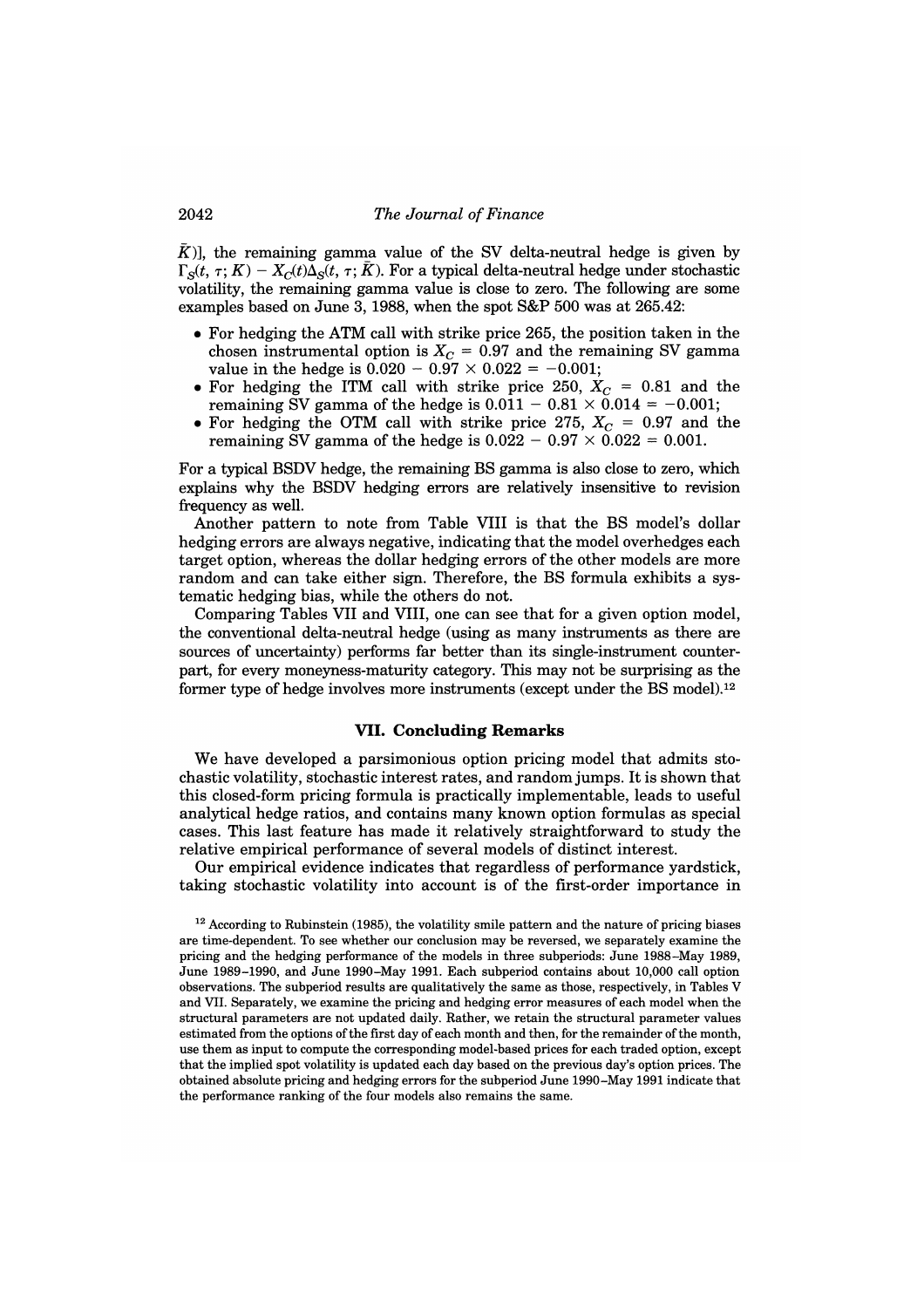$(K)$ , the remaining gamma value of the SV delta-neutral hedge is given by  $\Gamma_{\mathcal{S}}(t, \tau; K) - X_{\mathcal{C}}(t) \Delta_{\mathcal{S}}(t, \tau; K)$ . For a typical delta-neutral hedge under stochastic **volatility, the remaining gamma value is close to zero. The following are some examples based on June 3, 1988, when the spot S&P 500 was at 265.42:** 

- **\* For hedging the ATM call with strike price 265, the position taken in the**  chosen instrumental option is  $X_C = 0.97$  and the remaining SV gamma **value in the hedge is**  $0.020 - 0.97 \times 0.022 = -0.001$ **;**
- For hedging the ITM call with strike price 250,  $X_C = 0.81$  and the **remaining SV gamma of the hedge is**  $0.011 - 0.81 \times 0.014 = -0.001$ **;**
- For hedging the OTM call with strike price 275,  $X_c = 0.97$  and the **remaining SV gamma of the hedge is**  $0.022 - 0.97 \times 0.022 = 0.001$ **.**

**For a typical BSDV hedge, the remaining BS gamma is also close to zero, which explains why the BSDV hedging errors are relatively insensitive to revision frequency as well.** 

**Another pattern to note from Table VIII is that the BS model's dollar hedging errors are always negative, indicating that the model overhedges each target option, whereas the dollar hedging errors of the other models are more random and can take either sign. Therefore, the BS formula exhibits a systematic hedging bias, while the others do not.** 

**Comparing Tables VII and VIII, one can see that for a given option model, the conventional delta-neutral hedge (using as many instruments as there are sources of uncertainty) performs far better than its single-instrument counterpart, for every moneyness-maturity category. This may not be surprising as the former type of hedge involves more instruments (except under the BS model).12** 

# **VII. Concluding Remarks**

**We have developed a parsimonious option pricing model that admits stochastic volatility, stochastic interest rates, and random jumps. It is shown that this closed-form pricing formula is practically implementable, leads to useful analytical hedge ratios, and contains many known option formulas as special cases. This last feature has made it relatively straightforward to study the relative empirical performance of several models of distinct interest.** 

**Our empirical evidence indicates that regardless of performance yardstick, taking stochastic volatility into account is of the first-order importance in** 

**<sup>12</sup>According to Rubinstein (1985), the volatility smile pattern and the nature of pricing biases are time-dependent. To see whether our conclusion may be reversed, we separately examine the pricing and the hedging performance of the models in three subperiods: June 1988-May 1989, June 1989-1990, and June 1990-May 1991. Each subperiod contains about 10,000 call option observations. The subperiod results are qualitatively the same as those, respectively, in Tables V and VII. Separately, we examine the pricing and hedging error measures of each model when the structural parameters are not updated daily. Rather, we retain the structural parameter values estimated from the options of the first day of each month and then, for the remainder of the month, use them as input to compute the corresponding model-based prices for each traded option, except that the implied spot volatility is updated each day based on the previous day's option prices. The obtained absolute pricing and hedging errors for the subperiod June 1990-May 1991 indicate that the performance ranking of the four models also remains the same.**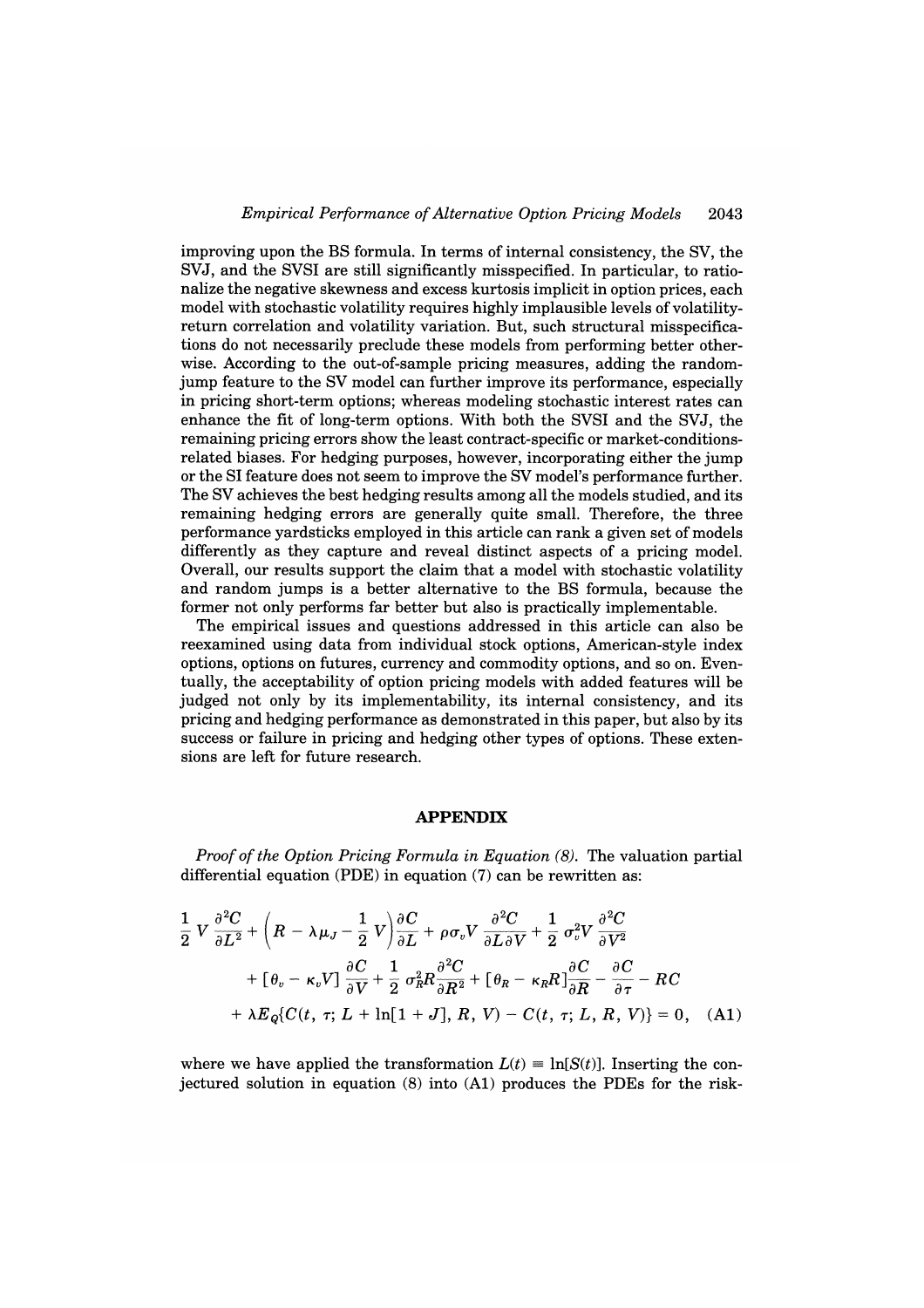**improving upon the BS formula. In terms of internal consistency, the SV, the SVJ, and the SVSI are still significantly misspecified. In particular, to rationalize the negative skewness and excess kurtosis implicit in option prices, each model with stochastic volatility requires highly implausible levels of volatilityreturn correlation and volatility variation. But, such structural misspecifications do not necessarily preclude these models from performing better otherwise. According to the out-of-sample pricing measures, adding the randomjump feature to the SV model can further improve its performance, especially in pricing short-term options; whereas modeling stochastic interest rates can enhance the fit of long-term options. With both the SVSI and the SVJ, the remaining pricing errors show the least contract-specific or market-conditionsrelated biases. For hedging purposes, however, incorporating either the jump or the SI feature does not seem to improve the SV model's performance further. The SV achieves the best hedging results among all the models studied, and its remaining hedging errors are generally quite small. Therefore, the three performance yardsticks employed in this article can rank a given set of models differently as they capture and reveal distinct aspects of a pricing model. Overall, our results support the claim that a model with stochastic volatility and random jumps is a better alternative to the BS formula, because the former not only performs far better but also is practically implementable.** 

**The empirical issues and questions addressed in this article can also be reexamined using data from individual stock options, American-style index options, options on futures, currency and commodity options, and so on. Eventually, the acceptability of option pricing models with added features will be judged not only by its implementability, its internal consistency, and its pricing and hedging performance as demonstrated in this paper, but also by its success or failure in pricing and hedging other types of options. These extensions are left for future research.** 

# **APPENDIX**

**Proof of the Option Pricing Formula in Equation (8). The valuation partial differential equation (PDE) in equation (7) can be rewritten as:** 

$$
\frac{1}{2} V \frac{\partial^2 C}{\partial L^2} + \left( R - \lambda \mu_J - \frac{1}{2} V \right) \frac{\partial C}{\partial L} + \rho \sigma_v V \frac{\partial^2 C}{\partial L \partial V} + \frac{1}{2} \sigma_v^2 V \frac{\partial^2 C}{\partial V^2} \n+ \left[ \theta_v - \kappa_v V \right] \frac{\partial C}{\partial V} + \frac{1}{2} \sigma_R^2 R \frac{\partial^2 C}{\partial R^2} + \left[ \theta_R - \kappa_R R \right] \frac{\partial C}{\partial R} - \frac{\partial C}{\partial \tau} - RC \n+ \lambda E_Q \{ C(t, \tau; L + \ln[1 + J], R, V) - C(t, \tau; L, R, V) \} = 0, \quad (A1)
$$

where we have applied the transformation  $L(t) = \ln[S(t)]$ . Inserting the con**jectured solution in equation (8) into (Al) produces the PDEs for the risk-**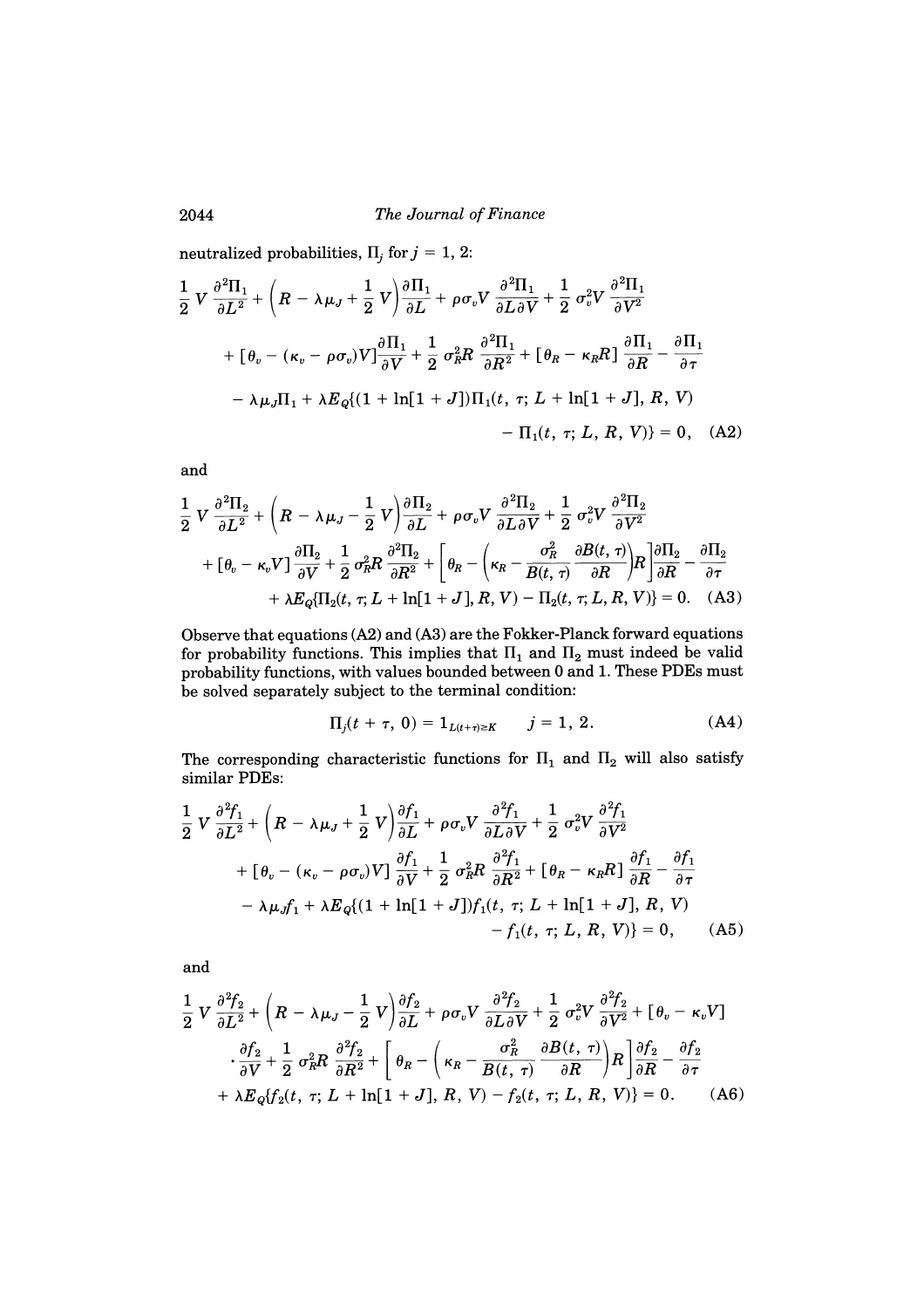neutralized probabilities,  $\Pi_j$  for  $j$  = 1, 2:

$$
\frac{1}{2} V \frac{\partial^2 \Pi_1}{\partial L^2} + \left( R - \lambda \mu_J + \frac{1}{2} V \right) \frac{\partial \Pi_1}{\partial L} + \rho \sigma_v V \frac{\partial^2 \Pi_1}{\partial L \partial V} + \frac{1}{2} \sigma_v^2 V \frac{\partial^2 \Pi_1}{\partial V^2} \n+ \left[ \theta_v - (\kappa_v - \rho \sigma_v) V \right] \frac{\partial \Pi_1}{\partial V} + \frac{1}{2} \sigma_R^2 R \frac{\partial^2 \Pi_1}{\partial R^2} + \left[ \theta_R - \kappa_R R \right] \frac{\partial \Pi_1}{\partial R} - \frac{\partial \Pi_1}{\partial \tau} \n- \lambda \mu_J \Pi_1 + \lambda E_Q \{ (1 + \ln[1 + J]) \Pi_1 (t, \tau; L + \ln[1 + J], R, V) \n- \Pi_1 (t, \tau; L, R, V) \} = 0, \quad (A2)
$$

**and** 

$$
\frac{1}{2} V \frac{\partial^2 \Pi_2}{\partial L^2} + \left( R - \lambda \mu_J - \frac{1}{2} V \right) \frac{\partial \Pi_2}{\partial L} + \rho \sigma_v V \frac{\partial^2 \Pi_2}{\partial L \partial V} + \frac{1}{2} \sigma_v^2 V \frac{\partial^2 \Pi_2}{\partial V^2} \n+ \left[ \theta_v - \kappa_v V \right] \frac{\partial \Pi_2}{\partial V} + \frac{1}{2} \sigma_R^2 R \frac{\partial^2 \Pi_2}{\partial R^2} + \left[ \theta_R - \left( \kappa_R - \frac{\sigma_R^2}{B(t, \tau)} \frac{\partial B(t, \tau)}{\partial R} \right) R \right] \frac{\partial \Pi_2}{\partial R} - \frac{\partial \Pi_2}{\partial \tau} \n+ \lambda E_Q{\Pi_2(t, \tau; L + \ln[1 + J], R, V) - \Pi_2(t, \tau; L, R, V)} = 0. \quad (A3)
$$

**Observe that equations (A2) and (A3) are the Fokker-Planck forward equations**  for probability functions. This implies that  $\Pi_1$  and  $\Pi_2$  must indeed be valid **probability functions, with values bounded between 0 and 1. These PDEs must be solved separately subject to the terminal condition:** 

$$
\Pi_j(t + \tau, 0) = 1_{L(t + \tau) \ge K} \qquad j = 1, 2. \tag{A4}
$$

The corresponding characteristic functions for  $\Pi_1$  and  $\Pi_2$  will also satisfy **similar PDEs:** 

$$
\frac{1}{2} V \frac{\partial^2 f_1}{\partial L^2} + \left( R - \lambda \mu_J + \frac{1}{2} V \right) \frac{\partial f_1}{\partial L} + \rho \sigma_v V \frac{\partial^2 f_1}{\partial L \partial V} + \frac{1}{2} \sigma_v^2 V \frac{\partial^2 f_1}{\partial V^2} \n+ \left[ \theta_v - (\kappa_v - \rho \sigma_v) V \right] \frac{\partial f_1}{\partial V} + \frac{1}{2} \sigma_R^2 R \frac{\partial^2 f_1}{\partial R^2} + \left[ \theta_R - \kappa_R R \right] \frac{\partial f_1}{\partial R} - \frac{\partial f_1}{\partial \tau} \n- \lambda \mu_J f_1 + \lambda E_Q \left\{ (1 + \ln[1 + J]) f_1(t, \tau; L + \ln[1 + J], R, V) \right\} \n- f_1(t, \tau; L, R, V) = 0, \quad (A5)
$$

**and** 

$$
\frac{1}{2} V \frac{\partial^2 f_2}{\partial L^2} + \left( R - \lambda \mu_J - \frac{1}{2} V \right) \frac{\partial f_2}{\partial L} + \rho \sigma_v V \frac{\partial^2 f_2}{\partial L \partial V} + \frac{1}{2} \sigma_v^2 V \frac{\partial^2 f_2}{\partial V^2} + \left[ \theta_v - \kappa_v V \right]
$$

$$
\cdot \frac{\partial f_2}{\partial V} + \frac{1}{2} \sigma_R^2 R \frac{\partial^2 f_2}{\partial R^2} + \left[ \theta_R - \left( \kappa_R - \frac{\sigma_R^2}{B(t, \tau)} \frac{\partial B(t, \tau)}{\partial R} \right) R \right] \frac{\partial f_2}{\partial R} - \frac{\partial f_2}{\partial \tau}
$$

$$
+ \lambda E_Q \{ f_2(t, \tau; L + \ln[1 + J], R, V) - f_2(t, \tau; L, R, V) \} = 0. \quad (A6)
$$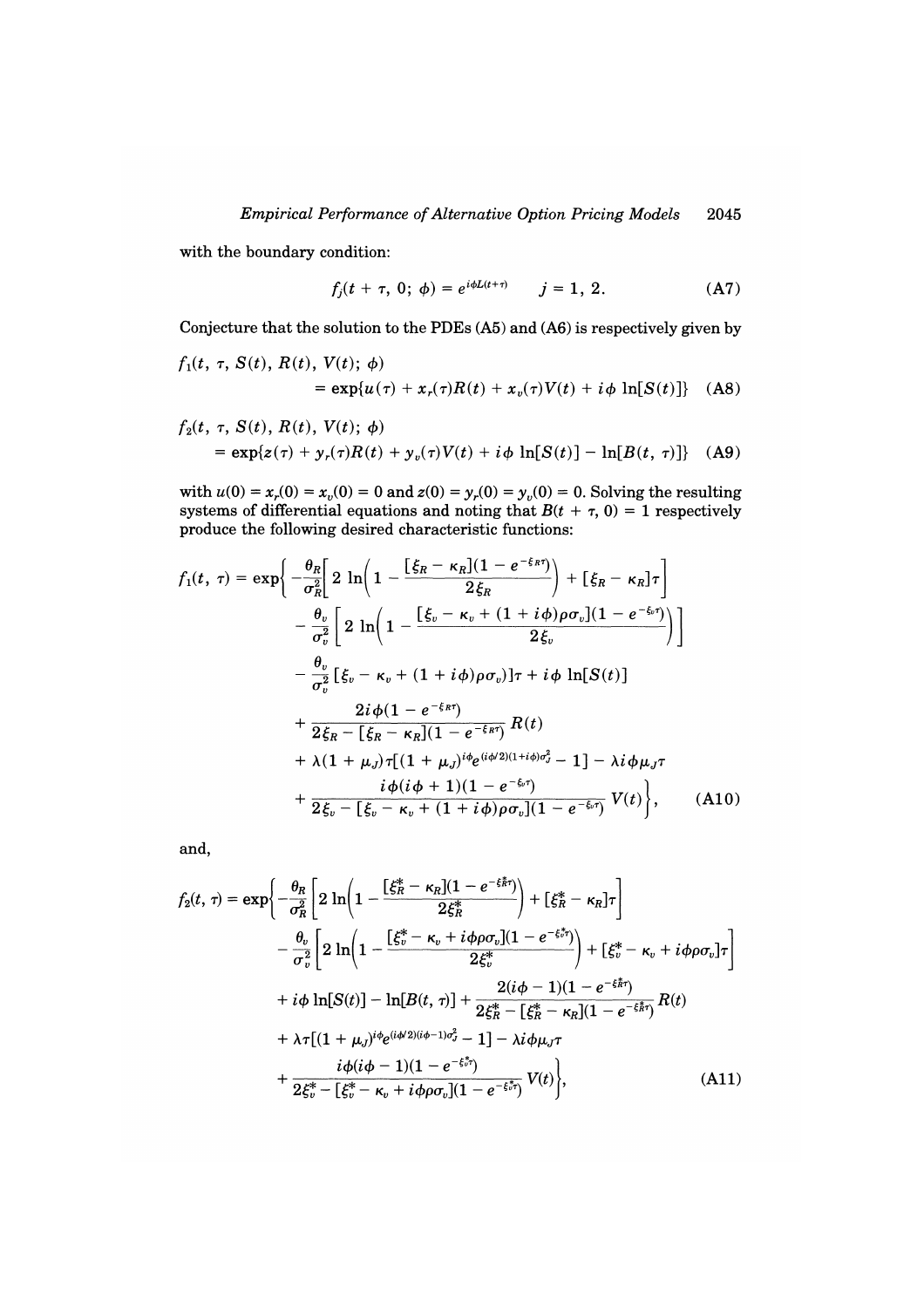**with the boundary condition:** 

$$
f_j(t + \tau, 0; \phi) = e^{i\phi L(t + \tau)} \qquad j = 1, 2. \tag{A7}
$$

**Conjecture that the solution to the PDEs (A5) and (A6) is respectively given by** 

$$
f_1(t, \tau, S(t), R(t), V(t); \phi)
$$
  
=  $\exp\{u(\tau) + x_r(\tau)R(t) + x_v(\tau)V(t) + i\phi \ln[S(t)]\}$  (A8)

$$
f_2(t, \tau, S(t), R(t), V(t); \phi)
$$
  
=  $\exp\{z(\tau) + y_r(\tau)R(t) + y_v(\tau)V(t) + i\phi \ln[S(t)] - \ln[B(t, \tau)]\}$  (A9)

**with**  $u(0) = x_r(0) = x_v(0) = 0$  and  $z(0) = y_r(0) = y_v(0) = 0$ . Solving the resulting **systems of differential equations and noting that**  $B(t + \tau, 0) = 1$  **respectively produce the following desired characteristic functions:** 

$$
f_{1}(t, \tau) = \exp\left\{-\frac{\theta_{R}}{\sigma_{R}^{2}}\left[2 \ln\left(1 - \frac{[\xi_{R} - \kappa_{R}](1 - e^{-\xi_{R}\tau})}{2\xi_{R}}\right) + [\xi_{R} - \kappa_{R}]\tau\right] - \frac{\theta_{v}}{\sigma_{v}^{2}}\left[2 \ln\left(1 - \frac{[\xi_{v} - \kappa_{v} + (1 + i\phi)\rho\sigma_{v}](1 - e^{-\xi_{v}\tau})}{2\xi_{v}}\right)\right] - \frac{\theta_{v}}{\sigma_{v}^{2}}[\xi_{v} - \kappa_{v} + (1 + i\phi)\rho\sigma_{v})]\tau + i\phi \ln[S(t)] + \frac{2i\phi(1 - e^{-\xi_{R}\tau})}{2\xi_{R} - [\xi_{R} - \kappa_{R}](1 - e^{-\xi_{R}\tau})}R(t) + \lambda(1 + \mu_{J})\tau[(1 + \mu_{J})^{i\phi}e^{(i\phi/2)(1 + i\phi)\sigma_{J}^{2}} - 1] - \lambda i\phi\mu_{J}\tau + \frac{i\phi(i\phi + 1)(1 - e^{-\xi_{v}\tau})}{2\xi_{v} - [\xi_{v} - \kappa_{v} + (1 + i\phi)\rho\sigma_{v}](1 - e^{-\xi_{v}\tau})}V(t)\right], \quad (A10)
$$

**and,** 

$$
f_2(t, \tau) = \exp\left\{-\frac{\theta_R}{\sigma_R^2} \left[2\ln\left(1 - \frac{[\xi_R^* - \kappa_R](1 - e^{-\xi_R^* \tau})}{2\xi_R^*}\right) + [\xi_R^* - \kappa_R]\tau\right] - \frac{\theta_v}{\sigma_v^2} \left[2\ln\left(1 - \frac{[\xi_v^* - \kappa_v + i\phi\rho\sigma_v](1 - e^{-\xi_v^* \tau})}{2\xi_v^*}\right) + [\xi_v^* - \kappa_v + i\phi\rho\sigma_v]\tau\right] + i\phi\ln[S(t)] - \ln[B(t, \tau)] + \frac{2(i\phi - 1)(1 - e^{-\xi_R^* \tau})}{2\xi_R^* - [\xi_R^* - \kappa_R](1 - e^{-\xi_R^* \tau})}R(t) + \lambda\tau[(1 + \mu_J)^{i\phi}e^{(i\phi/2)(i\phi - 1)\sigma_J^2} - 1] - \lambda i\phi\mu_J\tau + \frac{i\phi(i\phi - 1)(1 - e^{-\xi_v^* \tau})}{2\xi_v^* - [\xi_v^* - \kappa_v + i\phi\rho\sigma_v](1 - e^{-\xi_v^* \tau})}V(t)\Big\}, \tag{A11}
$$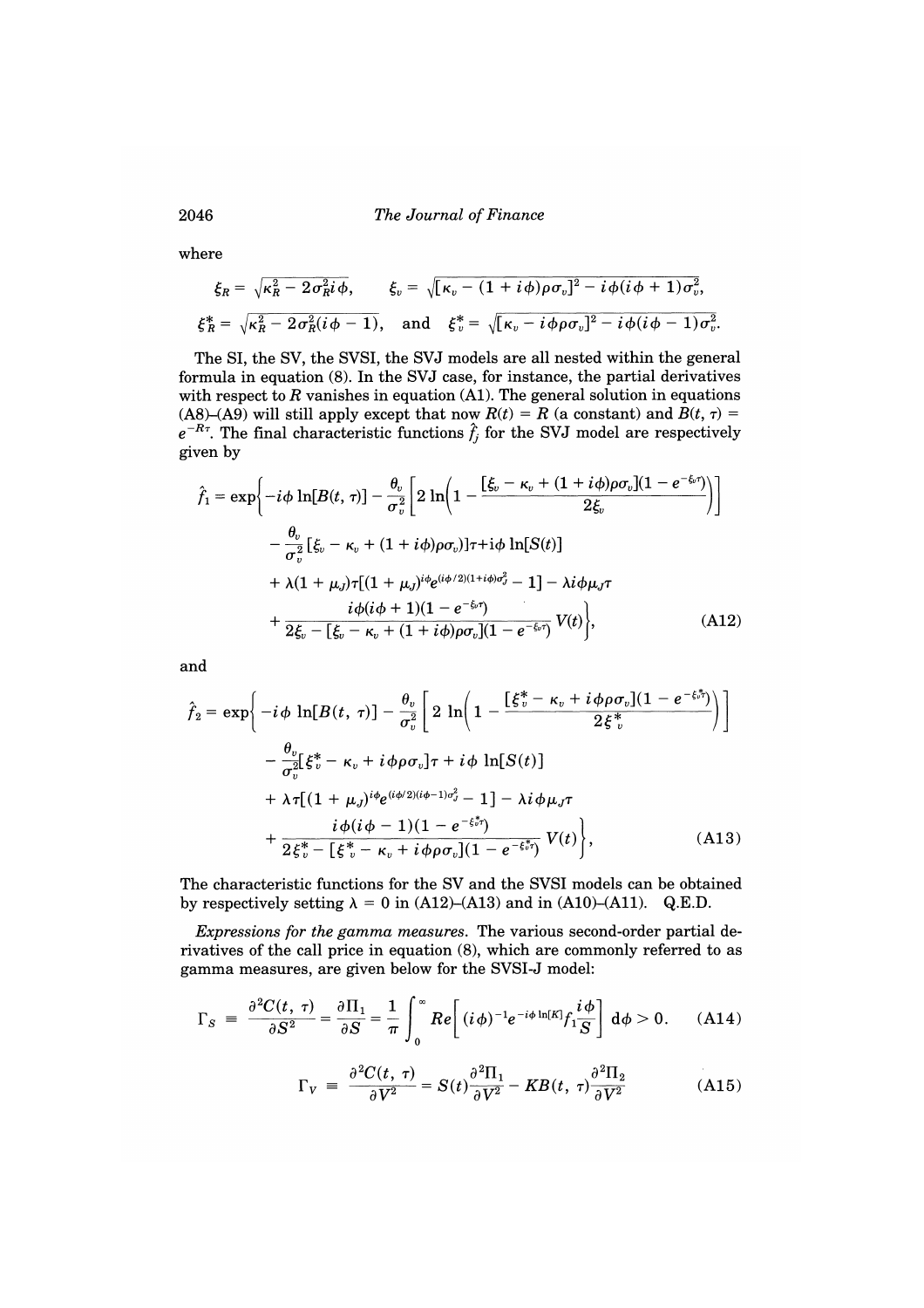**where** 

$$
\xi_R = \sqrt{\kappa_R^2 - 2\sigma_R^2 i \phi}, \qquad \xi_v = \sqrt{[\kappa_v - (1 + i\phi)\rho \sigma_v]^2 - i\phi (i\phi + 1)\sigma_v^2},
$$
  

$$
\xi_R^* = \sqrt{\kappa_R^2 - 2\sigma_R^2 (i\phi - 1)}, \quad \text{and} \quad \xi_v^* = \sqrt{[\kappa_v - i\phi \rho \sigma_v]^2 - i\phi (i\phi - 1)\sigma_v^2}.
$$

**The SI, the SV, the SVSI, the SVJ models are all nested within the general formula in equation (8). In the SVJ case, for instance, the partial derivatives with respect to R vanishes in equation (Al). The general solution in equations (A8)–(A9)** will still apply except that now  $R(t) = R$  (a constant) and  $B(t, \tau) =$  $e^{-R\tau}$ . The final characteristic functions  $\hat{f}_j$  for the SVJ model are respectively **given by** 

$$
\hat{f}_1 = \exp\left\{-i\phi \ln[B(t,\tau)] - \frac{\theta_v}{\sigma_v^2} \left[2\ln\left(1 - \frac{[\xi_v - \kappa_v + (1 + i\phi)\rho\sigma_v](1 - e^{-\xi_v\tau})}{2\xi_v}\right)\right] - \frac{\theta_v}{\sigma_v^2} [\xi_v - \kappa_v + (1 + i\phi)\rho\sigma_v]\tau + i\phi \ln[S(t)] + \lambda(1 + \mu_J)\tau[(1 + \mu_J)^{i\phi}e^{(i\phi/2)(1 + i\phi)\sigma_v^2} - 1] - \lambda i\phi\mu_J\tau + \frac{i\phi(i\phi + 1)(1 - e^{-\xi_v\tau})}{2\xi_v - [\xi_v - \kappa_v + (1 + i\phi)\rho\sigma_v](1 - e^{-\xi_v\tau})} V(t)\right\},
$$
\n(A12)

**and** 

$$
\hat{f}_2 = \exp\bigg\{-i\phi \ln[B(t, \tau)] - \frac{\theta_v}{\sigma_v^2} \bigg[ 2 \ln\bigg(1 - \frac{[\xi_v^* - \kappa_v + i\phi\rho\sigma_v](1 - e^{-\xi_v^* \tau})}{2\xi_v^*}\bigg) \bigg] \n- \frac{\theta_v}{\sigma_v^2} [\xi_v^* - \kappa_v + i\phi\rho\sigma_v] \tau + i\phi \ln[S(t)] \n+ \lambda \tau [(1 + \mu_J)^{i\phi} e^{(i\phi/2)(i\phi - 1)\sigma_J^2} - 1] - \lambda i\phi\mu_J \tau \n+ \frac{i\phi(i\phi - 1)(1 - e^{-\xi_v^* \tau})}{2\xi_v^* - [\xi_v^* - \kappa_v + i\phi\rho\sigma_v](1 - e^{-\xi_v^* \tau})} V(t) \bigg\},
$$
\n(A13)

**The characteristic functions for the SV and the SVSI models can be obtained**  by respectively setting  $\lambda = 0$  in (A12)–(A13) and in (A10)–(A11). Q.E.D.

**Expressions for the gamma measures. The various second-order partial derivatives of the call price in equation (8), which are commonly referred to as gamma measures, are given below for the SVSI-J model:** 

$$
\Gamma_S = \frac{\partial^2 C(t, \tau)}{\partial S^2} = \frac{\partial \Pi_1}{\partial S} = \frac{1}{\pi} \int_0^\infty Re \left[ (i\phi)^{-1} e^{-i\phi \ln[K]} f_1 \frac{i\phi}{S} \right] d\phi > 0. \quad (A14)
$$

$$
\Gamma_V = \frac{\partial^2 C(t, \tau)}{\partial V^2} = S(t) \frac{\partial^2 \Pi_1}{\partial V^2} - KB(t, \tau) \frac{\partial^2 \Pi_2}{\partial V^2}
$$
(A15)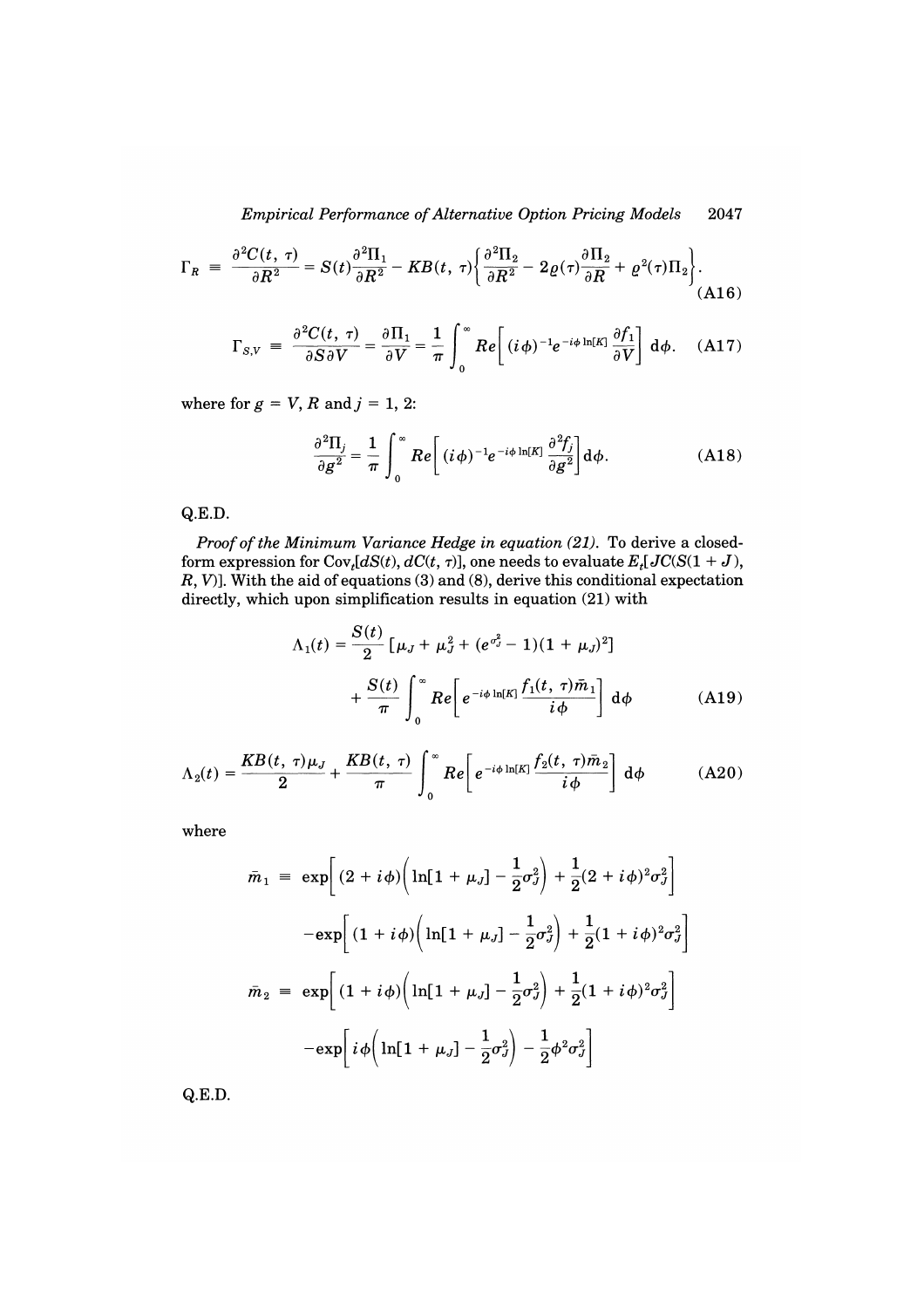**Empirical Performance of Alternative Option Pricing Models 2047** 

$$
\Gamma_R = \frac{\partial^2 C(t,\,\tau)}{\partial R^2} = S(t)\frac{\partial^2 \Pi_1}{\partial R^2} - KB(t,\,\tau)\bigg\{\frac{\partial^2 \Pi_2}{\partial R^2} - 2\varrho(\tau)\frac{\partial \Pi_2}{\partial R} + \varrho^2(\tau)\Pi_2\bigg\}.
$$
\n(A16)

$$
\Gamma_{S,V} = \frac{\partial^2 C(t, \tau)}{\partial S \partial V} = \frac{\partial \Pi_1}{\partial V} = \frac{1}{\pi} \int_0^{\infty} Re \left[ (i\phi)^{-1} e^{-i\phi \ln[K]} \frac{\partial f_1}{\partial V} \right] d\phi. \quad (A17)
$$

where for  $g = V$ ,  $R$  and  $j = 1, 2$ :

$$
\frac{\partial^2 \Pi_j}{\partial g^2} = \frac{1}{\pi} \int_0^\infty Re \left[ (i\phi)^{-1} e^{-i\phi \ln[K]} \frac{\partial^2 f_j}{\partial g^2} \right] d\phi.
$$
 (A18)

**Q.E.D.** 

**Proof of the Minimum Variance Hedge in equation (21). To derive a closed**form expression for  $Cov_t[dS(t), dC(t, \tau)]$ , one needs to evaluate  $E_t[JC(S(1 + J),$ **R, V)]. With the aid of equations (3) and (8), derive this conditional expectation directly, which upon simplification results in equation (21) with** 

$$
\Lambda_1(t) = \frac{S(t)}{2} \left[ \mu_J + \mu_J^2 + (e^{\sigma_J^2} - 1)(1 + \mu_J)^2 \right] + \frac{S(t)}{\pi} \int_0^\infty Re \left[ e^{-i\phi \ln[K]} \frac{f_1(t, \tau)\bar{m}_1}{i\phi} \right] d\phi \tag{A19}
$$

$$
\Lambda_2(t) = \frac{KB(t, \tau)\mu_J}{2} + \frac{KB(t, \tau)}{\pi} \int_0^\infty Re \bigg[ e^{-i\phi \ln[K]} \frac{f_2(t, \tau)\bar{m}_2}{i\phi} \bigg] d\phi \tag{A20}
$$

**where** 

$$
\bar{m}_1 = \exp\left[ (2 + i\phi) \left( \ln[1 + \mu_J] - \frac{1}{2} \sigma_J^2 \right) + \frac{1}{2} (2 + i\phi)^2 \sigma_J^2 \right]
$$

$$
-\exp\left[ (1 + i\phi) \left( \ln[1 + \mu_J] - \frac{1}{2} \sigma_J^2 \right) + \frac{1}{2} (1 + i\phi)^2 \sigma_J^2 \right]
$$

$$
\bar{m}_2 = \exp\left[ (1 + i\phi) \left( \ln[1 + \mu_J] - \frac{1}{2} \sigma_J^2 \right) + \frac{1}{2} (1 + i\phi)^2 \sigma_J^2 \right]
$$

$$
-\exp\left[ i\phi \left( \ln[1 + \mu_J] - \frac{1}{2} \sigma_J^2 \right) - \frac{1}{2} \phi^2 \sigma_J^2 \right]
$$

**Q.E.D.**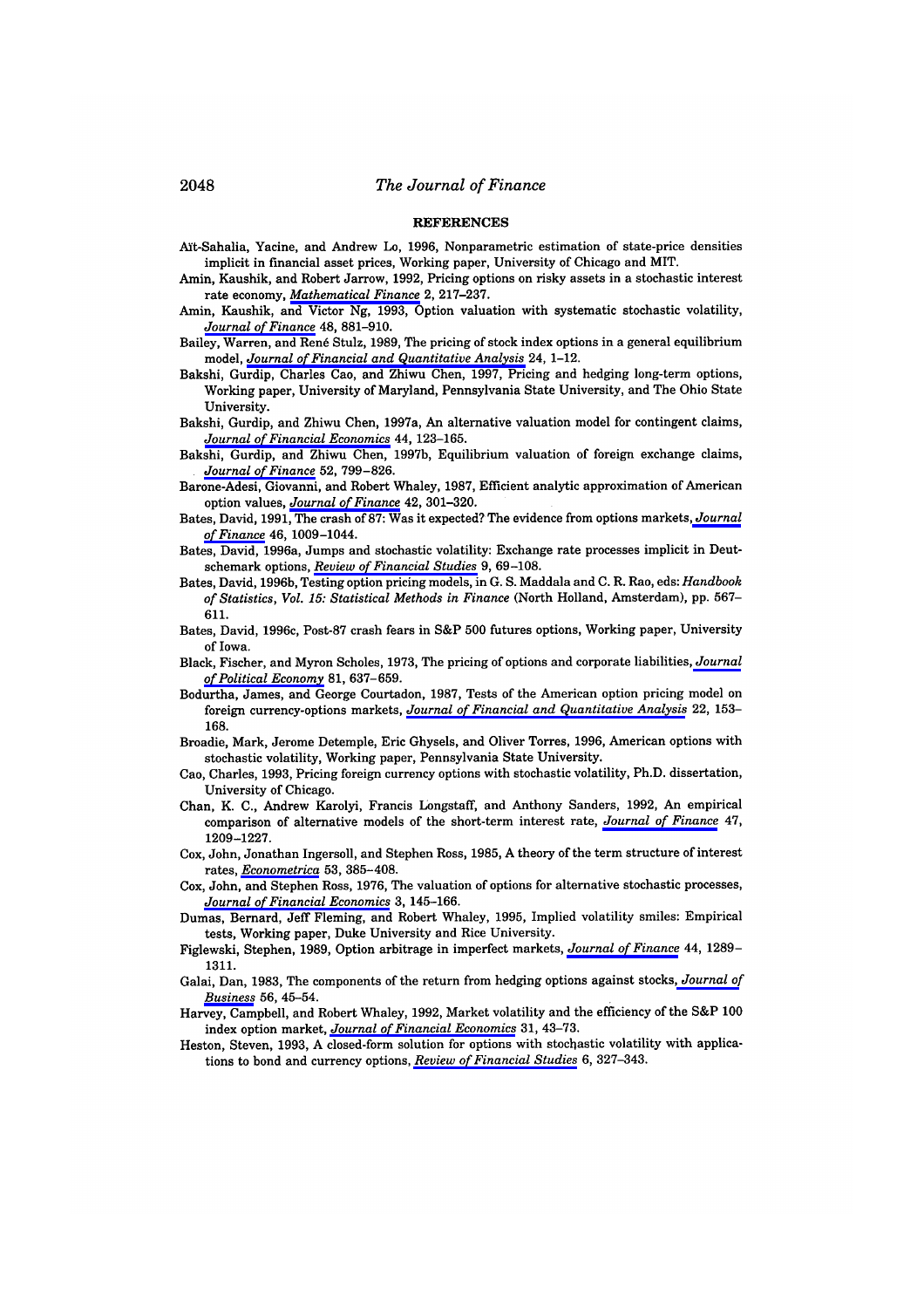### **REFERENCES**

- Ait-Sahalia, Yacine, and Andrew Lo, **1996,** Nonparametric estimation of state-price densities implicit in financial asset prices, Working paper, University of Chicago and MIT.
- Amin, Kaushik, and Robert Jarrow, **1992,** Pricing options on risky assets in a stochastic interest rate economy, [Mathematical Finance](http://dx.doi.org/10.1111/j.1467-9965.1992.tb00030.x) **2, 217-237.**
- Amin, Kaushik, and Victor Ng, **1993,** Option valuation with systematic stochastic volatility, [Journal](http://dx.doi.org/10.2307/2329019) *of* Finance **48,881-910.**
- Bailey, Warren, and Ren6 Stulz, **1989,** The pricing of stock index options in a general equilibrium model, Journal *of* [Financial and Quantitative Analysis](http://dx.doi.org/10.2307/2330744) **24, 1-12.**
- Bakshi, Gurdip, Charles Cao, and Zhiwu Chen, **1997,** Pricing and hedging long-term options, Working paper, University of Maryland, Pennsylvania State University, and The Ohio State University.
- Bakshi, Gurdip, and Zhiwu Chen, **1997a,** An alternative valuation model for contingent claims, Journal *of* [Financial Economics](http://dx.doi.org/10.1016/S0304-405X(96)00009-8) **44, 123-165.**
- Bakshi, Gurdip, and Zhiwu Chen, **1997b,** Equilibrium valuation of foreign exchange claims, [Journal](http://dx.doi.org/10.2307/2329499) *of* Finance **52, 799-826.**
- Barone-Adesi, Giovanni, and Robert Whaley, **1987,** Efficient analytic approximation of American option values, [Journal](http://dx.doi.org/10.2307/2328254) *of* Finance **42,301-320.**
- Bates, David, **1991,** The crash of **87:** Was it expected? The evidence from options markets, [Journal](http://dx.doi.org/10.2307/2328552) *of* [Finance](http://dx.doi.org/10.2307/2328552) **46, 1009-1044.**
- Bates, David, **1996a,** Jumps and stochastic volatility: Exchange rate processes implicit in Deutschemark options, Review *of* [Financial Studies](http://dx.doi.org/10.1093/rfs/9.1.69) **9, 69-108.**
- Bates, David, **1996b,** Testing option pricing models, in G. S. Maddala and C. R. Rao, eds: Handbook *of* Statistics, Vol. *15:* Statistical Methods in Finance (North Holland, Amsterdam), pp. **567- 611.**
- Bates, David, **1996c,** Post-87 crash fears in S&P 500 futures options, Working paper, University of Iowa.
- Black, Fischer, and Myron Scholes, **1973,** The pricing of options and corporate liabilities[, Journal](http://dx.doi.org/10.1086/260062) *of* [Political Economy](http://dx.doi.org/10.1086/260062) **81, 637-659.**
- Bodurtha, James, and George Courtadon, **1987,** Tests of the American option pricing model on foreign currency-options markets, Journal *of* [Financial and Quantitative Analysis](http://dx.doi.org/10.2307/2330710) **22, 153- 168.**
- Broadie, Mark, Jerome Detemple, Eric Ghysels, and Oliver Torres, **1996,** American options with stochastic volatility, Working paper, Pennsylvania State University.
- Cao, Charles, **1993,** Pricing foreign currency options with stochastic volatility, Ph.D. dissertation, University of Chicago.
- Chan, K. C., Andrew Karolyi, Francis Longstaff, and Anthony Sanders, **1992,** An empirical comparison of alternative models of the short-term interest rate, [Journal](http://dx.doi.org/10.2307/2328983) *of* Finance **47, 1209-1227.**
- Cox, John, Jonathan Ingersoll, and Stephen Ross, **1985,** A theory of the term structure of interest rates, [Econometrica](http://dx.doi.org/10.2307/1911242) **53, 385-408.**
- Cox, John, and Stephen Ross, **1976,** The valuation of options for alternative stochastic processes, [Journal of Financial Economics](http://dx.doi.org/10.1016/0304-405X(76)90023-4) **3, 145-166.**
- Dumas, Bernard, Jeff Fleming, and Robert Whaley, **1995,** Implied volatility smiles: Empirical tests, Working paper, Duke University and Rice University.
- Figlewski, Stephen, **1989,** Option arbitrage in imperfect markets, [Journal](http://dx.doi.org/10.2307/2328643) *of* Finance **44, 1289- 1311.**
- Galai, Dan, **1983,** The components of the return from hedging options against stocks, [Journal](http://dx.doi.org/10.1086/296185) *of*  [Business](http://dx.doi.org/10.1086/296185) **56, 45-54.**
- Harvey, Campbell, and Robert Whaley, **1992,** Market volatility and the efficiency of the S&P **100**  index option market, Journal *of* [Financial Economics](http://dx.doi.org/10.1016/0304-405X(92)90011-L) **31,43-73.**
- Heston, Steven, **1993,** A closed-form solution for options with stochastic volatility with applications to bond and currency options, Review *of* [Financial Studies](http://dx.doi.org/10.1093/rfs/6.2.327) **6, 327-343.**